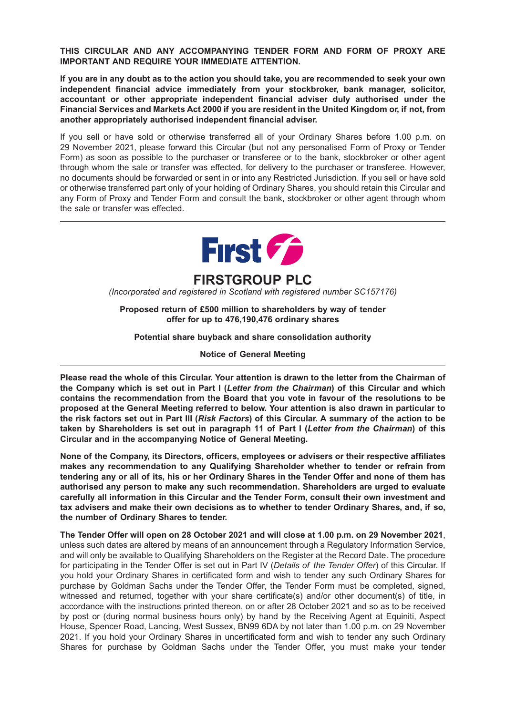**THIS CIRCULAR AND ANY ACCOMPANYING TENDER FORM AND FORM OF PROXY ARE IMPORTANT AND REQUIRE YOUR IMMEDIATE ATTENTION.**

**If you are in any doubt as to the action you should take, you are recommended to seek your own independent financial advice immediately from your stockbroker, bank manager, solicitor, accountant or other appropriate independent financial adviser duly authorised under the Financial Services and Markets Act 2000 if you are resident in the United Kingdom or, if not, from another appropriately authorised independent financial adviser.**

If you sell or have sold or otherwise transferred all of your Ordinary Shares before 1.00 p.m. on 29 November 2021, please forward this Circular (but not any personalised Form of Proxy or Tender Form) as soon as possible to the purchaser or transferee or to the bank, stockbroker or other agent through whom the sale or transfer was effected, for delivery to the purchaser or transferee. However, no documents should be forwarded or sent in or into any Restricted Jurisdiction. If you sell or have sold or otherwise transferred part only of your holding of Ordinary Shares, you should retain this Circular and any Form of Proxy and Tender Form and consult the bank, stockbroker or other agent through whom the sale or transfer was effected.



## **FIRSTGROUP PLC**

*(Incorporated and registered in Scotland with registered number SC157176)*

**Proposed return of £500 million to shareholders by way of tender offer for up to 476,190,476 ordinary shares**

#### **Potential share buyback and share consolidation authority**

**Notice of General Meeting**

**Please read the whole of this Circular. Your attention is drawn to the letter from the Chairman of the Company which is set out in Part I (***Letter from the Chairman***) of this Circular and which contains the recommendation from the Board that you vote in favour of the resolutions to be proposed at the General Meeting referred to below. Your attention is also drawn in particular to the risk factors set out in Part III (***Risk Factors***) of this Circular. A summary of the action to be taken by Shareholders is set out in paragraph 11 of Part I (***Letter from the Chairman***) of this Circular and in the accompanying Notice of General Meeting.**

**None of the Company, its Directors, officers, employees or advisers or their respective affiliates makes any recommendation to any Qualifying Shareholder whether to tender or refrain from tendering any or all of its, his or her Ordinary Shares in the Tender Offer and none of them has authorised any person to make any such recommendation. Shareholders are urged to evaluate carefully all information in this Circular and the Tender Form, consult their own investment and tax advisers and make their own decisions as to whether to tender Ordinary Shares, and, if so, the number of Ordinary Shares to tender.**

**The Tender Offer will open on 28 October 2021 and will close at 1.00 p.m. on 29 November 2021**, unless such dates are altered by means of an announcement through a Regulatory Information Service, and will only be available to Qualifying Shareholders on the Register at the Record Date. The procedure for participating in the Tender Offer is set out in Part IV (*Details of the Tender Offer*) of this Circular. If you hold your Ordinary Shares in certificated form and wish to tender any such Ordinary Shares for purchase by Goldman Sachs under the Tender Offer, the Tender Form must be completed, signed, witnessed and returned, together with your share certificate(s) and/or other document(s) of title, in accordance with the instructions printed thereon, on or after 28 October 2021 and so as to be received by post or (during normal business hours only) by hand by the Receiving Agent at Equiniti, Aspect House, Spencer Road, Lancing, West Sussex, BN99 6DA by not later than 1.00 p.m. on 29 November 2021. If you hold your Ordinary Shares in uncertificated form and wish to tender any such Ordinary Shares for purchase by Goldman Sachs under the Tender Offer, you must make your tender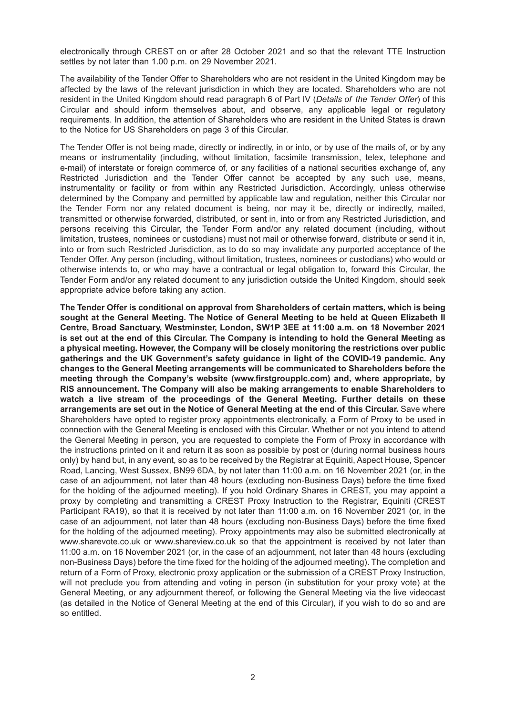electronically through CREST on or after 28 October 2021 and so that the relevant TTE Instruction settles by not later than 1.00 p.m. on 29 November 2021.

The availability of the Tender Offer to Shareholders who are not resident in the United Kingdom may be affected by the laws of the relevant jurisdiction in which they are located. Shareholders who are not resident in the United Kingdom should read paragraph 6 of Part IV (*Details of the Tender Offer*) of this Circular and should inform themselves about, and observe, any applicable legal or regulatory requirements. In addition, the attention of Shareholders who are resident in the United States is drawn to the Notice for US Shareholders on page 3 of this Circular.

The Tender Offer is not being made, directly or indirectly, in or into, or by use of the mails of, or by any means or instrumentality (including, without limitation, facsimile transmission, telex, telephone and e-mail) of interstate or foreign commerce of, or any facilities of a national securities exchange of, any Restricted Jurisdiction and the Tender Offer cannot be accepted by any such use, means, instrumentality or facility or from within any Restricted Jurisdiction. Accordingly, unless otherwise determined by the Company and permitted by applicable law and regulation, neither this Circular nor the Tender Form nor any related document is being, nor may it be, directly or indirectly, mailed, transmitted or otherwise forwarded, distributed, or sent in, into or from any Restricted Jurisdiction, and persons receiving this Circular, the Tender Form and/or any related document (including, without limitation, trustees, nominees or custodians) must not mail or otherwise forward, distribute or send it in, into or from such Restricted Jurisdiction, as to do so may invalidate any purported acceptance of the Tender Offer. Any person (including, without limitation, trustees, nominees or custodians) who would or otherwise intends to, or who may have a contractual or legal obligation to, forward this Circular, the Tender Form and/or any related document to any jurisdiction outside the United Kingdom, should seek appropriate advice before taking any action.

**The Tender Offer is conditional on approval from Shareholders of certain matters, which is being sought at the General Meeting. The Notice of General Meeting to be held at Queen Elizabeth II Centre, Broad Sanctuary, Westminster, London, SW1P 3EE at 11:00 a.m. on 18 November 2021 is set out at the end of this Circular. The Company is intending to hold the General Meeting as a physical meeting. However, the Company will be closely monitoring the restrictions over public gatherings and the UK Government's safety guidance in light of the COVID-19 pandemic. Any changes to the General Meeting arrangements will be communicated to Shareholders before the meeting through the Company's website (www.firstgroupplc.com) and, where appropriate, by RIS announcement. The Company will also be making arrangements to enable Shareholders to watch a live stream of the proceedings of the General Meeting. Further details on these arrangements are set out in the Notice of General Meeting at the end of this Circular.** Save where Shareholders have opted to register proxy appointments electronically, a Form of Proxy to be used in connection with the General Meeting is enclosed with this Circular. Whether or not you intend to attend the General Meeting in person, you are requested to complete the Form of Proxy in accordance with the instructions printed on it and return it as soon as possible by post or (during normal business hours only) by hand but, in any event, so as to be received by the Registrar at Equiniti, Aspect House, Spencer Road, Lancing, West Sussex, BN99 6DA, by not later than 11:00 a.m. on 16 November 2021 (or, in the case of an adjournment, not later than 48 hours (excluding non-Business Days) before the time fixed for the holding of the adjourned meeting). If you hold Ordinary Shares in CREST, you may appoint a proxy by completing and transmitting a CREST Proxy Instruction to the Registrar, Equiniti (CREST Participant RA19), so that it is received by not later than 11:00 a.m. on 16 November 2021 (or, in the case of an adjournment, not later than 48 hours (excluding non-Business Days) before the time fixed for the holding of the adjourned meeting). Proxy appointments may also be submitted electronically at www.sharevote.co.uk or www.shareview.co.uk so that the appointment is received by not later than 11:00 a.m. on 16 November 2021 (or, in the case of an adjournment, not later than 48 hours (excluding non-Business Days) before the time fixed for the holding of the adjourned meeting). The completion and return of a Form of Proxy, electronic proxy application or the submission of a CREST Proxy Instruction, will not preclude you from attending and voting in person (in substitution for your proxy vote) at the General Meeting, or any adjournment thereof, or following the General Meeting via the live videocast (as detailed in the Notice of General Meeting at the end of this Circular), if you wish to do so and are so entitled.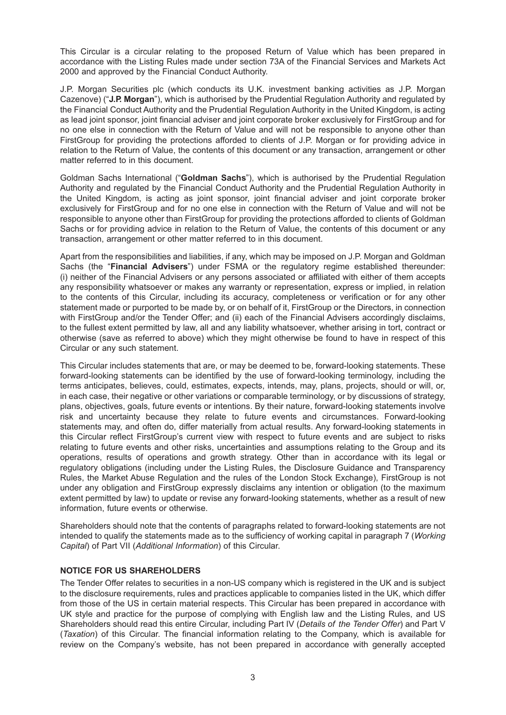This Circular is a circular relating to the proposed Return of Value which has been prepared in accordance with the Listing Rules made under section 73A of the Financial Services and Markets Act 2000 and approved by the Financial Conduct Authority.

J.P. Morgan Securities plc (which conducts its U.K. investment banking activities as J.P. Morgan Cazenove) ("**J.P. Morgan**"), which is authorised by the Prudential Regulation Authority and regulated by the Financial Conduct Authority and the Prudential Regulation Authority in the United Kingdom, is acting as lead joint sponsor, joint financial adviser and joint corporate broker exclusively for FirstGroup and for no one else in connection with the Return of Value and will not be responsible to anyone other than FirstGroup for providing the protections afforded to clients of J.P. Morgan or for providing advice in relation to the Return of Value, the contents of this document or any transaction, arrangement or other matter referred to in this document.

Goldman Sachs International ("**Goldman Sachs**"), which is authorised by the Prudential Regulation Authority and regulated by the Financial Conduct Authority and the Prudential Regulation Authority in the United Kingdom, is acting as joint sponsor, joint financial adviser and joint corporate broker exclusively for FirstGroup and for no one else in connection with the Return of Value and will not be responsible to anyone other than FirstGroup for providing the protections afforded to clients of Goldman Sachs or for providing advice in relation to the Return of Value, the contents of this document or any transaction, arrangement or other matter referred to in this document.

Apart from the responsibilities and liabilities, if any, which may be imposed on J.P. Morgan and Goldman Sachs (the "**Financial Advisers**") under FSMA or the regulatory regime established thereunder: (i) neither of the Financial Advisers or any persons associated or affiliated with either of them accepts any responsibility whatsoever or makes any warranty or representation, express or implied, in relation to the contents of this Circular, including its accuracy, completeness or verification or for any other statement made or purported to be made by, or on behalf of it, FirstGroup or the Directors, in connection with FirstGroup and/or the Tender Offer; and (ii) each of the Financial Advisers accordingly disclaims, to the fullest extent permitted by law, all and any liability whatsoever, whether arising in tort, contract or otherwise (save as referred to above) which they might otherwise be found to have in respect of this Circular or any such statement.

This Circular includes statements that are, or may be deemed to be, forward-looking statements. These forward-looking statements can be identified by the use of forward-looking terminology, including the terms anticipates, believes, could, estimates, expects, intends, may, plans, projects, should or will, or, in each case, their negative or other variations or comparable terminology, or by discussions of strategy, plans, objectives, goals, future events or intentions. By their nature, forward-looking statements involve risk and uncertainty because they relate to future events and circumstances. Forward-looking statements may, and often do, differ materially from actual results. Any forward-looking statements in this Circular reflect FirstGroup's current view with respect to future events and are subject to risks relating to future events and other risks, uncertainties and assumptions relating to the Group and its operations, results of operations and growth strategy. Other than in accordance with its legal or regulatory obligations (including under the Listing Rules, the Disclosure Guidance and Transparency Rules, the Market Abuse Regulation and the rules of the London Stock Exchange), FirstGroup is not under any obligation and FirstGroup expressly disclaims any intention or obligation (to the maximum extent permitted by law) to update or revise any forward-looking statements, whether as a result of new information, future events or otherwise.

Shareholders should note that the contents of paragraphs related to forward-looking statements are not intended to qualify the statements made as to the sufficiency of working capital in paragraph 7 (*Working Capital*) of Part VII (*Additional Information*) of this Circular.

#### **NOTICE FOR US SHAREHOLDERS**

The Tender Offer relates to securities in a non-US company which is registered in the UK and is subject to the disclosure requirements, rules and practices applicable to companies listed in the UK, which differ from those of the US in certain material respects. This Circular has been prepared in accordance with UK style and practice for the purpose of complying with English law and the Listing Rules, and US Shareholders should read this entire Circular, including Part IV (*Details of the Tender Offer*) and Part V (*Taxation*) of this Circular. The financial information relating to the Company, which is available for review on the Company's website, has not been prepared in accordance with generally accepted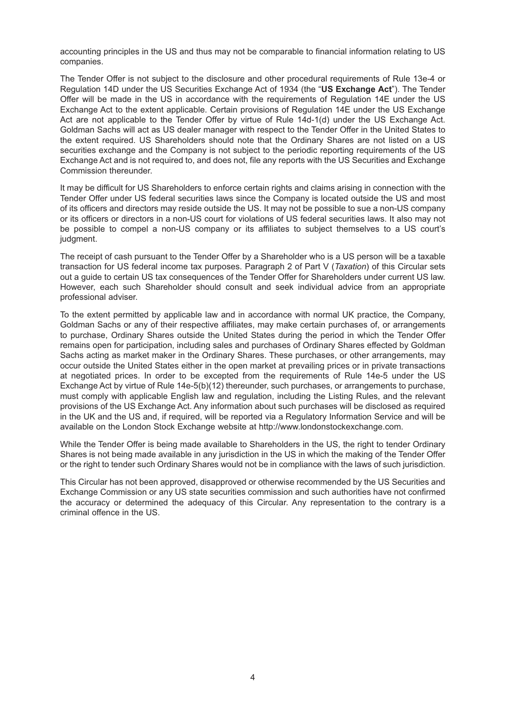accounting principles in the US and thus may not be comparable to financial information relating to US companies.

The Tender Offer is not subject to the disclosure and other procedural requirements of Rule 13e-4 or Regulation 14D under the US Securities Exchange Act of 1934 (the "**US Exchange Act**"). The Tender Offer will be made in the US in accordance with the requirements of Regulation 14E under the US Exchange Act to the extent applicable. Certain provisions of Regulation 14E under the US Exchange Act are not applicable to the Tender Offer by virtue of Rule 14d-1(d) under the US Exchange Act. Goldman Sachs will act as US dealer manager with respect to the Tender Offer in the United States to the extent required. US Shareholders should note that the Ordinary Shares are not listed on a US securities exchange and the Company is not subject to the periodic reporting requirements of the US Exchange Act and is not required to, and does not, file any reports with the US Securities and Exchange Commission thereunder.

It may be difficult for US Shareholders to enforce certain rights and claims arising in connection with the Tender Offer under US federal securities laws since the Company is located outside the US and most of its officers and directors may reside outside the US. It may not be possible to sue a non-US company or its officers or directors in a non-US court for violations of US federal securities laws. It also may not be possible to compel a non-US company or its affiliates to subject themselves to a US court's judament.

The receipt of cash pursuant to the Tender Offer by a Shareholder who is a US person will be a taxable transaction for US federal income tax purposes. Paragraph 2 of Part V (*Taxation*) of this Circular sets out a guide to certain US tax consequences of the Tender Offer for Shareholders under current US law. However, each such Shareholder should consult and seek individual advice from an appropriate professional adviser.

To the extent permitted by applicable law and in accordance with normal UK practice, the Company, Goldman Sachs or any of their respective affiliates, may make certain purchases of, or arrangements to purchase, Ordinary Shares outside the United States during the period in which the Tender Offer remains open for participation, including sales and purchases of Ordinary Shares effected by Goldman Sachs acting as market maker in the Ordinary Shares. These purchases, or other arrangements, may occur outside the United States either in the open market at prevailing prices or in private transactions at negotiated prices. In order to be excepted from the requirements of Rule 14e-5 under the US Exchange Act by virtue of Rule 14e-5(b)(12) thereunder, such purchases, or arrangements to purchase, must comply with applicable English law and regulation, including the Listing Rules, and the relevant provisions of the US Exchange Act. Any information about such purchases will be disclosed as required in the UK and the US and, if required, will be reported via a Regulatory Information Service and will be available on the London Stock Exchange website at http://www.londonstockexchange.com.

While the Tender Offer is being made available to Shareholders in the US, the right to tender Ordinary Shares is not being made available in any jurisdiction in the US in which the making of the Tender Offer or the right to tender such Ordinary Shares would not be in compliance with the laws of such jurisdiction.

This Circular has not been approved, disapproved or otherwise recommended by the US Securities and Exchange Commission or any US state securities commission and such authorities have not confirmed the accuracy or determined the adequacy of this Circular. Any representation to the contrary is a criminal offence in the US.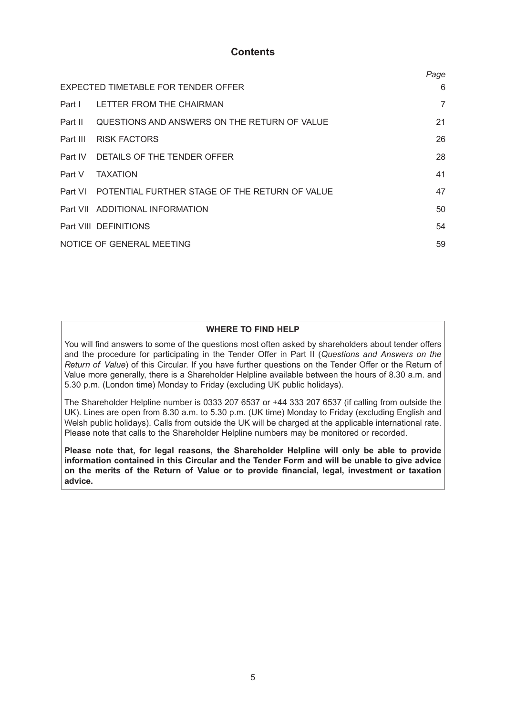## **Contents**

|        | Page                                                                                                                                                                                                                                                                                                                                                 |
|--------|------------------------------------------------------------------------------------------------------------------------------------------------------------------------------------------------------------------------------------------------------------------------------------------------------------------------------------------------------|
|        | 6                                                                                                                                                                                                                                                                                                                                                    |
|        | $\overline{7}$                                                                                                                                                                                                                                                                                                                                       |
|        | 21                                                                                                                                                                                                                                                                                                                                                   |
|        | 26                                                                                                                                                                                                                                                                                                                                                   |
|        | 28                                                                                                                                                                                                                                                                                                                                                   |
|        | 41                                                                                                                                                                                                                                                                                                                                                   |
|        | 47                                                                                                                                                                                                                                                                                                                                                   |
|        | 50                                                                                                                                                                                                                                                                                                                                                   |
|        | 54                                                                                                                                                                                                                                                                                                                                                   |
|        | 59                                                                                                                                                                                                                                                                                                                                                   |
| Part I | EXPECTED TIMETABLE FOR TENDER OFFER<br>LETTER FROM THE CHAIRMAN<br>Part II QUESTIONS AND ANSWERS ON THE RETURN OF VALUE<br><b>RISK FACTORS</b><br>Part IV DETAILS OF THE TENDER OFFER<br>TAXATION<br>Part VI POTENTIAL FURTHER STAGE OF THE RETURN OF VALUE<br>Part VII ADDITIONAL INFORMATION<br>Part VIII DEFINITIONS<br>NOTICE OF GENERAL MEETING |

#### **WHERE TO FIND HELP**

You will find answers to some of the questions most often asked by shareholders about tender offers and the procedure for participating in the Tender Offer in Part II (*Questions and Answers on the Return of Value*) of this Circular. If you have further questions on the Tender Offer or the Return of Value more generally, there is a Shareholder Helpline available between the hours of 8.30 a.m. and 5.30 p.m. (London time) Monday to Friday (excluding UK public holidays).

The Shareholder Helpline number is 0333 207 6537 or +44 333 207 6537 (if calling from outside the UK). Lines are open from 8.30 a.m. to 5.30 p.m. (UK time) Monday to Friday (excluding English and Welsh public holidays). Calls from outside the UK will be charged at the applicable international rate. Please note that calls to the Shareholder Helpline numbers may be monitored or recorded.

**Please note that, for legal reasons, the Shareholder Helpline will only be able to provide information contained in this Circular and the Tender Form and will be unable to give advice on the merits of the Return of Value or to provide financial, legal, investment or taxation advice.**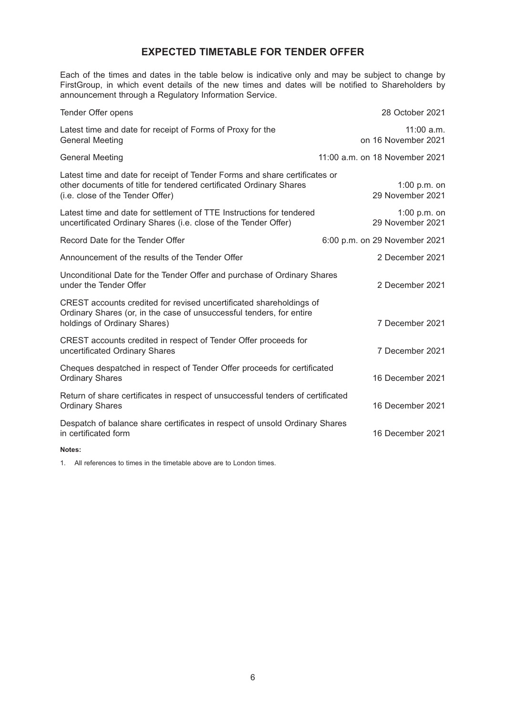## **EXPECTED TIMETABLE FOR TENDER OFFER**

Each of the times and dates in the table below is indicative only and may be subject to change by FirstGroup, in which event details of the new times and dates will be notified to Shareholders by announcement through a Regulatory Information Service.

| Tender Offer opens                                                                                                                                                                   | 28 October 2021                     |
|--------------------------------------------------------------------------------------------------------------------------------------------------------------------------------------|-------------------------------------|
| Latest time and date for receipt of Forms of Proxy for the<br><b>General Meeting</b>                                                                                                 | $11:00$ a.m.<br>on 16 November 2021 |
| <b>General Meeting</b>                                                                                                                                                               | 11:00 a.m. on 18 November 2021      |
| Latest time and date for receipt of Tender Forms and share certificates or<br>other documents of title for tendered certificated Ordinary Shares<br>(i.e. close of the Tender Offer) | 1:00 $p.m.$ on<br>29 November 2021  |
| Latest time and date for settlement of TTE Instructions for tendered<br>uncertificated Ordinary Shares (i.e. close of the Tender Offer)                                              | 1:00 $p.m.$ on<br>29 November 2021  |
| Record Date for the Tender Offer                                                                                                                                                     | 6:00 p.m. on 29 November 2021       |
| Announcement of the results of the Tender Offer                                                                                                                                      | 2 December 2021                     |
| Unconditional Date for the Tender Offer and purchase of Ordinary Shares<br>under the Tender Offer                                                                                    | 2 December 2021                     |
| CREST accounts credited for revised uncertificated shareholdings of<br>Ordinary Shares (or, in the case of unsuccessful tenders, for entire<br>holdings of Ordinary Shares)          | 7 December 2021                     |
| CREST accounts credited in respect of Tender Offer proceeds for<br>uncertificated Ordinary Shares                                                                                    | 7 December 2021                     |
| Cheques despatched in respect of Tender Offer proceeds for certificated<br><b>Ordinary Shares</b>                                                                                    | 16 December 2021                    |
| Return of share certificates in respect of unsuccessful tenders of certificated<br><b>Ordinary Shares</b>                                                                            | 16 December 2021                    |
| Despatch of balance share certificates in respect of unsold Ordinary Shares<br>in certificated form                                                                                  | 16 December 2021                    |
| Notes:                                                                                                                                                                               |                                     |

1. All references to times in the timetable above are to London times.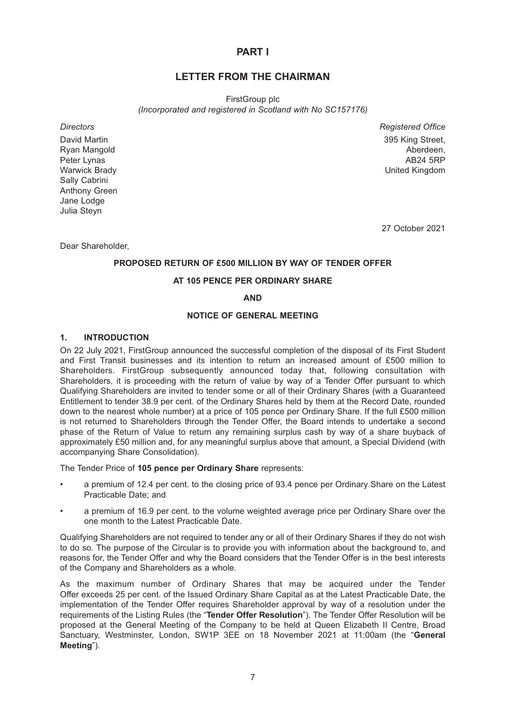### **PART I**

#### **LETTER FROM THE CHAIRMAN**

FirstGroup plc *(Incorporated and registered in Scotland with No SC157176)*

Sally Cabrini Anthony Green Jane Lodge Julia Steyn

*Directors Registered Office* David Martin 395 King Street, **Ryan Mangold** Aberdeen, **Aberdeen,** Aberdeen, Aberdeen, Aberdeen, Aberdeen, Aberdeen, Aberdeen, Aberdeen, Aberdeen, Aberdeen, Aberdeen, Aberdeen, Aberdeen, Aberdeen, Aberdeen, Aberdeen, Aberdeen, Aberdeen, Aberdeen, Aberd Peter Lynas AB24 5RP Warwick Brady United Kingdom

27 October 2021

Dear Shareholder,

#### **PROPOSED RETURN OF £500 MILLION BY WAY OF TENDER OFFER**

#### **AT 105 PENCE PER ORDINARY SHARE**

**AND**

#### **NOTICE OF GENERAL MEETING**

#### **1. INTRODUCTION**

On 22 July 2021, FirstGroup announced the successful completion of the disposal of its First Student and First Transit businesses and its intention to return an increased amount of £500 million to Shareholders. FirstGroup subsequently announced today that, following consultation with Shareholders, it is proceeding with the return of value by way of a Tender Offer pursuant to which Qualifying Shareholders are invited to tender some or all of their Ordinary Shares (with a Guaranteed Entitlement to tender 38.9 per cent. of the Ordinary Shares held by them at the Record Date, rounded down to the nearest whole number) at a price of 105 pence per Ordinary Share. If the full £500 million is not returned to Shareholders through the Tender Offer, the Board intends to undertake a second phase of the Return of Value to return any remaining surplus cash by way of a share buyback of approximately £50 million and, for any meaningful surplus above that amount, a Special Dividend (with accompanying Share Consolidation).

The Tender Price of **105 pence per Ordinary Share** represents:

- a premium of 12.4 per cent. to the closing price of 93.4 pence per Ordinary Share on the Latest Practicable Date; and
- a premium of 16.9 per cent. to the volume weighted average price per Ordinary Share over the one month to the Latest Practicable Date.

Qualifying Shareholders are not required to tender any or all of their Ordinary Shares if they do not wish to do so. The purpose of the Circular is to provide you with information about the background to, and reasons for, the Tender Offer and why the Board considers that the Tender Offer is in the best interests of the Company and Shareholders as a whole.

As the maximum number of Ordinary Shares that may be acquired under the Tender Offer exceeds 25 per cent. of the Issued Ordinary Share Capital as at the Latest Practicable Date, the implementation of the Tender Offer requires Shareholder approval by way of a resolution under the requirements of the Listing Rules (the "**Tender Offer Resolution**"). The Tender Offer Resolution will be proposed at the General Meeting of the Company to be held at Queen Elizabeth II Centre, Broad Sanctuary, Westminster, London, SW1P 3EE on 18 November 2021 at 11:00am (the "**General Meeting**").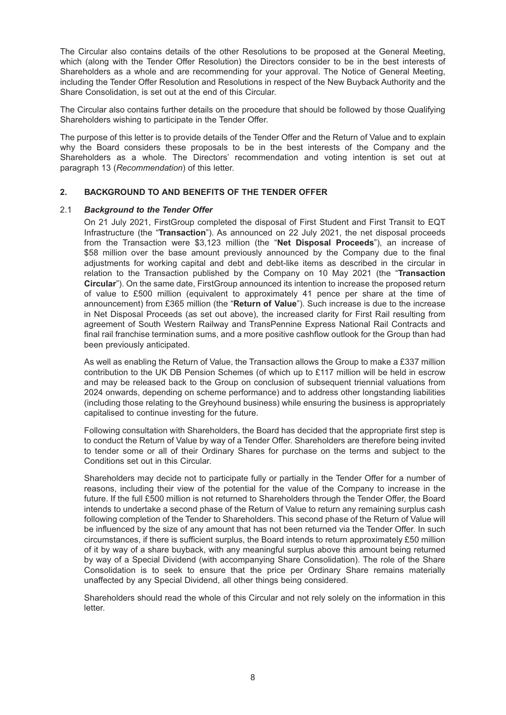The Circular also contains details of the other Resolutions to be proposed at the General Meeting, which (along with the Tender Offer Resolution) the Directors consider to be in the best interests of Shareholders as a whole and are recommending for your approval. The Notice of General Meeting, including the Tender Offer Resolution and Resolutions in respect of the New Buyback Authority and the Share Consolidation, is set out at the end of this Circular.

The Circular also contains further details on the procedure that should be followed by those Qualifying Shareholders wishing to participate in the Tender Offer.

The purpose of this letter is to provide details of the Tender Offer and the Return of Value and to explain why the Board considers these proposals to be in the best interests of the Company and the Shareholders as a whole. The Directors' recommendation and voting intention is set out at paragraph 13 (*Recommendation*) of this letter.

#### **2. BACKGROUND TO AND BENEFITS OF THE TENDER OFFER**

#### 2.1 *Background to the Tender Offer*

On 21 July 2021, FirstGroup completed the disposal of First Student and First Transit to EQT Infrastructure (the "**Transaction**"). As announced on 22 July 2021, the net disposal proceeds from the Transaction were \$3,123 million (the "**Net Disposal Proceeds**"), an increase of \$58 million over the base amount previously announced by the Company due to the final adjustments for working capital and debt and debt-like items as described in the circular in relation to the Transaction published by the Company on 10 May 2021 (the "**Transaction Circular**"). On the same date, FirstGroup announced its intention to increase the proposed return of value to £500 million (equivalent to approximately 41 pence per share at the time of announcement) from £365 million (the "**Return of Value**"). Such increase is due to the increase in Net Disposal Proceeds (as set out above), the increased clarity for First Rail resulting from agreement of South Western Railway and TransPennine Express National Rail Contracts and final rail franchise termination sums, and a more positive cashflow outlook for the Group than had been previously anticipated.

As well as enabling the Return of Value, the Transaction allows the Group to make a £337 million contribution to the UK DB Pension Schemes (of which up to £117 million will be held in escrow and may be released back to the Group on conclusion of subsequent triennial valuations from 2024 onwards, depending on scheme performance) and to address other longstanding liabilities (including those relating to the Greyhound business) while ensuring the business is appropriately capitalised to continue investing for the future.

Following consultation with Shareholders, the Board has decided that the appropriate first step is to conduct the Return of Value by way of a Tender Offer. Shareholders are therefore being invited to tender some or all of their Ordinary Shares for purchase on the terms and subject to the Conditions set out in this Circular.

Shareholders may decide not to participate fully or partially in the Tender Offer for a number of reasons, including their view of the potential for the value of the Company to increase in the future. If the full £500 million is not returned to Shareholders through the Tender Offer, the Board intends to undertake a second phase of the Return of Value to return any remaining surplus cash following completion of the Tender to Shareholders. This second phase of the Return of Value will be influenced by the size of any amount that has not been returned via the Tender Offer. In such circumstances, if there is sufficient surplus, the Board intends to return approximately £50 million of it by way of a share buyback, with any meaningful surplus above this amount being returned by way of a Special Dividend (with accompanying Share Consolidation). The role of the Share Consolidation is to seek to ensure that the price per Ordinary Share remains materially unaffected by any Special Dividend, all other things being considered.

Shareholders should read the whole of this Circular and not rely solely on the information in this letter.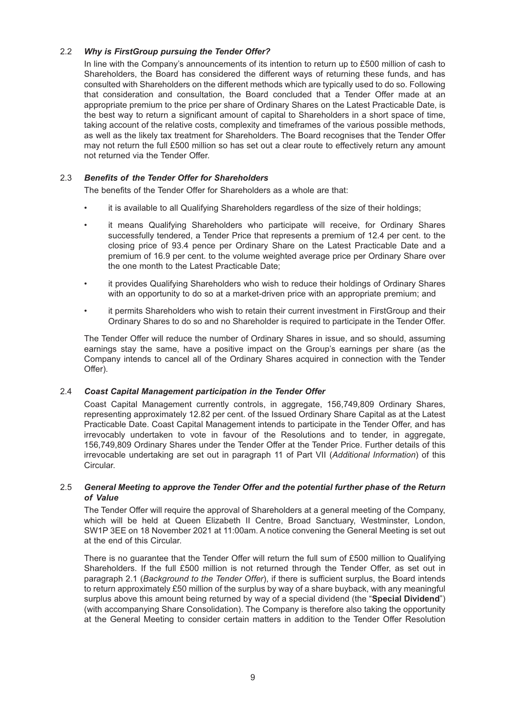#### 2.2 *Why is FirstGroup pursuing the Tender Offer?*

In line with the Company's announcements of its intention to return up to £500 million of cash to Shareholders, the Board has considered the different ways of returning these funds, and has consulted with Shareholders on the different methods which are typically used to do so. Following that consideration and consultation, the Board concluded that a Tender Offer made at an appropriate premium to the price per share of Ordinary Shares on the Latest Practicable Date, is the best way to return a significant amount of capital to Shareholders in a short space of time, taking account of the relative costs, complexity and timeframes of the various possible methods, as well as the likely tax treatment for Shareholders. The Board recognises that the Tender Offer may not return the full £500 million so has set out a clear route to effectively return any amount not returned via the Tender Offer.

#### 2.3 *Benefits of the Tender Offer for Shareholders*

The benefits of the Tender Offer for Shareholders as a whole are that:

- it is available to all Qualifying Shareholders regardless of the size of their holdings;
- it means Qualifying Shareholders who participate will receive, for Ordinary Shares successfully tendered, a Tender Price that represents a premium of 12.4 per cent. to the closing price of 93.4 pence per Ordinary Share on the Latest Practicable Date and a premium of 16.9 per cent. to the volume weighted average price per Ordinary Share over the one month to the Latest Practicable Date;
- it provides Qualifying Shareholders who wish to reduce their holdings of Ordinary Shares with an opportunity to do so at a market-driven price with an appropriate premium; and
- it permits Shareholders who wish to retain their current investment in FirstGroup and their Ordinary Shares to do so and no Shareholder is required to participate in the Tender Offer.

The Tender Offer will reduce the number of Ordinary Shares in issue, and so should, assuming earnings stay the same, have a positive impact on the Group's earnings per share (as the Company intends to cancel all of the Ordinary Shares acquired in connection with the Tender Offer).

#### 2.4 *Coast Capital Management participation in the Tender Offer*

Coast Capital Management currently controls, in aggregate, 156,749,809 Ordinary Shares, representing approximately 12.82 per cent. of the Issued Ordinary Share Capital as at the Latest Practicable Date. Coast Capital Management intends to participate in the Tender Offer, and has irrevocably undertaken to vote in favour of the Resolutions and to tender, in aggregate, 156,749,809 Ordinary Shares under the Tender Offer at the Tender Price. Further details of this irrevocable undertaking are set out in paragraph 11 of Part VII (*Additional Information*) of this Circular.

#### 2.5 *General Meeting to approve the Tender Offer and the potential further phase of the Return of Value*

The Tender Offer will require the approval of Shareholders at a general meeting of the Company, which will be held at Queen Elizabeth II Centre, Broad Sanctuary, Westminster, London, SW1P 3EE on 18 November 2021 at 11:00am. A notice convening the General Meeting is set out at the end of this Circular.

There is no guarantee that the Tender Offer will return the full sum of £500 million to Qualifying Shareholders. If the full £500 million is not returned through the Tender Offer, as set out in paragraph 2.1 (*Background to the Tender Offer*), if there is sufficient surplus, the Board intends to return approximately £50 million of the surplus by way of a share buyback, with any meaningful surplus above this amount being returned by way of a special dividend (the "**Special Dividend**") (with accompanying Share Consolidation). The Company is therefore also taking the opportunity at the General Meeting to consider certain matters in addition to the Tender Offer Resolution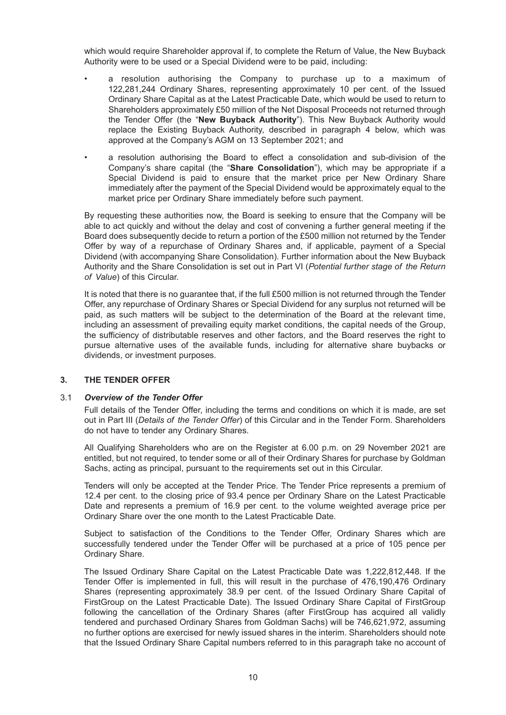which would require Shareholder approval if, to complete the Return of Value, the New Buyback Authority were to be used or a Special Dividend were to be paid, including:

- a resolution authorising the Company to purchase up to a maximum of 122,281,244 Ordinary Shares, representing approximately 10 per cent. of the Issued Ordinary Share Capital as at the Latest Practicable Date, which would be used to return to Shareholders approximately £50 million of the Net Disposal Proceeds not returned through the Tender Offer (the "**New Buyback Authority**"). This New Buyback Authority would replace the Existing Buyback Authority, described in paragraph 4 below, which was approved at the Company's AGM on 13 September 2021; and
- a resolution authorising the Board to effect a consolidation and sub-division of the Company's share capital (the "**Share Consolidation**"), which may be appropriate if a Special Dividend is paid to ensure that the market price per New Ordinary Share immediately after the payment of the Special Dividend would be approximately equal to the market price per Ordinary Share immediately before such payment.

By requesting these authorities now, the Board is seeking to ensure that the Company will be able to act quickly and without the delay and cost of convening a further general meeting if the Board does subsequently decide to return a portion of the £500 million not returned by the Tender Offer by way of a repurchase of Ordinary Shares and, if applicable, payment of a Special Dividend (with accompanying Share Consolidation). Further information about the New Buyback Authority and the Share Consolidation is set out in Part VI (*Potential further stage of the Return of Value*) of this Circular.

It is noted that there is no guarantee that, if the full £500 million is not returned through the Tender Offer, any repurchase of Ordinary Shares or Special Dividend for any surplus not returned will be paid, as such matters will be subject to the determination of the Board at the relevant time, including an assessment of prevailing equity market conditions, the capital needs of the Group, the sufficiency of distributable reserves and other factors, and the Board reserves the right to pursue alternative uses of the available funds, including for alternative share buybacks or dividends, or investment purposes.

#### **3. THE TENDER OFFER**

#### 3.1 *Overview of the Tender Offer*

Full details of the Tender Offer, including the terms and conditions on which it is made, are set out in Part III (*Details of the Tender Offer*) of this Circular and in the Tender Form. Shareholders do not have to tender any Ordinary Shares.

All Qualifying Shareholders who are on the Register at 6.00 p.m. on 29 November 2021 are entitled, but not required, to tender some or all of their Ordinary Shares for purchase by Goldman Sachs, acting as principal, pursuant to the requirements set out in this Circular.

Tenders will only be accepted at the Tender Price. The Tender Price represents a premium of 12.4 per cent. to the closing price of 93.4 pence per Ordinary Share on the Latest Practicable Date and represents a premium of 16.9 per cent. to the volume weighted average price per Ordinary Share over the one month to the Latest Practicable Date.

Subject to satisfaction of the Conditions to the Tender Offer, Ordinary Shares which are successfully tendered under the Tender Offer will be purchased at a price of 105 pence per Ordinary Share.

The Issued Ordinary Share Capital on the Latest Practicable Date was 1,222,812,448. If the Tender Offer is implemented in full, this will result in the purchase of 476,190,476 Ordinary Shares (representing approximately 38.9 per cent. of the Issued Ordinary Share Capital of FirstGroup on the Latest Practicable Date). The Issued Ordinary Share Capital of FirstGroup following the cancellation of the Ordinary Shares (after FirstGroup has acquired all validly tendered and purchased Ordinary Shares from Goldman Sachs) will be 746,621,972, assuming no further options are exercised for newly issued shares in the interim. Shareholders should note that the Issued Ordinary Share Capital numbers referred to in this paragraph take no account of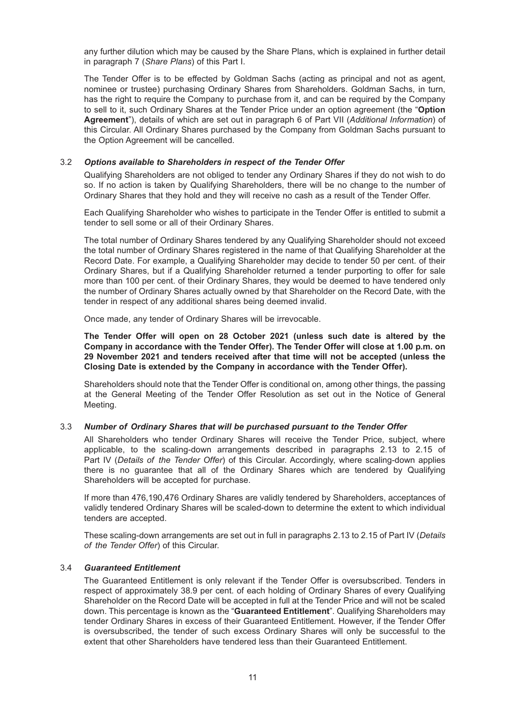any further dilution which may be caused by the Share Plans, which is explained in further detail in paragraph 7 (*Share Plans*) of this Part I.

The Tender Offer is to be effected by Goldman Sachs (acting as principal and not as agent, nominee or trustee) purchasing Ordinary Shares from Shareholders. Goldman Sachs, in turn, has the right to require the Company to purchase from it, and can be required by the Company to sell to it, such Ordinary Shares at the Tender Price under an option agreement (the "**Option Agreement**"), details of which are set out in paragraph 6 of Part VII (*Additional Information*) of this Circular. All Ordinary Shares purchased by the Company from Goldman Sachs pursuant to the Option Agreement will be cancelled.

#### 3.2 *Options available to Shareholders in respect of the Tender Offer*

Qualifying Shareholders are not obliged to tender any Ordinary Shares if they do not wish to do so. If no action is taken by Qualifying Shareholders, there will be no change to the number of Ordinary Shares that they hold and they will receive no cash as a result of the Tender Offer.

Each Qualifying Shareholder who wishes to participate in the Tender Offer is entitled to submit a tender to sell some or all of their Ordinary Shares.

The total number of Ordinary Shares tendered by any Qualifying Shareholder should not exceed the total number of Ordinary Shares registered in the name of that Qualifying Shareholder at the Record Date. For example, a Qualifying Shareholder may decide to tender 50 per cent. of their Ordinary Shares, but if a Qualifying Shareholder returned a tender purporting to offer for sale more than 100 per cent. of their Ordinary Shares, they would be deemed to have tendered only the number of Ordinary Shares actually owned by that Shareholder on the Record Date, with the tender in respect of any additional shares being deemed invalid.

Once made, any tender of Ordinary Shares will be irrevocable.

**The Tender Offer will open on 28 October 2021 (unless such date is altered by the Company in accordance with the Tender Offer). The Tender Offer will close at 1.00 p.m. on 29 November 2021 and tenders received after that time will not be accepted (unless the Closing Date is extended by the Company in accordance with the Tender Offer).**

Shareholders should note that the Tender Offer is conditional on, among other things, the passing at the General Meeting of the Tender Offer Resolution as set out in the Notice of General Meeting.

#### 3.3 *Number of Ordinary Shares that will be purchased pursuant to the Tender Offer*

All Shareholders who tender Ordinary Shares will receive the Tender Price, subject, where applicable, to the scaling-down arrangements described in paragraphs 2.13 to 2.15 of Part IV (*Details of the Tender Offer*) of this Circular. Accordingly, where scaling-down applies there is no guarantee that all of the Ordinary Shares which are tendered by Qualifying Shareholders will be accepted for purchase.

If more than 476,190,476 Ordinary Shares are validly tendered by Shareholders, acceptances of validly tendered Ordinary Shares will be scaled-down to determine the extent to which individual tenders are accepted.

These scaling-down arrangements are set out in full in paragraphs 2.13 to 2.15 of Part IV (*Details of the Tender Offer*) of this Circular.

#### 3.4 *Guaranteed Entitlement*

The Guaranteed Entitlement is only relevant if the Tender Offer is oversubscribed. Tenders in respect of approximately 38.9 per cent. of each holding of Ordinary Shares of every Qualifying Shareholder on the Record Date will be accepted in full at the Tender Price and will not be scaled down. This percentage is known as the "**Guaranteed Entitlement**". Qualifying Shareholders may tender Ordinary Shares in excess of their Guaranteed Entitlement. However, if the Tender Offer is oversubscribed, the tender of such excess Ordinary Shares will only be successful to the extent that other Shareholders have tendered less than their Guaranteed Entitlement.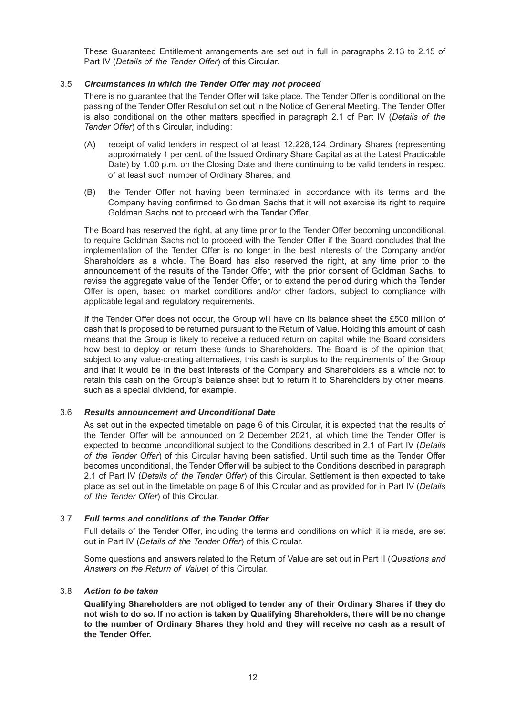These Guaranteed Entitlement arrangements are set out in full in paragraphs 2.13 to 2.15 of Part IV (*Details of the Tender Offer*) of this Circular.

#### 3.5 *Circumstances in which the Tender Offer may not proceed*

There is no guarantee that the Tender Offer will take place. The Tender Offer is conditional on the passing of the Tender Offer Resolution set out in the Notice of General Meeting. The Tender Offer is also conditional on the other matters specified in paragraph 2.1 of Part IV (*Details of the Tender Offer*) of this Circular, including:

- (A) receipt of valid tenders in respect of at least 12,228,124 Ordinary Shares (representing approximately 1 per cent. of the Issued Ordinary Share Capital as at the Latest Practicable Date) by 1.00 p.m. on the Closing Date and there continuing to be valid tenders in respect of at least such number of Ordinary Shares; and
- (B) the Tender Offer not having been terminated in accordance with its terms and the Company having confirmed to Goldman Sachs that it will not exercise its right to require Goldman Sachs not to proceed with the Tender Offer.

The Board has reserved the right, at any time prior to the Tender Offer becoming unconditional, to require Goldman Sachs not to proceed with the Tender Offer if the Board concludes that the implementation of the Tender Offer is no longer in the best interests of the Company and/or Shareholders as a whole. The Board has also reserved the right, at any time prior to the announcement of the results of the Tender Offer, with the prior consent of Goldman Sachs, to revise the aggregate value of the Tender Offer, or to extend the period during which the Tender Offer is open, based on market conditions and/or other factors, subject to compliance with applicable legal and regulatory requirements.

If the Tender Offer does not occur, the Group will have on its balance sheet the £500 million of cash that is proposed to be returned pursuant to the Return of Value. Holding this amount of cash means that the Group is likely to receive a reduced return on capital while the Board considers how best to deploy or return these funds to Shareholders. The Board is of the opinion that, subject to any value-creating alternatives, this cash is surplus to the requirements of the Group and that it would be in the best interests of the Company and Shareholders as a whole not to retain this cash on the Group's balance sheet but to return it to Shareholders by other means, such as a special dividend, for example.

#### 3.6 *Results announcement and Unconditional Date*

As set out in the expected timetable on page 6 of this Circular, it is expected that the results of the Tender Offer will be announced on 2 December 2021, at which time the Tender Offer is expected to become unconditional subject to the Conditions described in 2.1 of Part IV (*Details of the Tender Offer*) of this Circular having been satisfied. Until such time as the Tender Offer becomes unconditional, the Tender Offer will be subject to the Conditions described in paragraph 2.1 of Part IV (*Details of the Tender Offer*) of this Circular. Settlement is then expected to take place as set out in the timetable on page 6 of this Circular and as provided for in Part IV (*Details of the Tender Offer*) of this Circular.

#### 3.7 *Full terms and conditions of the Tender Offer*

Full details of the Tender Offer, including the terms and conditions on which it is made, are set out in Part IV (*Details of the Tender Offer*) of this Circular.

Some questions and answers related to the Return of Value are set out in Part II (*Questions and Answers on the Return of Value*) of this Circular.

#### 3.8 *Action to be taken*

**Qualifying Shareholders are not obliged to tender any of their Ordinary Shares if they do not wish to do so. If no action is taken by Qualifying Shareholders, there will be no change to the number of Ordinary Shares they hold and they will receive no cash as a result of the Tender Offer.**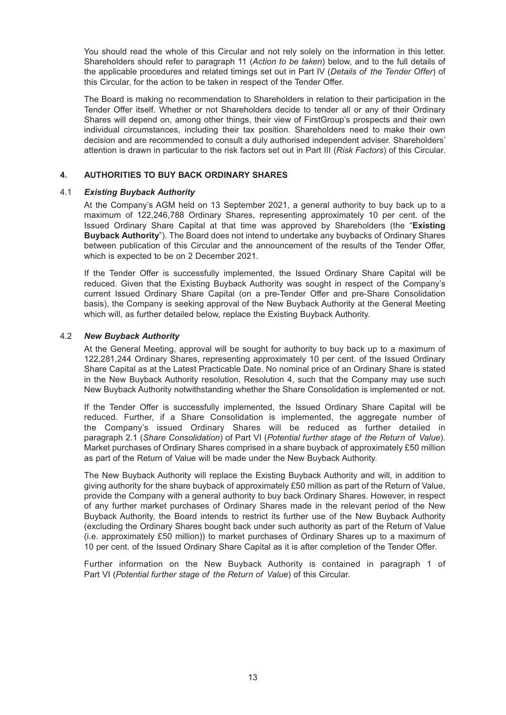You should read the whole of this Circular and not rely solely on the information in this letter. Shareholders should refer to paragraph 11 (*Action to be taken*) below, and to the full details of the applicable procedures and related timings set out in Part IV (*Details of the Tender Offer*) of this Circular, for the action to be taken in respect of the Tender Offer.

The Board is making no recommendation to Shareholders in relation to their participation in the Tender Offer itself. Whether or not Shareholders decide to tender all or any of their Ordinary Shares will depend on, among other things, their view of FirstGroup's prospects and their own individual circumstances, including their tax position. Shareholders need to make their own decision and are recommended to consult a duly authorised independent adviser. Shareholders' attention is drawn in particular to the risk factors set out in Part III (*Risk Factors*) of this Circular.

#### **4. AUTHORITIES TO BUY BACK ORDINARY SHARES**

#### 4.1 *Existing Buyback Authority*

At the Company's AGM held on 13 September 2021, a general authority to buy back up to a maximum of 122,246,788 Ordinary Shares, representing approximately 10 per cent. of the Issued Ordinary Share Capital at that time was approved by Shareholders (the "**Existing Buyback Authority**"). The Board does not intend to undertake any buybacks of Ordinary Shares between publication of this Circular and the announcement of the results of the Tender Offer, which is expected to be on 2 December 2021.

If the Tender Offer is successfully implemented, the Issued Ordinary Share Capital will be reduced. Given that the Existing Buyback Authority was sought in respect of the Company's current Issued Ordinary Share Capital (on a pre-Tender Offer and pre-Share Consolidation basis), the Company is seeking approval of the New Buyback Authority at the General Meeting which will, as further detailed below, replace the Existing Buyback Authority.

#### 4.2 *New Buyback Authority*

At the General Meeting, approval will be sought for authority to buy back up to a maximum of 122,281,244 Ordinary Shares, representing approximately 10 per cent. of the Issued Ordinary Share Capital as at the Latest Practicable Date. No nominal price of an Ordinary Share is stated in the New Buyback Authority resolution, Resolution 4, such that the Company may use such New Buyback Authority notwithstanding whether the Share Consolidation is implemented or not.

If the Tender Offer is successfully implemented, the Issued Ordinary Share Capital will be reduced. Further, if a Share Consolidation is implemented, the aggregate number of the Company's issued Ordinary Shares will be reduced as further detailed in paragraph 2.1 (*Share Consolidation*) of Part VI (*Potential further stage of the Return of Value*). Market purchases of Ordinary Shares comprised in a share buyback of approximately £50 million as part of the Return of Value will be made under the New Buyback Authority.

The New Buyback Authority will replace the Existing Buyback Authority and will, in addition to giving authority for the share buyback of approximately £50 million as part of the Return of Value, provide the Company with a general authority to buy back Ordinary Shares. However, in respect of any further market purchases of Ordinary Shares made in the relevant period of the New Buyback Authority, the Board intends to restrict its further use of the New Buyback Authority (excluding the Ordinary Shares bought back under such authority as part of the Return of Value (i.e. approximately £50 million)) to market purchases of Ordinary Shares up to a maximum of 10 per cent. of the Issued Ordinary Share Capital as it is after completion of the Tender Offer.

Further information on the New Buyback Authority is contained in paragraph 1 of Part VI (*Potential further stage of the Return of Value*) of this Circular.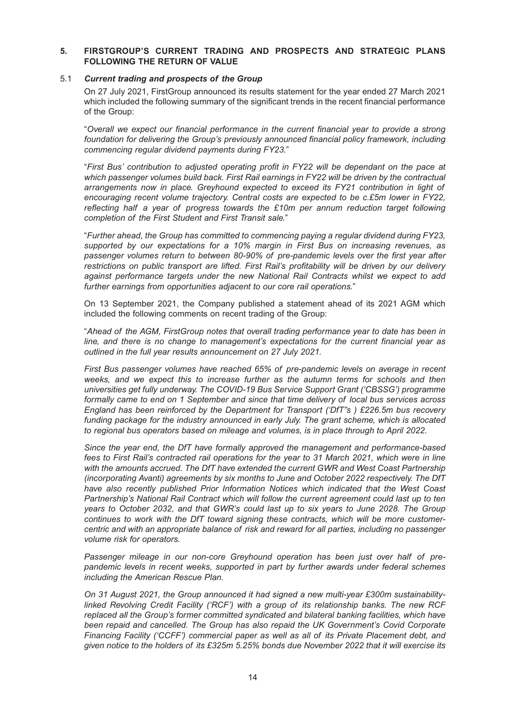#### **5. FIRSTGROUP'S CURRENT TRADING AND PROSPECTS AND STRATEGIC PLANS FOLLOWING THE RETURN OF VALUE**

#### 5.1 *Current trading and prospects of the Group*

On 27 July 2021, FirstGroup announced its results statement for the year ended 27 March 2021 which included the following summary of the significant trends in the recent financial performance of the Group:

"*Overall we expect our financial performance in the current financial year to provide a strong foundation for delivering the Group's previously announced financial policy framework, including commencing regular dividend payments during FY23.*"

"*First Bus' contribution to adjusted operating profit in FY22 will be dependant on the pace at which passenger volumes build back. First Rail earnings in FY22 will be driven by the contractual arrangements now in place. Greyhound expected to exceed its FY21 contribution in light of encouraging recent volume trajectory. Central costs are expected to be c.£5m lower in FY22, reflecting half a year of progress towards the £10m per annum reduction target following completion of the First Student and First Transit sale.*"

"*Further ahead, the Group has committed to commencing paying a regular dividend during FY23, supported by our expectations for a 10% margin in First Bus on increasing revenues, as passenger volumes return to between 80-90% of pre-pandemic levels over the first year after restrictions on public transport are lifted. First Rail's profitability will be driven by our delivery against performance targets under the new National Rail Contracts whilst we expect to add further earnings from opportunities adjacent to our core rail operations.*"

On 13 September 2021, the Company published a statement ahead of its 2021 AGM which included the following comments on recent trading of the Group:

"*Ahead of the AGM, FirstGroup notes that overall trading performance year to date has been in line, and there is no change to management's expectations for the current financial year as outlined in the full year results announcement on 27 July 2021.*

*First Bus passenger volumes have reached 65% of pre-pandemic levels on average in recent weeks, and we expect this to increase further as the autumn terms for schools and then universities get fully underway. The COVID-19 Bus Service Support Grant ('CBSSG') programme formally came to end on 1 September and since that time delivery of local bus services across England has been reinforced by the Department for Transport ('DfT"s ) £226.5m bus recovery funding package for the industry announced in early July. The grant scheme, which is allocated to regional bus operators based on mileage and volumes, is in place through to April 2022.*

*Since the year end, the DfT have formally approved the management and performance-based fees to First Rail's contracted rail operations for the year to 31 March 2021, which were in line with the amounts accrued. The DfT have extended the current GWR and West Coast Partnership (incorporating Avanti) agreements by six months to June and October 2022 respectively. The DfT have also recently published Prior Information Notices which indicated that the West Coast Partnership's National Rail Contract which will follow the current agreement could last up to ten years to October 2032, and that GWR's could last up to six years to June 2028. The Group continues to work with the DfT toward signing these contracts, which will be more customercentric and with an appropriate balance of risk and reward for all parties, including no passenger volume risk for operators.*

*Passenger mileage in our non-core Greyhound operation has been just over half of prepandemic levels in recent weeks, supported in part by further awards under federal schemes including the American Rescue Plan.*

*On 31 August 2021, the Group announced it had signed a new multi-year £300m sustainabilitylinked Revolving Credit Facility ('RCF') with a group of its relationship banks. The new RCF replaced all the Group's former committed syndicated and bilateral banking facilities, which have been repaid and cancelled. The Group has also repaid the UK Government's Covid Corporate Financing Facility ('CCFF') commercial paper as well as all of its Private Placement debt, and given notice to the holders of its £325m 5.25% bonds due November 2022 that it will exercise its*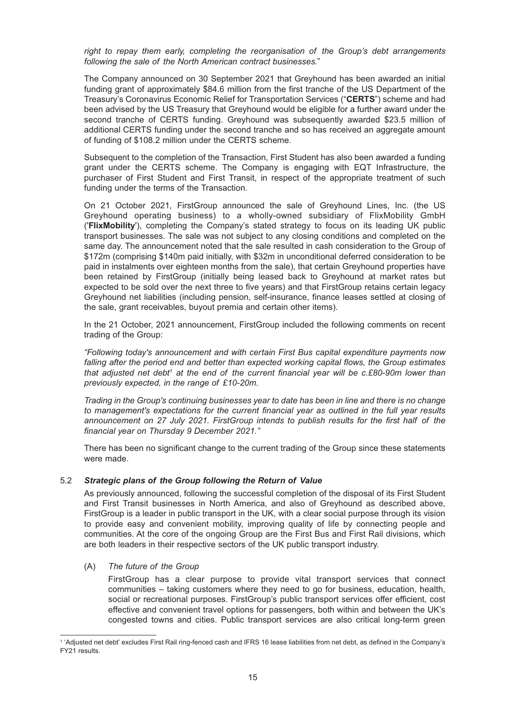*right to repay them early, completing the reorganisation of the Group's debt arrangements following the sale of the North American contract businesses.*"

The Company announced on 30 September 2021 that Greyhound has been awarded an initial funding grant of approximately \$84.6 million from the first tranche of the US Department of the Treasury's Coronavirus Economic Relief for Transportation Services ("**CERTS**") scheme and had been advised by the US Treasury that Greyhound would be eligible for a further award under the second tranche of CERTS funding. Greyhound was subsequently awarded \$23.5 million of additional CERTS funding under the second tranche and so has received an aggregate amount of funding of \$108.2 million under the CERTS scheme.

Subsequent to the completion of the Transaction, First Student has also been awarded a funding grant under the CERTS scheme. The Company is engaging with EQT Infrastructure, the purchaser of First Student and First Transit, in respect of the appropriate treatment of such funding under the terms of the Transaction.

On 21 October 2021, FirstGroup announced the sale of Greyhound Lines, Inc. (the US Greyhound operating business) to a wholly-owned subsidiary of FlixMobility GmbH ('**FlixMobility**'), completing the Company's stated strategy to focus on its leading UK public transport businesses. The sale was not subject to any closing conditions and completed on the same day. The announcement noted that the sale resulted in cash consideration to the Group of \$172m (comprising \$140m paid initially, with \$32m in unconditional deferred consideration to be paid in instalments over eighteen months from the sale), that certain Greyhound properties have been retained by FirstGroup (initially being leased back to Greyhound at market rates but expected to be sold over the next three to five years) and that FirstGroup retains certain legacy Greyhound net liabilities (including pension, self-insurance, finance leases settled at closing of the sale, grant receivables, buyout premia and certain other items).

In the 21 October, 2021 announcement, FirstGroup included the following comments on recent trading of the Group:

*"Following today's announcement and with certain First Bus capital expenditure payments now falling after the period end and better than expected working capital flows, the Group estimates that adjusted net debt1 at the end of the current financial year will be c.£80-90m lower than previously expected, in the range of £10-20m.*

*Trading in the Group's continuing businesses year to date has been in line and there is no change to management's expectations for the current financial year as outlined in the full year results announcement on 27 July 2021. FirstGroup intends to publish results for the first half of the financial year on Thursday 9 December 2021."*

There has been no significant change to the current trading of the Group since these statements were made.

#### 5.2 *Strategic plans of the Group following the Return of Value*

As previously announced, following the successful completion of the disposal of its First Student and First Transit businesses in North America, and also of Greyhound as described above, FirstGroup is a leader in public transport in the UK, with a clear social purpose through its vision to provide easy and convenient mobility, improving quality of life by connecting people and communities. At the core of the ongoing Group are the First Bus and First Rail divisions, which are both leaders in their respective sectors of the UK public transport industry.

#### (A) *The future of the Group*

FirstGroup has a clear purpose to provide vital transport services that connect communities – taking customers where they need to go for business, education, health, social or recreational purposes. FirstGroup's public transport services offer efficient, cost effective and convenient travel options for passengers, both within and between the UK's congested towns and cities. Public transport services are also critical long-term green

<sup>1</sup> 'Adjusted net debt' excludes First Rail ring-fenced cash and IFRS 16 lease liabilities from net debt, as defined in the Company's FY21 results.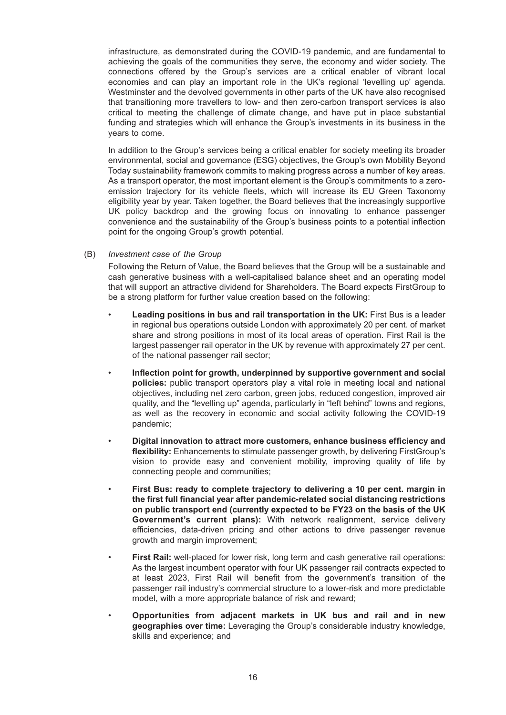infrastructure, as demonstrated during the COVID-19 pandemic, and are fundamental to achieving the goals of the communities they serve, the economy and wider society. The connections offered by the Group's services are a critical enabler of vibrant local economies and can play an important role in the UK's regional 'levelling up' agenda. Westminster and the devolved governments in other parts of the UK have also recognised that transitioning more travellers to low- and then zero-carbon transport services is also critical to meeting the challenge of climate change, and have put in place substantial funding and strategies which will enhance the Group's investments in its business in the years to come.

In addition to the Group's services being a critical enabler for society meeting its broader environmental, social and governance (ESG) objectives, the Group's own Mobility Beyond Today sustainability framework commits to making progress across a number of key areas. As a transport operator, the most important element is the Group's commitments to a zeroemission trajectory for its vehicle fleets, which will increase its EU Green Taxonomy eligibility year by year. Taken together, the Board believes that the increasingly supportive UK policy backdrop and the growing focus on innovating to enhance passenger convenience and the sustainability of the Group's business points to a potential inflection point for the ongoing Group's growth potential.

(B) *Investment case of the Group*

Following the Return of Value, the Board believes that the Group will be a sustainable and cash generative business with a well-capitalised balance sheet and an operating model that will support an attractive dividend for Shareholders. The Board expects FirstGroup to be a strong platform for further value creation based on the following:

- **Leading positions in bus and rail transportation in the UK:** First Bus is a leader in regional bus operations outside London with approximately 20 per cent. of market share and strong positions in most of its local areas of operation. First Rail is the largest passenger rail operator in the UK by revenue with approximately 27 per cent. of the national passenger rail sector;
- **Inflection point for growth, underpinned by supportive government and social policies:** public transport operators play a vital role in meeting local and national objectives, including net zero carbon, green jobs, reduced congestion, improved air quality, and the "levelling up" agenda, particularly in "left behind" towns and regions, as well as the recovery in economic and social activity following the COVID-19 pandemic;
- **Digital innovation to attract more customers, enhance business efficiency and flexibility:** Enhancements to stimulate passenger growth, by delivering FirstGroup's vision to provide easy and convenient mobility, improving quality of life by connecting people and communities;
- **First Bus: ready to complete trajectory to delivering a 10 per cent. margin in the first full financial year after pandemic-related social distancing restrictions on public transport end (currently expected to be FY23 on the basis of the UK Government's current plans):** With network realignment, service delivery efficiencies, data-driven pricing and other actions to drive passenger revenue growth and margin improvement;
- **First Rail:** well-placed for lower risk, long term and cash generative rail operations: As the largest incumbent operator with four UK passenger rail contracts expected to at least 2023, First Rail will benefit from the government's transition of the passenger rail industry's commercial structure to a lower-risk and more predictable model, with a more appropriate balance of risk and reward;
- **Opportunities from adjacent markets in UK bus and rail and in new geographies over time:** Leveraging the Group's considerable industry knowledge, skills and experience; and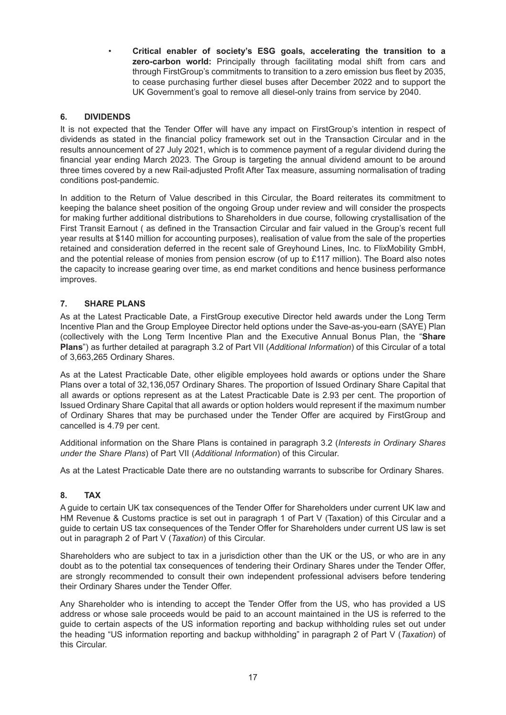• **Critical enabler of society's ESG goals, accelerating the transition to a zero-carbon world:** Principally through facilitating modal shift from cars and through FirstGroup's commitments to transition to a zero emission bus fleet by 2035, to cease purchasing further diesel buses after December 2022 and to support the UK Government's goal to remove all diesel-only trains from service by 2040.

#### **6. DIVIDENDS**

It is not expected that the Tender Offer will have any impact on FirstGroup's intention in respect of dividends as stated in the financial policy framework set out in the Transaction Circular and in the results announcement of 27 July 2021, which is to commence payment of a regular dividend during the financial year ending March 2023. The Group is targeting the annual dividend amount to be around three times covered by a new Rail-adjusted Profit After Tax measure, assuming normalisation of trading conditions post-pandemic.

In addition to the Return of Value described in this Circular, the Board reiterates its commitment to keeping the balance sheet position of the ongoing Group under review and will consider the prospects for making further additional distributions to Shareholders in due course, following crystallisation of the First Transit Earnout ( as defined in the Transaction Circular and fair valued in the Group's recent full year results at \$140 million for accounting purposes), realisation of value from the sale of the properties retained and consideration deferred in the recent sale of Greyhound Lines, Inc. to FlixMobility GmbH, and the potential release of monies from pension escrow (of up to £117 million). The Board also notes the capacity to increase gearing over time, as end market conditions and hence business performance improves.

#### **7. SHARE PLANS**

As at the Latest Practicable Date, a FirstGroup executive Director held awards under the Long Term Incentive Plan and the Group Employee Director held options under the Save-as-you-earn (SAYE) Plan (collectively with the Long Term Incentive Plan and the Executive Annual Bonus Plan, the "**Share Plans**") as further detailed at paragraph 3.2 of Part VII (*Additional Information*) of this Circular of a total of 3,663,265 Ordinary Shares.

As at the Latest Practicable Date, other eligible employees hold awards or options under the Share Plans over a total of 32,136,057 Ordinary Shares. The proportion of Issued Ordinary Share Capital that all awards or options represent as at the Latest Practicable Date is 2.93 per cent. The proportion of Issued Ordinary Share Capital that all awards or option holders would represent if the maximum number of Ordinary Shares that may be purchased under the Tender Offer are acquired by FirstGroup and cancelled is 4.79 per cent.

Additional information on the Share Plans is contained in paragraph 3.2 (*Interests in Ordinary Shares under the Share Plans*) of Part VII (*Additional Information*) of this Circular.

As at the Latest Practicable Date there are no outstanding warrants to subscribe for Ordinary Shares.

#### **8. TAX**

A guide to certain UK tax consequences of the Tender Offer for Shareholders under current UK law and HM Revenue & Customs practice is set out in paragraph 1 of Part V (Taxation) of this Circular and a guide to certain US tax consequences of the Tender Offer for Shareholders under current US law is set out in paragraph 2 of Part V (*Taxation*) of this Circular.

Shareholders who are subject to tax in a jurisdiction other than the UK or the US, or who are in any doubt as to the potential tax consequences of tendering their Ordinary Shares under the Tender Offer, are strongly recommended to consult their own independent professional advisers before tendering their Ordinary Shares under the Tender Offer.

Any Shareholder who is intending to accept the Tender Offer from the US, who has provided a US address or whose sale proceeds would be paid to an account maintained in the US is referred to the guide to certain aspects of the US information reporting and backup withholding rules set out under the heading "US information reporting and backup withholding" in paragraph 2 of Part V (*Taxation*) of this Circular.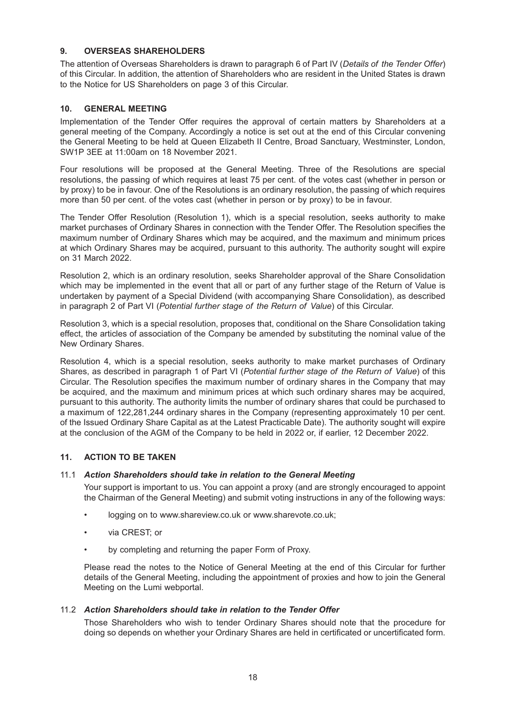#### **9. OVERSEAS SHAREHOLDERS**

The attention of Overseas Shareholders is drawn to paragraph 6 of Part IV (*Details of the Tender Offer*) of this Circular. In addition, the attention of Shareholders who are resident in the United States is drawn to the Notice for US Shareholders on page 3 of this Circular.

#### **10. GENERAL MEETING**

Implementation of the Tender Offer requires the approval of certain matters by Shareholders at a general meeting of the Company. Accordingly a notice is set out at the end of this Circular convening the General Meeting to be held at Queen Elizabeth II Centre, Broad Sanctuary, Westminster, London, SW1P 3EE at 11:00am on 18 November 2021.

Four resolutions will be proposed at the General Meeting. Three of the Resolutions are special resolutions, the passing of which requires at least 75 per cent. of the votes cast (whether in person or by proxy) to be in favour. One of the Resolutions is an ordinary resolution, the passing of which requires more than 50 per cent. of the votes cast (whether in person or by proxy) to be in favour.

The Tender Offer Resolution (Resolution 1), which is a special resolution, seeks authority to make market purchases of Ordinary Shares in connection with the Tender Offer. The Resolution specifies the maximum number of Ordinary Shares which may be acquired, and the maximum and minimum prices at which Ordinary Shares may be acquired, pursuant to this authority. The authority sought will expire on 31 March 2022.

Resolution 2, which is an ordinary resolution, seeks Shareholder approval of the Share Consolidation which may be implemented in the event that all or part of any further stage of the Return of Value is undertaken by payment of a Special Dividend (with accompanying Share Consolidation), as described in paragraph 2 of Part VI (*Potential further stage of the Return of Value*) of this Circular.

Resolution 3, which is a special resolution, proposes that, conditional on the Share Consolidation taking effect, the articles of association of the Company be amended by substituting the nominal value of the New Ordinary Shares.

Resolution 4, which is a special resolution, seeks authority to make market purchases of Ordinary Shares, as described in paragraph 1 of Part VI (*Potential further stage of the Return of Value*) of this Circular. The Resolution specifies the maximum number of ordinary shares in the Company that may be acquired, and the maximum and minimum prices at which such ordinary shares may be acquired, pursuant to this authority. The authority limits the number of ordinary shares that could be purchased to a maximum of 122,281,244 ordinary shares in the Company (representing approximately 10 per cent. of the Issued Ordinary Share Capital as at the Latest Practicable Date). The authority sought will expire at the conclusion of the AGM of the Company to be held in 2022 or, if earlier, 12 December 2022.

#### **11. ACTION TO BE TAKEN**

#### 11.1 *Action Shareholders should take in relation to the General Meeting*

Your support is important to us. You can appoint a proxy (and are strongly encouraged to appoint the Chairman of the General Meeting) and submit voting instructions in any of the following ways:

- logging on to www.shareview.co.uk or www.sharevote.co.uk;
- via CREST; or
- by completing and returning the paper Form of Proxy.

Please read the notes to the Notice of General Meeting at the end of this Circular for further details of the General Meeting, including the appointment of proxies and how to join the General Meeting on the Lumi webportal.

#### 11.2 *Action Shareholders should take in relation to the Tender Offer*

Those Shareholders who wish to tender Ordinary Shares should note that the procedure for doing so depends on whether your Ordinary Shares are held in certificated or uncertificated form.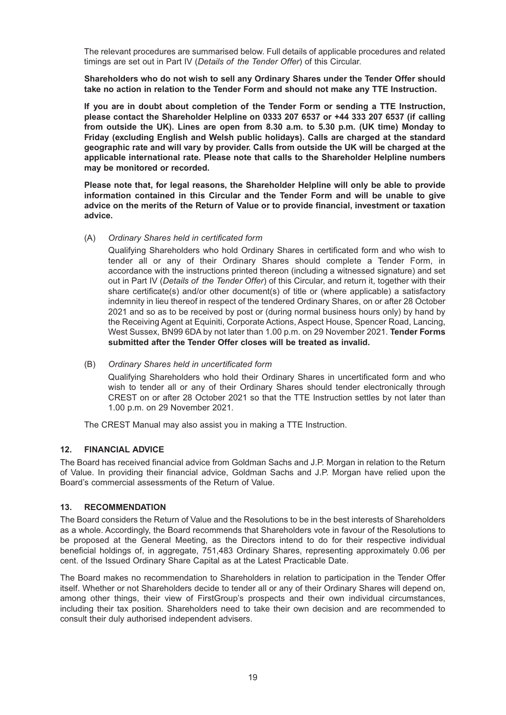The relevant procedures are summarised below. Full details of applicable procedures and related timings are set out in Part IV (*Details of the Tender Offer*) of this Circular.

**Shareholders who do not wish to sell any Ordinary Shares under the Tender Offer should take no action in relation to the Tender Form and should not make any TTE Instruction.**

**If you are in doubt about completion of the Tender Form or sending a TTE Instruction, please contact the Shareholder Helpline on 0333 207 6537 or +44 333 207 6537 (if calling from outside the UK). Lines are open from 8.30 a.m. to 5.30 p.m. (UK time) Monday to Friday (excluding English and Welsh public holidays). Calls are charged at the standard geographic rate and will vary by provider. Calls from outside the UK will be charged at the applicable international rate. Please note that calls to the Shareholder Helpline numbers may be monitored or recorded.**

**Please note that, for legal reasons, the Shareholder Helpline will only be able to provide information contained in this Circular and the Tender Form and will be unable to give advice on the merits of the Return of Value or to provide financial, investment or taxation advice.**

(A) *Ordinary Shares held in certificated form*

Qualifying Shareholders who hold Ordinary Shares in certificated form and who wish to tender all or any of their Ordinary Shares should complete a Tender Form, in accordance with the instructions printed thereon (including a witnessed signature) and set out in Part IV (*Details of the Tender Offer*) of this Circular, and return it, together with their share certificate(s) and/or other document(s) of title or (where applicable) a satisfactory indemnity in lieu thereof in respect of the tendered Ordinary Shares, on or after 28 October 2021 and so as to be received by post or (during normal business hours only) by hand by the Receiving Agent at Equiniti, Corporate Actions, Aspect House, Spencer Road, Lancing, West Sussex, BN99 6DA by not later than 1.00 p.m. on 29 November 2021. **Tender Forms submitted after the Tender Offer closes will be treated as invalid.**

(B) *Ordinary Shares held in uncertificated form*

Qualifying Shareholders who hold their Ordinary Shares in uncertificated form and who wish to tender all or any of their Ordinary Shares should tender electronically through CREST on or after 28 October 2021 so that the TTE Instruction settles by not later than 1.00 p.m. on 29 November 2021.

The CREST Manual may also assist you in making a TTE Instruction.

#### **12. FINANCIAL ADVICE**

The Board has received financial advice from Goldman Sachs and J.P. Morgan in relation to the Return of Value. In providing their financial advice, Goldman Sachs and J.P. Morgan have relied upon the Board's commercial assessments of the Return of Value.

#### **13. RECOMMENDATION**

The Board considers the Return of Value and the Resolutions to be in the best interests of Shareholders as a whole. Accordingly, the Board recommends that Shareholders vote in favour of the Resolutions to be proposed at the General Meeting, as the Directors intend to do for their respective individual beneficial holdings of, in aggregate, 751,483 Ordinary Shares, representing approximately 0.06 per cent. of the Issued Ordinary Share Capital as at the Latest Practicable Date.

The Board makes no recommendation to Shareholders in relation to participation in the Tender Offer itself. Whether or not Shareholders decide to tender all or any of their Ordinary Shares will depend on, among other things, their view of FirstGroup's prospects and their own individual circumstances, including their tax position. Shareholders need to take their own decision and are recommended to consult their duly authorised independent advisers.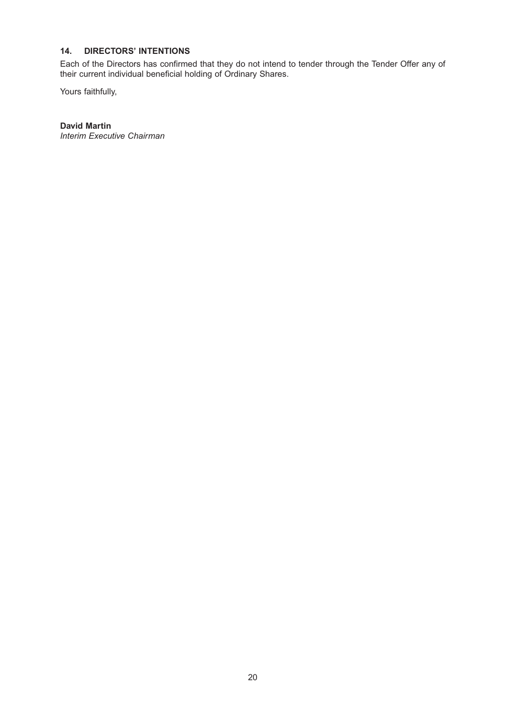#### **14. DIRECTORS' INTENTIONS**

Each of the Directors has confirmed that they do not intend to tender through the Tender Offer any of their current individual beneficial holding of Ordinary Shares.

Yours faithfully,

#### **David Martin**

*Interim Executive Chairman*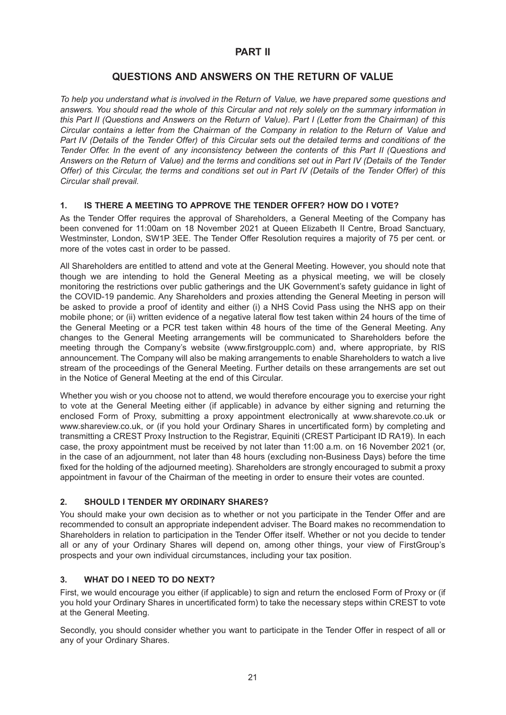### **PART II**

#### **QUESTIONS AND ANSWERS ON THE RETURN OF VALUE**

*To help you understand what is involved in the Return of Value, we have prepared some questions and answers. You should read the whole of this Circular and not rely solely on the summary information in this Part II (Questions and Answers on the Return of Value). Part I (Letter from the Chairman) of this Circular contains a letter from the Chairman of the Company in relation to the Return of Value and Part IV (Details of the Tender Offer) of this Circular sets out the detailed terms and conditions of the Tender Offer. In the event of any inconsistency between the contents of this Part II (Questions and Answers on the Return of Value) and the terms and conditions set out in Part IV (Details of the Tender Offer) of this Circular, the terms and conditions set out in Part IV (Details of the Tender Offer) of this Circular shall prevail.*

#### **1. IS THERE A MEETING TO APPROVE THE TENDER OFFER? HOW DO I VOTE?**

As the Tender Offer requires the approval of Shareholders, a General Meeting of the Company has been convened for 11:00am on 18 November 2021 at Queen Elizabeth II Centre, Broad Sanctuary, Westminster, London, SW1P 3EE. The Tender Offer Resolution requires a majority of 75 per cent. or more of the votes cast in order to be passed.

All Shareholders are entitled to attend and vote at the General Meeting. However, you should note that though we are intending to hold the General Meeting as a physical meeting, we will be closely monitoring the restrictions over public gatherings and the UK Government's safety guidance in light of the COVID-19 pandemic. Any Shareholders and proxies attending the General Meeting in person will be asked to provide a proof of identity and either (i) a NHS Covid Pass using the NHS app on their mobile phone; or (ii) written evidence of a negative lateral flow test taken within 24 hours of the time of the General Meeting or a PCR test taken within 48 hours of the time of the General Meeting. Any changes to the General Meeting arrangements will be communicated to Shareholders before the meeting through the Company's website (www.firstgroupplc.com) and, where appropriate, by RIS announcement. The Company will also be making arrangements to enable Shareholders to watch a live stream of the proceedings of the General Meeting. Further details on these arrangements are set out in the Notice of General Meeting at the end of this Circular.

Whether you wish or you choose not to attend, we would therefore encourage you to exercise your right to vote at the General Meeting either (if applicable) in advance by either signing and returning the enclosed Form of Proxy, submitting a proxy appointment electronically at www.sharevote.co.uk or www.shareview.co.uk, or (if you hold your Ordinary Shares in uncertificated form) by completing and transmitting a CREST Proxy Instruction to the Registrar, Equiniti (CREST Participant ID RA19). In each case, the proxy appointment must be received by not later than 11:00 a.m. on 16 November 2021 (or, in the case of an adjournment, not later than 48 hours (excluding non-Business Days) before the time fixed for the holding of the adjourned meeting). Shareholders are strongly encouraged to submit a proxy appointment in favour of the Chairman of the meeting in order to ensure their votes are counted.

#### **2. SHOULD I TENDER MY ORDINARY SHARES?**

You should make your own decision as to whether or not you participate in the Tender Offer and are recommended to consult an appropriate independent adviser. The Board makes no recommendation to Shareholders in relation to participation in the Tender Offer itself. Whether or not you decide to tender all or any of your Ordinary Shares will depend on, among other things, your view of FirstGroup's prospects and your own individual circumstances, including your tax position.

#### **3. WHAT DO I NEED TO DO NEXT?**

First, we would encourage you either (if applicable) to sign and return the enclosed Form of Proxy or (if you hold your Ordinary Shares in uncertificated form) to take the necessary steps within CREST to vote at the General Meeting.

Secondly, you should consider whether you want to participate in the Tender Offer in respect of all or any of your Ordinary Shares.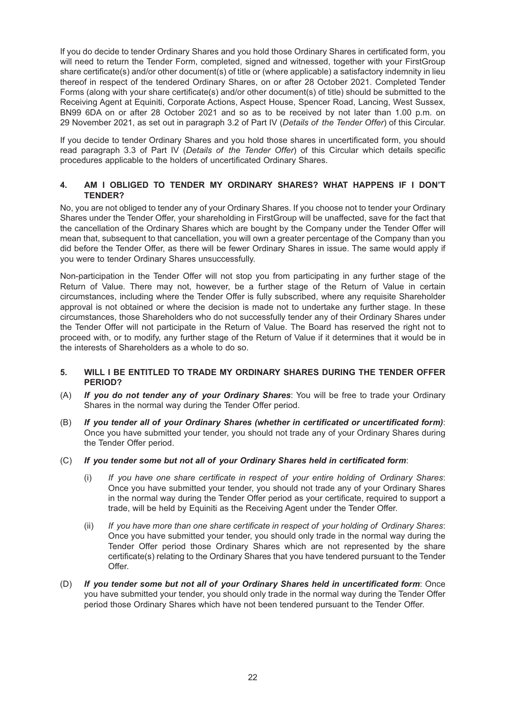If you do decide to tender Ordinary Shares and you hold those Ordinary Shares in certificated form, you will need to return the Tender Form, completed, signed and witnessed, together with your FirstGroup share certificate(s) and/or other document(s) of title or (where applicable) a satisfactory indemnity in lieu thereof in respect of the tendered Ordinary Shares, on or after 28 October 2021. Completed Tender Forms (along with your share certificate(s) and/or other document(s) of title) should be submitted to the Receiving Agent at Equiniti, Corporate Actions, Aspect House, Spencer Road, Lancing, West Sussex, BN99 6DA on or after 28 October 2021 and so as to be received by not later than 1.00 p.m. on 29 November 2021, as set out in paragraph 3.2 of Part IV (*Details of the Tender Offer*) of this Circular.

If you decide to tender Ordinary Shares and you hold those shares in uncertificated form, you should read paragraph 3.3 of Part IV (*Details of the Tender Offer*) of this Circular which details specific procedures applicable to the holders of uncertificated Ordinary Shares.

#### **4. AM I OBLIGED TO TENDER MY ORDINARY SHARES? WHAT HAPPENS IF I DON'T TENDER?**

No, you are not obliged to tender any of your Ordinary Shares. If you choose not to tender your Ordinary Shares under the Tender Offer, your shareholding in FirstGroup will be unaffected, save for the fact that the cancellation of the Ordinary Shares which are bought by the Company under the Tender Offer will mean that, subsequent to that cancellation, you will own a greater percentage of the Company than you did before the Tender Offer, as there will be fewer Ordinary Shares in issue. The same would apply if you were to tender Ordinary Shares unsuccessfully.

Non-participation in the Tender Offer will not stop you from participating in any further stage of the Return of Value. There may not, however, be a further stage of the Return of Value in certain circumstances, including where the Tender Offer is fully subscribed, where any requisite Shareholder approval is not obtained or where the decision is made not to undertake any further stage. In these circumstances, those Shareholders who do not successfully tender any of their Ordinary Shares under the Tender Offer will not participate in the Return of Value. The Board has reserved the right not to proceed with, or to modify, any further stage of the Return of Value if it determines that it would be in the interests of Shareholders as a whole to do so.

#### **5. WILL I BE ENTITLED TO TRADE MY ORDINARY SHARES DURING THE TENDER OFFER PERIOD?**

- (A) *If you do not tender any of your Ordinary Shares*: You will be free to trade your Ordinary Shares in the normal way during the Tender Offer period.
- (B) *If you tender all of your Ordinary Shares (whether in certificated or uncertificated form)*: Once you have submitted your tender, you should not trade any of your Ordinary Shares during the Tender Offer period.
- (C) *If you tender some but not all of your Ordinary Shares held in certificated form*:
	- (i) *If you have one share certificate in respect of your entire holding of Ordinary Shares*: Once you have submitted your tender, you should not trade any of your Ordinary Shares in the normal way during the Tender Offer period as your certificate, required to support a trade, will be held by Equiniti as the Receiving Agent under the Tender Offer.
	- (ii) *If you have more than one share certificate in respect of your holding of Ordinary Shares*: Once you have submitted your tender, you should only trade in the normal way during the Tender Offer period those Ordinary Shares which are not represented by the share certificate(s) relating to the Ordinary Shares that you have tendered pursuant to the Tender Offer.
- (D) *If you tender some but not all of your Ordinary Shares held in uncertificated form*: Once you have submitted your tender, you should only trade in the normal way during the Tender Offer period those Ordinary Shares which have not been tendered pursuant to the Tender Offer.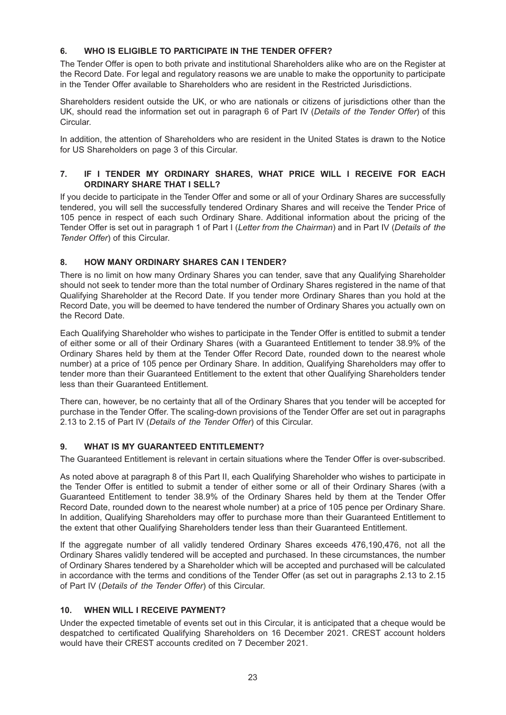#### **6. WHO IS ELIGIBLE TO PARTICIPATE IN THE TENDER OFFER?**

The Tender Offer is open to both private and institutional Shareholders alike who are on the Register at the Record Date. For legal and regulatory reasons we are unable to make the opportunity to participate in the Tender Offer available to Shareholders who are resident in the Restricted Jurisdictions.

Shareholders resident outside the UK, or who are nationals or citizens of jurisdictions other than the UK, should read the information set out in paragraph 6 of Part IV (*Details of the Tender Offer*) of this Circular.

In addition, the attention of Shareholders who are resident in the United States is drawn to the Notice for US Shareholders on page 3 of this Circular.

#### **7. IF I TENDER MY ORDINARY SHARES, WHAT PRICE WILL I RECEIVE FOR EACH ORDINARY SHARE THAT I SELL?**

If you decide to participate in the Tender Offer and some or all of your Ordinary Shares are successfully tendered, you will sell the successfully tendered Ordinary Shares and will receive the Tender Price of 105 pence in respect of each such Ordinary Share. Additional information about the pricing of the Tender Offer is set out in paragraph 1 of Part I (*Letter from the Chairman*) and in Part IV (*Details of the Tender Offer*) of this Circular.

#### **8. HOW MANY ORDINARY SHARES CAN I TENDER?**

There is no limit on how many Ordinary Shares you can tender, save that any Qualifying Shareholder should not seek to tender more than the total number of Ordinary Shares registered in the name of that Qualifying Shareholder at the Record Date. If you tender more Ordinary Shares than you hold at the Record Date, you will be deemed to have tendered the number of Ordinary Shares you actually own on the Record Date.

Each Qualifying Shareholder who wishes to participate in the Tender Offer is entitled to submit a tender of either some or all of their Ordinary Shares (with a Guaranteed Entitlement to tender 38.9% of the Ordinary Shares held by them at the Tender Offer Record Date, rounded down to the nearest whole number) at a price of 105 pence per Ordinary Share. In addition, Qualifying Shareholders may offer to tender more than their Guaranteed Entitlement to the extent that other Qualifying Shareholders tender less than their Guaranteed Entitlement.

There can, however, be no certainty that all of the Ordinary Shares that you tender will be accepted for purchase in the Tender Offer. The scaling-down provisions of the Tender Offer are set out in paragraphs 2.13 to 2.15 of Part IV (*Details of the Tender Offer*) of this Circular.

#### **9. WHAT IS MY GUARANTEED ENTITLEMENT?**

The Guaranteed Entitlement is relevant in certain situations where the Tender Offer is over-subscribed.

As noted above at paragraph 8 of this Part II, each Qualifying Shareholder who wishes to participate in the Tender Offer is entitled to submit a tender of either some or all of their Ordinary Shares (with a Guaranteed Entitlement to tender 38.9% of the Ordinary Shares held by them at the Tender Offer Record Date, rounded down to the nearest whole number) at a price of 105 pence per Ordinary Share. In addition, Qualifying Shareholders may offer to purchase more than their Guaranteed Entitlement to the extent that other Qualifying Shareholders tender less than their Guaranteed Entitlement.

If the aggregate number of all validly tendered Ordinary Shares exceeds 476,190,476, not all the Ordinary Shares validly tendered will be accepted and purchased. In these circumstances, the number of Ordinary Shares tendered by a Shareholder which will be accepted and purchased will be calculated in accordance with the terms and conditions of the Tender Offer (as set out in paragraphs 2.13 to 2.15 of Part IV (*Details of the Tender Offer*) of this Circular.

#### **10. WHEN WILL I RECEIVE PAYMENT?**

Under the expected timetable of events set out in this Circular, it is anticipated that a cheque would be despatched to certificated Qualifying Shareholders on 16 December 2021. CREST account holders would have their CREST accounts credited on 7 December 2021.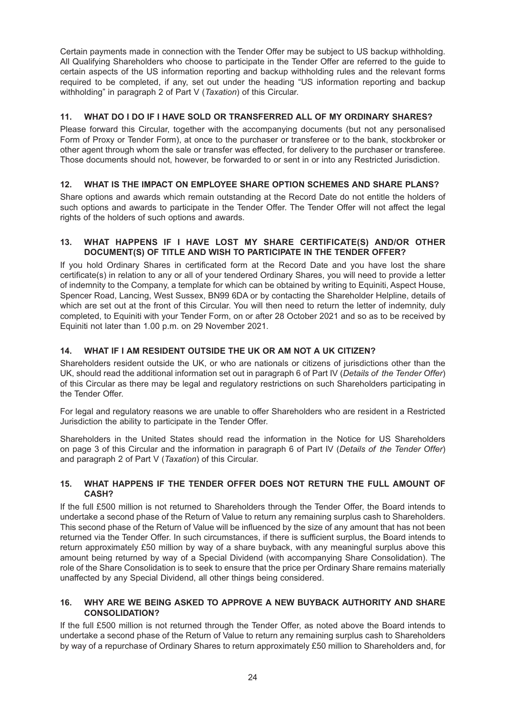Certain payments made in connection with the Tender Offer may be subject to US backup withholding. All Qualifying Shareholders who choose to participate in the Tender Offer are referred to the guide to certain aspects of the US information reporting and backup withholding rules and the relevant forms required to be completed, if any, set out under the heading "US information reporting and backup withholding" in paragraph 2 of Part V (*Taxation*) of this Circular.

#### **11. WHAT DO I DO IF I HAVE SOLD OR TRANSFERRED ALL OF MY ORDINARY SHARES?**

Please forward this Circular, together with the accompanying documents (but not any personalised Form of Proxy or Tender Form), at once to the purchaser or transferee or to the bank, stockbroker or other agent through whom the sale or transfer was effected, for delivery to the purchaser or transferee. Those documents should not, however, be forwarded to or sent in or into any Restricted Jurisdiction.

#### **12. WHAT IS THE IMPACT ON EMPLOYEE SHARE OPTION SCHEMES AND SHARE PLANS?**

Share options and awards which remain outstanding at the Record Date do not entitle the holders of such options and awards to participate in the Tender Offer. The Tender Offer will not affect the legal rights of the holders of such options and awards.

#### **13. WHAT HAPPENS IF I HAVE LOST MY SHARE CERTIFICATE(S) AND/OR OTHER DOCUMENT(S) OF TITLE AND WISH TO PARTICIPATE IN THE TENDER OFFER?**

If you hold Ordinary Shares in certificated form at the Record Date and you have lost the share certificate(s) in relation to any or all of your tendered Ordinary Shares, you will need to provide a letter of indemnity to the Company, a template for which can be obtained by writing to Equiniti, Aspect House, Spencer Road, Lancing, West Sussex, BN99 6DA or by contacting the Shareholder Helpline, details of which are set out at the front of this Circular. You will then need to return the letter of indemnity, duly completed, to Equiniti with your Tender Form, on or after 28 October 2021 and so as to be received by Equiniti not later than 1.00 p.m. on 29 November 2021.

#### **14. WHAT IF I AM RESIDENT OUTSIDE THE UK OR AM NOT A UK CITIZEN?**

Shareholders resident outside the UK, or who are nationals or citizens of jurisdictions other than the UK, should read the additional information set out in paragraph 6 of Part IV (*Details of the Tender Offer*) of this Circular as there may be legal and regulatory restrictions on such Shareholders participating in the Tender Offer.

For legal and regulatory reasons we are unable to offer Shareholders who are resident in a Restricted Jurisdiction the ability to participate in the Tender Offer.

Shareholders in the United States should read the information in the Notice for US Shareholders on page 3 of this Circular and the information in paragraph 6 of Part IV (*Details of the Tender Offer*) and paragraph 2 of Part V (*Taxation*) of this Circular.

#### **15. WHAT HAPPENS IF THE TENDER OFFER DOES NOT RETURN THE FULL AMOUNT OF CASH?**

If the full £500 million is not returned to Shareholders through the Tender Offer, the Board intends to undertake a second phase of the Return of Value to return any remaining surplus cash to Shareholders. This second phase of the Return of Value will be influenced by the size of any amount that has not been returned via the Tender Offer. In such circumstances, if there is sufficient surplus, the Board intends to return approximately £50 million by way of a share buyback, with any meaningful surplus above this amount being returned by way of a Special Dividend (with accompanying Share Consolidation). The role of the Share Consolidation is to seek to ensure that the price per Ordinary Share remains materially unaffected by any Special Dividend, all other things being considered.

#### **16. WHY ARE WE BEING ASKED TO APPROVE A NEW BUYBACK AUTHORITY AND SHARE CONSOLIDATION?**

If the full £500 million is not returned through the Tender Offer, as noted above the Board intends to undertake a second phase of the Return of Value to return any remaining surplus cash to Shareholders by way of a repurchase of Ordinary Shares to return approximately £50 million to Shareholders and, for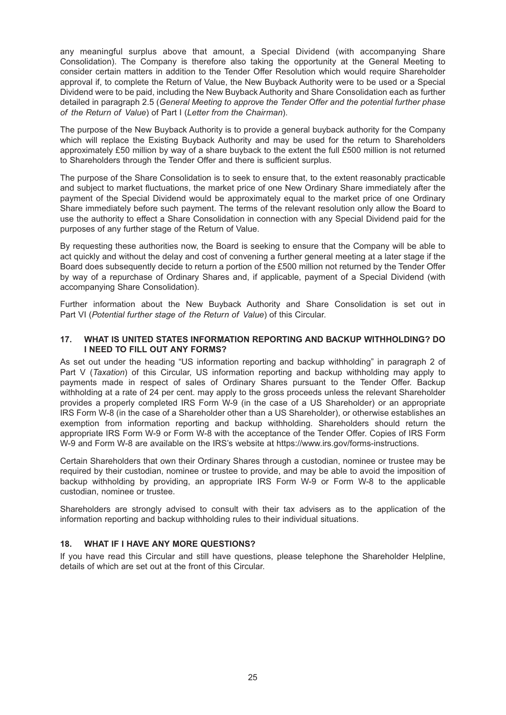any meaningful surplus above that amount, a Special Dividend (with accompanying Share Consolidation). The Company is therefore also taking the opportunity at the General Meeting to consider certain matters in addition to the Tender Offer Resolution which would require Shareholder approval if, to complete the Return of Value, the New Buyback Authority were to be used or a Special Dividend were to be paid, including the New Buyback Authority and Share Consolidation each as further detailed in paragraph 2.5 (*General Meeting to approve the Tender Offer and the potential further phase of the Return of Value*) of Part I (*Letter from the Chairman*).

The purpose of the New Buyback Authority is to provide a general buyback authority for the Company which will replace the Existing Buyback Authority and may be used for the return to Shareholders approximately £50 million by way of a share buyback to the extent the full £500 million is not returned to Shareholders through the Tender Offer and there is sufficient surplus.

The purpose of the Share Consolidation is to seek to ensure that, to the extent reasonably practicable and subject to market fluctuations, the market price of one New Ordinary Share immediately after the payment of the Special Dividend would be approximately equal to the market price of one Ordinary Share immediately before such payment. The terms of the relevant resolution only allow the Board to use the authority to effect a Share Consolidation in connection with any Special Dividend paid for the purposes of any further stage of the Return of Value.

By requesting these authorities now, the Board is seeking to ensure that the Company will be able to act quickly and without the delay and cost of convening a further general meeting at a later stage if the Board does subsequently decide to return a portion of the £500 million not returned by the Tender Offer by way of a repurchase of Ordinary Shares and, if applicable, payment of a Special Dividend (with accompanying Share Consolidation).

Further information about the New Buyback Authority and Share Consolidation is set out in Part VI (*Potential further stage of the Return of Value*) of this Circular.

#### **17. WHAT IS UNITED STATES INFORMATION REPORTING AND BACKUP WITHHOLDING? DO I NEED TO FILL OUT ANY FORMS?**

As set out under the heading "US information reporting and backup withholding" in paragraph 2 of Part V (*Taxation*) of this Circular, US information reporting and backup withholding may apply to payments made in respect of sales of Ordinary Shares pursuant to the Tender Offer. Backup withholding at a rate of 24 per cent. may apply to the gross proceeds unless the relevant Shareholder provides a properly completed IRS Form W-9 (in the case of a US Shareholder) or an appropriate IRS Form W-8 (in the case of a Shareholder other than a US Shareholder), or otherwise establishes an exemption from information reporting and backup withholding. Shareholders should return the appropriate IRS Form W-9 or Form W-8 with the acceptance of the Tender Offer. Copies of IRS Form W-9 and Form W-8 are available on the IRS's website at https://www.irs.gov/forms-instructions.

Certain Shareholders that own their Ordinary Shares through a custodian, nominee or trustee may be required by their custodian, nominee or trustee to provide, and may be able to avoid the imposition of backup withholding by providing, an appropriate IRS Form W-9 or Form W-8 to the applicable custodian, nominee or trustee.

Shareholders are strongly advised to consult with their tax advisers as to the application of the information reporting and backup withholding rules to their individual situations.

#### **18. WHAT IF I HAVE ANY MORE QUESTIONS?**

If you have read this Circular and still have questions, please telephone the Shareholder Helpline, details of which are set out at the front of this Circular.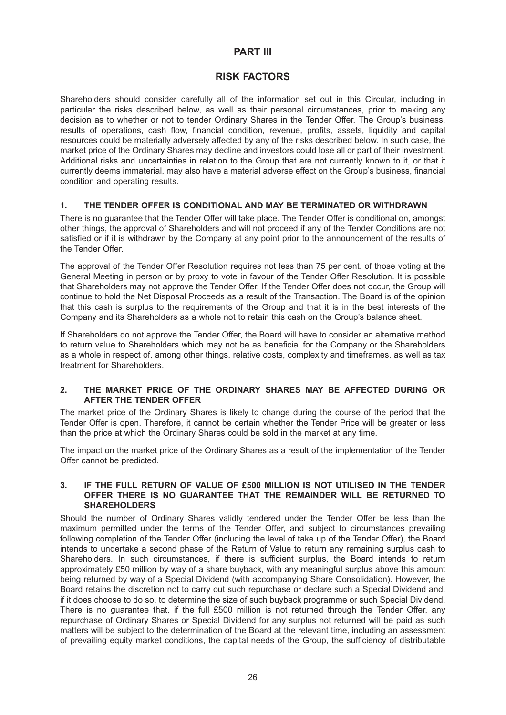### **PART III**

#### **RISK FACTORS**

Shareholders should consider carefully all of the information set out in this Circular, including in particular the risks described below, as well as their personal circumstances, prior to making any decision as to whether or not to tender Ordinary Shares in the Tender Offer. The Group's business, results of operations, cash flow, financial condition, revenue, profits, assets, liquidity and capital resources could be materially adversely affected by any of the risks described below. In such case, the market price of the Ordinary Shares may decline and investors could lose all or part of their investment. Additional risks and uncertainties in relation to the Group that are not currently known to it, or that it currently deems immaterial, may also have a material adverse effect on the Group's business, financial condition and operating results.

#### **1. THE TENDER OFFER IS CONDITIONAL AND MAY BE TERMINATED OR WITHDRAWN**

There is no guarantee that the Tender Offer will take place. The Tender Offer is conditional on, amongst other things, the approval of Shareholders and will not proceed if any of the Tender Conditions are not satisfied or if it is withdrawn by the Company at any point prior to the announcement of the results of the Tender Offer.

The approval of the Tender Offer Resolution requires not less than 75 per cent. of those voting at the General Meeting in person or by proxy to vote in favour of the Tender Offer Resolution. It is possible that Shareholders may not approve the Tender Offer. If the Tender Offer does not occur, the Group will continue to hold the Net Disposal Proceeds as a result of the Transaction. The Board is of the opinion that this cash is surplus to the requirements of the Group and that it is in the best interests of the Company and its Shareholders as a whole not to retain this cash on the Group's balance sheet.

If Shareholders do not approve the Tender Offer, the Board will have to consider an alternative method to return value to Shareholders which may not be as beneficial for the Company or the Shareholders as a whole in respect of, among other things, relative costs, complexity and timeframes, as well as tax treatment for Shareholders.

#### **2. THE MARKET PRICE OF THE ORDINARY SHARES MAY BE AFFECTED DURING OR AFTER THE TENDER OFFER**

The market price of the Ordinary Shares is likely to change during the course of the period that the Tender Offer is open. Therefore, it cannot be certain whether the Tender Price will be greater or less than the price at which the Ordinary Shares could be sold in the market at any time.

The impact on the market price of the Ordinary Shares as a result of the implementation of the Tender Offer cannot be predicted.

#### **3. IF THE FULL RETURN OF VALUE OF £500 MILLION IS NOT UTILISED IN THE TENDER OFFER THERE IS NO GUARANTEE THAT THE REMAINDER WILL BE RETURNED TO SHAREHOLDERS**

Should the number of Ordinary Shares validly tendered under the Tender Offer be less than the maximum permitted under the terms of the Tender Offer, and subject to circumstances prevailing following completion of the Tender Offer (including the level of take up of the Tender Offer), the Board intends to undertake a second phase of the Return of Value to return any remaining surplus cash to Shareholders. In such circumstances, if there is sufficient surplus, the Board intends to return approximately £50 million by way of a share buyback, with any meaningful surplus above this amount being returned by way of a Special Dividend (with accompanying Share Consolidation). However, the Board retains the discretion not to carry out such repurchase or declare such a Special Dividend and, if it does choose to do so, to determine the size of such buyback programme or such Special Dividend. There is no guarantee that, if the full £500 million is not returned through the Tender Offer, any repurchase of Ordinary Shares or Special Dividend for any surplus not returned will be paid as such matters will be subject to the determination of the Board at the relevant time, including an assessment of prevailing equity market conditions, the capital needs of the Group, the sufficiency of distributable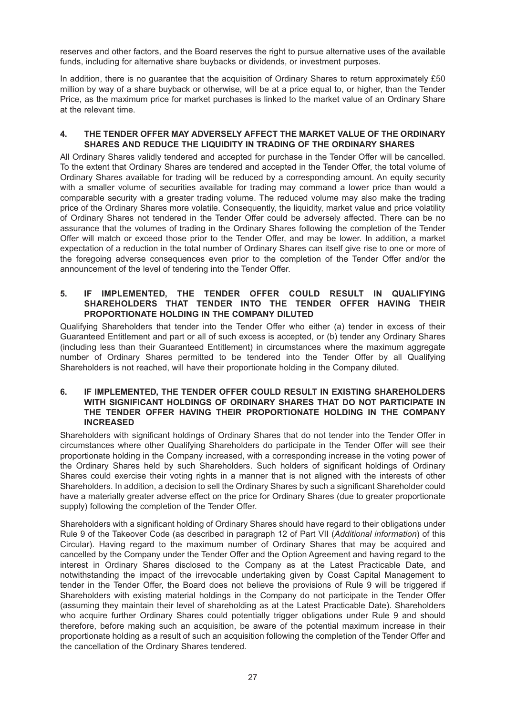reserves and other factors, and the Board reserves the right to pursue alternative uses of the available funds, including for alternative share buybacks or dividends, or investment purposes.

In addition, there is no guarantee that the acquisition of Ordinary Shares to return approximately £50 million by way of a share buyback or otherwise, will be at a price equal to, or higher, than the Tender Price, as the maximum price for market purchases is linked to the market value of an Ordinary Share at the relevant time.

#### **4. THE TENDER OFFER MAY ADVERSELY AFFECT THE MARKET VALUE OF THE ORDINARY SHARES AND REDUCE THE LIQUIDITY IN TRADING OF THE ORDINARY SHARES**

All Ordinary Shares validly tendered and accepted for purchase in the Tender Offer will be cancelled. To the extent that Ordinary Shares are tendered and accepted in the Tender Offer, the total volume of Ordinary Shares available for trading will be reduced by a corresponding amount. An equity security with a smaller volume of securities available for trading may command a lower price than would a comparable security with a greater trading volume. The reduced volume may also make the trading price of the Ordinary Shares more volatile. Consequently, the liquidity, market value and price volatility of Ordinary Shares not tendered in the Tender Offer could be adversely affected. There can be no assurance that the volumes of trading in the Ordinary Shares following the completion of the Tender Offer will match or exceed those prior to the Tender Offer, and may be lower. In addition, a market expectation of a reduction in the total number of Ordinary Shares can itself give rise to one or more of the foregoing adverse consequences even prior to the completion of the Tender Offer and/or the announcement of the level of tendering into the Tender Offer.

#### **5. IF IMPLEMENTED, THE TENDER OFFER COULD RESULT IN QUALIFYING SHAREHOLDERS THAT TENDER INTO THE TENDER OFFER HAVING THEIR PROPORTIONATE HOLDING IN THE COMPANY DILUTED**

Qualifying Shareholders that tender into the Tender Offer who either (a) tender in excess of their Guaranteed Entitlement and part or all of such excess is accepted, or (b) tender any Ordinary Shares (including less than their Guaranteed Entitlement) in circumstances where the maximum aggregate number of Ordinary Shares permitted to be tendered into the Tender Offer by all Qualifying Shareholders is not reached, will have their proportionate holding in the Company diluted.

#### **6. IF IMPLEMENTED, THE TENDER OFFER COULD RESULT IN EXISTING SHAREHOLDERS WITH SIGNIFICANT HOLDINGS OF ORDINARY SHARES THAT DO NOT PARTICIPATE IN THE TENDER OFFER HAVING THEIR PROPORTIONATE HOLDING IN THE COMPANY INCREASED**

Shareholders with significant holdings of Ordinary Shares that do not tender into the Tender Offer in circumstances where other Qualifying Shareholders do participate in the Tender Offer will see their proportionate holding in the Company increased, with a corresponding increase in the voting power of the Ordinary Shares held by such Shareholders. Such holders of significant holdings of Ordinary Shares could exercise their voting rights in a manner that is not aligned with the interests of other Shareholders. In addition, a decision to sell the Ordinary Shares by such a significant Shareholder could have a materially greater adverse effect on the price for Ordinary Shares (due to greater proportionate supply) following the completion of the Tender Offer.

Shareholders with a significant holding of Ordinary Shares should have regard to their obligations under Rule 9 of the Takeover Code (as described in paragraph 12 of Part VII (*Additional information*) of this Circular). Having regard to the maximum number of Ordinary Shares that may be acquired and cancelled by the Company under the Tender Offer and the Option Agreement and having regard to the interest in Ordinary Shares disclosed to the Company as at the Latest Practicable Date, and notwithstanding the impact of the irrevocable undertaking given by Coast Capital Management to tender in the Tender Offer, the Board does not believe the provisions of Rule 9 will be triggered if Shareholders with existing material holdings in the Company do not participate in the Tender Offer (assuming they maintain their level of shareholding as at the Latest Practicable Date). Shareholders who acquire further Ordinary Shares could potentially trigger obligations under Rule 9 and should therefore, before making such an acquisition, be aware of the potential maximum increase in their proportionate holding as a result of such an acquisition following the completion of the Tender Offer and the cancellation of the Ordinary Shares tendered.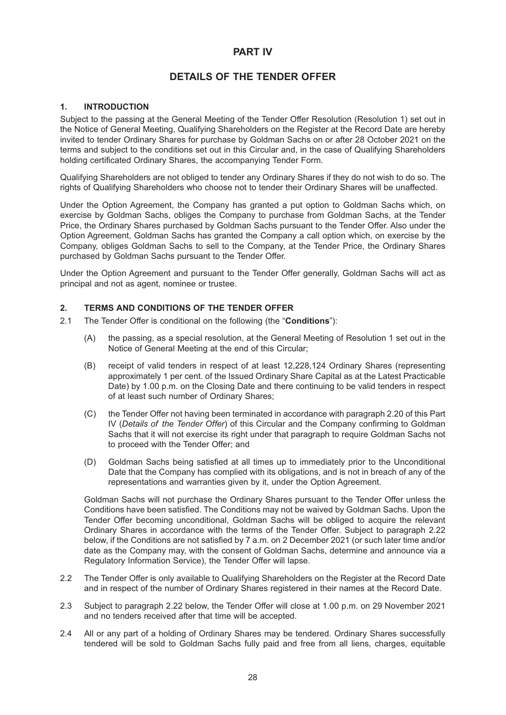#### **PART IV**

### **DETAILS OF THE TENDER OFFER**

#### **1. INTRODUCTION**

Subject to the passing at the General Meeting of the Tender Offer Resolution (Resolution 1) set out in the Notice of General Meeting, Qualifying Shareholders on the Register at the Record Date are hereby invited to tender Ordinary Shares for purchase by Goldman Sachs on or after 28 October 2021 on the terms and subject to the conditions set out in this Circular and, in the case of Qualifying Shareholders holding certificated Ordinary Shares, the accompanying Tender Form.

Qualifying Shareholders are not obliged to tender any Ordinary Shares if they do not wish to do so. The rights of Qualifying Shareholders who choose not to tender their Ordinary Shares will be unaffected.

Under the Option Agreement, the Company has granted a put option to Goldman Sachs which, on exercise by Goldman Sachs, obliges the Company to purchase from Goldman Sachs, at the Tender Price, the Ordinary Shares purchased by Goldman Sachs pursuant to the Tender Offer. Also under the Option Agreement, Goldman Sachs has granted the Company a call option which, on exercise by the Company, obliges Goldman Sachs to sell to the Company, at the Tender Price, the Ordinary Shares purchased by Goldman Sachs pursuant to the Tender Offer.

Under the Option Agreement and pursuant to the Tender Offer generally, Goldman Sachs will act as principal and not as agent, nominee or trustee.

#### **2. TERMS AND CONDITIONS OF THE TENDER OFFER**

- 2.1 The Tender Offer is conditional on the following (the "**Conditions**"):
	- (A) the passing, as a special resolution, at the General Meeting of Resolution 1 set out in the Notice of General Meeting at the end of this Circular;
	- (B) receipt of valid tenders in respect of at least 12,228,124 Ordinary Shares (representing approximately 1 per cent. of the Issued Ordinary Share Capital as at the Latest Practicable Date) by 1.00 p.m. on the Closing Date and there continuing to be valid tenders in respect of at least such number of Ordinary Shares;
	- (C) the Tender Offer not having been terminated in accordance with paragraph 2.20 of this Part IV (*Details of the Tender Offer*) of this Circular and the Company confirming to Goldman Sachs that it will not exercise its right under that paragraph to require Goldman Sachs not to proceed with the Tender Offer; and
	- (D) Goldman Sachs being satisfied at all times up to immediately prior to the Unconditional Date that the Company has complied with its obligations, and is not in breach of any of the representations and warranties given by it, under the Option Agreement.

Goldman Sachs will not purchase the Ordinary Shares pursuant to the Tender Offer unless the Conditions have been satisfied. The Conditions may not be waived by Goldman Sachs. Upon the Tender Offer becoming unconditional, Goldman Sachs will be obliged to acquire the relevant Ordinary Shares in accordance with the terms of the Tender Offer. Subject to paragraph 2.22 below, if the Conditions are not satisfied by 7 a.m. on 2 December 2021 (or such later time and/or date as the Company may, with the consent of Goldman Sachs, determine and announce via a Regulatory Information Service), the Tender Offer will lapse.

- 2.2 The Tender Offer is only available to Qualifying Shareholders on the Register at the Record Date and in respect of the number of Ordinary Shares registered in their names at the Record Date.
- 2.3 Subject to paragraph 2.22 below, the Tender Offer will close at 1.00 p.m. on 29 November 2021 and no tenders received after that time will be accepted.
- 2.4 All or any part of a holding of Ordinary Shares may be tendered. Ordinary Shares successfully tendered will be sold to Goldman Sachs fully paid and free from all liens, charges, equitable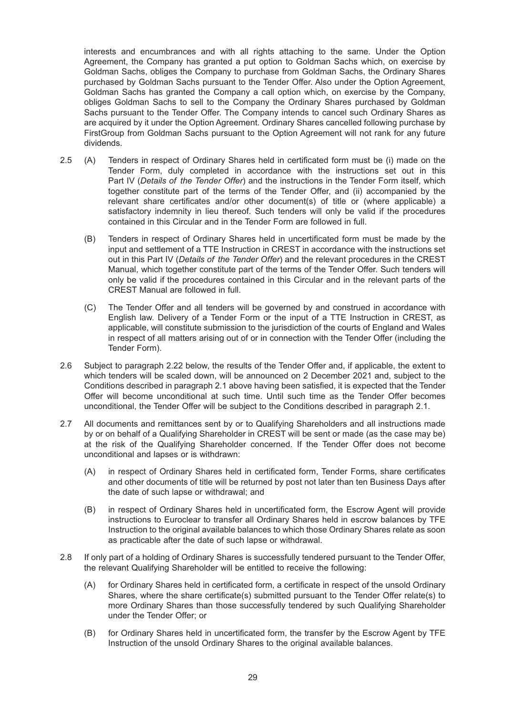interests and encumbrances and with all rights attaching to the same. Under the Option Agreement, the Company has granted a put option to Goldman Sachs which, on exercise by Goldman Sachs, obliges the Company to purchase from Goldman Sachs, the Ordinary Shares purchased by Goldman Sachs pursuant to the Tender Offer. Also under the Option Agreement, Goldman Sachs has granted the Company a call option which, on exercise by the Company, obliges Goldman Sachs to sell to the Company the Ordinary Shares purchased by Goldman Sachs pursuant to the Tender Offer. The Company intends to cancel such Ordinary Shares as are acquired by it under the Option Agreement. Ordinary Shares cancelled following purchase by FirstGroup from Goldman Sachs pursuant to the Option Agreement will not rank for any future dividends.

- 2.5 (A) Tenders in respect of Ordinary Shares held in certificated form must be (i) made on the Tender Form, duly completed in accordance with the instructions set out in this Part IV (*Details of the Tender Offer*) and the instructions in the Tender Form itself, which together constitute part of the terms of the Tender Offer, and (ii) accompanied by the relevant share certificates and/or other document(s) of title or (where applicable) a satisfactory indemnity in lieu thereof. Such tenders will only be valid if the procedures contained in this Circular and in the Tender Form are followed in full.
	- (B) Tenders in respect of Ordinary Shares held in uncertificated form must be made by the input and settlement of a TTE Instruction in CREST in accordance with the instructions set out in this Part IV (*Details of the Tender Offer*) and the relevant procedures in the CREST Manual, which together constitute part of the terms of the Tender Offer. Such tenders will only be valid if the procedures contained in this Circular and in the relevant parts of the CREST Manual are followed in full.
	- (C) The Tender Offer and all tenders will be governed by and construed in accordance with English law. Delivery of a Tender Form or the input of a TTE Instruction in CREST, as applicable, will constitute submission to the jurisdiction of the courts of England and Wales in respect of all matters arising out of or in connection with the Tender Offer (including the Tender Form).
- 2.6 Subject to paragraph 2.22 below, the results of the Tender Offer and, if applicable, the extent to which tenders will be scaled down, will be announced on 2 December 2021 and, subject to the Conditions described in paragraph 2.1 above having been satisfied, it is expected that the Tender Offer will become unconditional at such time. Until such time as the Tender Offer becomes unconditional, the Tender Offer will be subject to the Conditions described in paragraph 2.1.
- 2.7 All documents and remittances sent by or to Qualifying Shareholders and all instructions made by or on behalf of a Qualifying Shareholder in CREST will be sent or made (as the case may be) at the risk of the Qualifying Shareholder concerned. If the Tender Offer does not become unconditional and lapses or is withdrawn:
	- (A) in respect of Ordinary Shares held in certificated form, Tender Forms, share certificates and other documents of title will be returned by post not later than ten Business Days after the date of such lapse or withdrawal; and
	- (B) in respect of Ordinary Shares held in uncertificated form, the Escrow Agent will provide instructions to Euroclear to transfer all Ordinary Shares held in escrow balances by TFE Instruction to the original available balances to which those Ordinary Shares relate as soon as practicable after the date of such lapse or withdrawal.
- 2.8 If only part of a holding of Ordinary Shares is successfully tendered pursuant to the Tender Offer, the relevant Qualifying Shareholder will be entitled to receive the following:
	- (A) for Ordinary Shares held in certificated form, a certificate in respect of the unsold Ordinary Shares, where the share certificate(s) submitted pursuant to the Tender Offer relate(s) to more Ordinary Shares than those successfully tendered by such Qualifying Shareholder under the Tender Offer; or
	- (B) for Ordinary Shares held in uncertificated form, the transfer by the Escrow Agent by TFE Instruction of the unsold Ordinary Shares to the original available balances.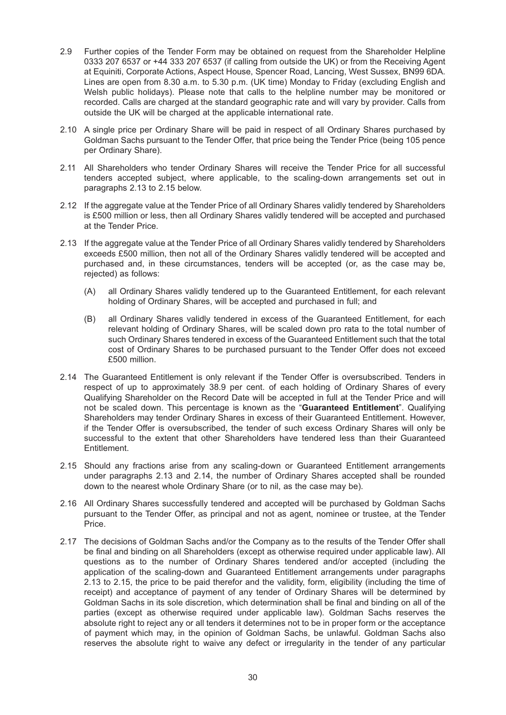- 2.9 Further copies of the Tender Form may be obtained on request from the Shareholder Helpline 0333 207 6537 or +44 333 207 6537 (if calling from outside the UK) or from the Receiving Agent at Equiniti, Corporate Actions, Aspect House, Spencer Road, Lancing, West Sussex, BN99 6DA. Lines are open from 8.30 a.m. to 5.30 p.m. (UK time) Monday to Friday (excluding English and Welsh public holidays). Please note that calls to the helpline number may be monitored or recorded. Calls are charged at the standard geographic rate and will vary by provider. Calls from outside the UK will be charged at the applicable international rate.
- 2.10 A single price per Ordinary Share will be paid in respect of all Ordinary Shares purchased by Goldman Sachs pursuant to the Tender Offer, that price being the Tender Price (being 105 pence per Ordinary Share).
- 2.11 All Shareholders who tender Ordinary Shares will receive the Tender Price for all successful tenders accepted subject, where applicable, to the scaling-down arrangements set out in paragraphs 2.13 to 2.15 below.
- 2.12 If the aggregate value at the Tender Price of all Ordinary Shares validly tendered by Shareholders is £500 million or less, then all Ordinary Shares validly tendered will be accepted and purchased at the Tender Price.
- 2.13 If the aggregate value at the Tender Price of all Ordinary Shares validly tendered by Shareholders exceeds £500 million, then not all of the Ordinary Shares validly tendered will be accepted and purchased and, in these circumstances, tenders will be accepted (or, as the case may be, rejected) as follows:
	- (A) all Ordinary Shares validly tendered up to the Guaranteed Entitlement, for each relevant holding of Ordinary Shares, will be accepted and purchased in full; and
	- (B) all Ordinary Shares validly tendered in excess of the Guaranteed Entitlement, for each relevant holding of Ordinary Shares, will be scaled down pro rata to the total number of such Ordinary Shares tendered in excess of the Guaranteed Entitlement such that the total cost of Ordinary Shares to be purchased pursuant to the Tender Offer does not exceed £500 million.
- 2.14 The Guaranteed Entitlement is only relevant if the Tender Offer is oversubscribed. Tenders in respect of up to approximately 38.9 per cent. of each holding of Ordinary Shares of every Qualifying Shareholder on the Record Date will be accepted in full at the Tender Price and will not be scaled down. This percentage is known as the "**Guaranteed Entitlement**". Qualifying Shareholders may tender Ordinary Shares in excess of their Guaranteed Entitlement. However, if the Tender Offer is oversubscribed, the tender of such excess Ordinary Shares will only be successful to the extent that other Shareholders have tendered less than their Guaranteed Entitlement.
- 2.15 Should any fractions arise from any scaling-down or Guaranteed Entitlement arrangements under paragraphs 2.13 and 2.14, the number of Ordinary Shares accepted shall be rounded down to the nearest whole Ordinary Share (or to nil, as the case may be).
- 2.16 All Ordinary Shares successfully tendered and accepted will be purchased by Goldman Sachs pursuant to the Tender Offer, as principal and not as agent, nominee or trustee, at the Tender Price.
- 2.17 The decisions of Goldman Sachs and/or the Company as to the results of the Tender Offer shall be final and binding on all Shareholders (except as otherwise required under applicable law). All questions as to the number of Ordinary Shares tendered and/or accepted (including the application of the scaling-down and Guaranteed Entitlement arrangements under paragraphs 2.13 to 2.15, the price to be paid therefor and the validity, form, eligibility (including the time of receipt) and acceptance of payment of any tender of Ordinary Shares will be determined by Goldman Sachs in its sole discretion, which determination shall be final and binding on all of the parties (except as otherwise required under applicable law). Goldman Sachs reserves the absolute right to reject any or all tenders it determines not to be in proper form or the acceptance of payment which may, in the opinion of Goldman Sachs, be unlawful. Goldman Sachs also reserves the absolute right to waive any defect or irregularity in the tender of any particular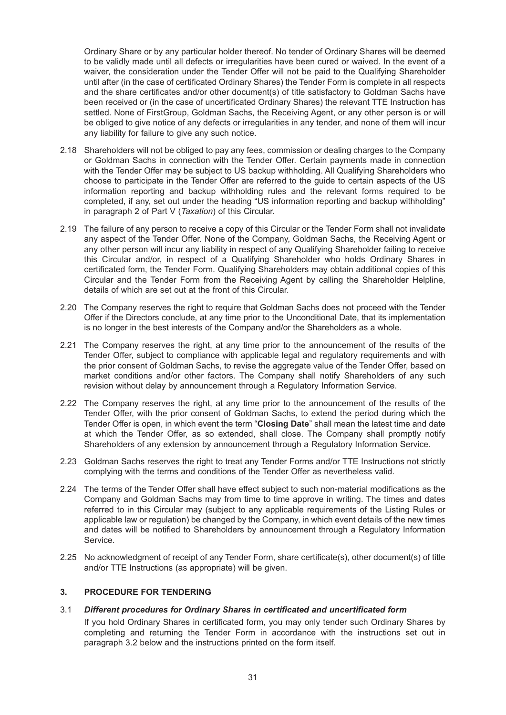Ordinary Share or by any particular holder thereof. No tender of Ordinary Shares will be deemed to be validly made until all defects or irregularities have been cured or waived. In the event of a waiver, the consideration under the Tender Offer will not be paid to the Qualifying Shareholder until after (in the case of certificated Ordinary Shares) the Tender Form is complete in all respects and the share certificates and/or other document(s) of title satisfactory to Goldman Sachs have been received or (in the case of uncertificated Ordinary Shares) the relevant TTE Instruction has settled. None of FirstGroup, Goldman Sachs, the Receiving Agent, or any other person is or will be obliged to give notice of any defects or irregularities in any tender, and none of them will incur any liability for failure to give any such notice.

- 2.18 Shareholders will not be obliged to pay any fees, commission or dealing charges to the Company or Goldman Sachs in connection with the Tender Offer. Certain payments made in connection with the Tender Offer may be subject to US backup withholding. All Qualifying Shareholders who choose to participate in the Tender Offer are referred to the guide to certain aspects of the US information reporting and backup withholding rules and the relevant forms required to be completed, if any, set out under the heading "US information reporting and backup withholding" in paragraph 2 of Part V (*Taxation*) of this Circular.
- 2.19 The failure of any person to receive a copy of this Circular or the Tender Form shall not invalidate any aspect of the Tender Offer. None of the Company, Goldman Sachs, the Receiving Agent or any other person will incur any liability in respect of any Qualifying Shareholder failing to receive this Circular and/or, in respect of a Qualifying Shareholder who holds Ordinary Shares in certificated form, the Tender Form. Qualifying Shareholders may obtain additional copies of this Circular and the Tender Form from the Receiving Agent by calling the Shareholder Helpline, details of which are set out at the front of this Circular.
- 2.20 The Company reserves the right to require that Goldman Sachs does not proceed with the Tender Offer if the Directors conclude, at any time prior to the Unconditional Date, that its implementation is no longer in the best interests of the Company and/or the Shareholders as a whole.
- 2.21 The Company reserves the right, at any time prior to the announcement of the results of the Tender Offer, subject to compliance with applicable legal and regulatory requirements and with the prior consent of Goldman Sachs, to revise the aggregate value of the Tender Offer, based on market conditions and/or other factors. The Company shall notify Shareholders of any such revision without delay by announcement through a Regulatory Information Service.
- 2.22 The Company reserves the right, at any time prior to the announcement of the results of the Tender Offer, with the prior consent of Goldman Sachs, to extend the period during which the Tender Offer is open, in which event the term "**Closing Date**" shall mean the latest time and date at which the Tender Offer, as so extended, shall close. The Company shall promptly notify Shareholders of any extension by announcement through a Regulatory Information Service.
- 2.23 Goldman Sachs reserves the right to treat any Tender Forms and/or TTE Instructions not strictly complying with the terms and conditions of the Tender Offer as nevertheless valid.
- 2.24 The terms of the Tender Offer shall have effect subject to such non-material modifications as the Company and Goldman Sachs may from time to time approve in writing. The times and dates referred to in this Circular may (subject to any applicable requirements of the Listing Rules or applicable law or regulation) be changed by the Company, in which event details of the new times and dates will be notified to Shareholders by announcement through a Regulatory Information Service.
- 2.25 No acknowledgment of receipt of any Tender Form, share certificate(s), other document(s) of title and/or TTE Instructions (as appropriate) will be given.

#### **3. PROCEDURE FOR TENDERING**

3.1 *Different procedures for Ordinary Shares in certificated and uncertificated form* If you hold Ordinary Shares in certificated form, you may only tender such Ordinary Shares by completing and returning the Tender Form in accordance with the instructions set out in paragraph 3.2 below and the instructions printed on the form itself.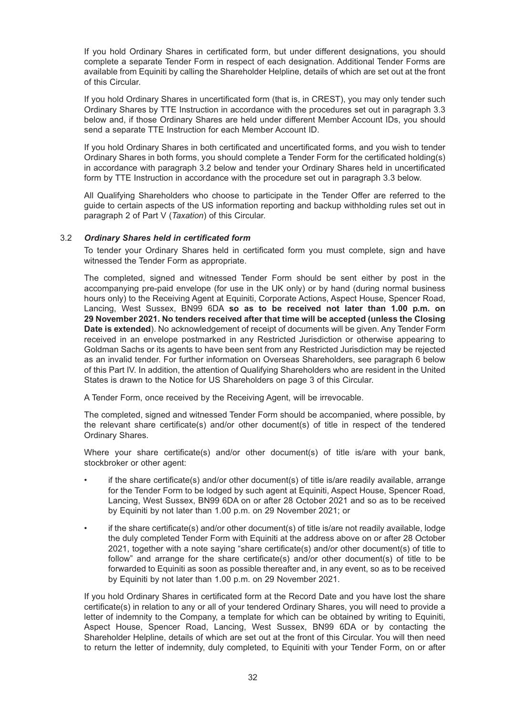If you hold Ordinary Shares in certificated form, but under different designations, you should complete a separate Tender Form in respect of each designation. Additional Tender Forms are available from Equiniti by calling the Shareholder Helpline, details of which are set out at the front of this Circular.

If you hold Ordinary Shares in uncertificated form (that is, in CREST), you may only tender such Ordinary Shares by TTE Instruction in accordance with the procedures set out in paragraph 3.3 below and, if those Ordinary Shares are held under different Member Account IDs, you should send a separate TTE Instruction for each Member Account ID.

If you hold Ordinary Shares in both certificated and uncertificated forms, and you wish to tender Ordinary Shares in both forms, you should complete a Tender Form for the certificated holding(s) in accordance with paragraph 3.2 below and tender your Ordinary Shares held in uncertificated form by TTE Instruction in accordance with the procedure set out in paragraph 3.3 below.

All Qualifying Shareholders who choose to participate in the Tender Offer are referred to the guide to certain aspects of the US information reporting and backup withholding rules set out in paragraph 2 of Part V (*Taxation*) of this Circular.

#### 3.2 *Ordinary Shares held in certificated form*

To tender your Ordinary Shares held in certificated form you must complete, sign and have witnessed the Tender Form as appropriate.

The completed, signed and witnessed Tender Form should be sent either by post in the accompanying pre-paid envelope (for use in the UK only) or by hand (during normal business hours only) to the Receiving Agent at Equiniti, Corporate Actions, Aspect House, Spencer Road, Lancing, West Sussex, BN99 6DA **so as to be received not later than 1.00 p.m. on 29 November 2021. No tenders received after that time will be accepted (unless the Closing Date is extended**). No acknowledgement of receipt of documents will be given. Any Tender Form received in an envelope postmarked in any Restricted Jurisdiction or otherwise appearing to Goldman Sachs or its agents to have been sent from any Restricted Jurisdiction may be rejected as an invalid tender. For further information on Overseas Shareholders, see paragraph 6 below of this Part IV. In addition, the attention of Qualifying Shareholders who are resident in the United States is drawn to the Notice for US Shareholders on page 3 of this Circular.

A Tender Form, once received by the Receiving Agent, will be irrevocable.

The completed, signed and witnessed Tender Form should be accompanied, where possible, by the relevant share certificate(s) and/or other document(s) of title in respect of the tendered Ordinary Shares.

Where your share certificate(s) and/or other document(s) of title is/are with your bank, stockbroker or other agent:

- if the share certificate(s) and/or other document(s) of title is/are readily available, arrange for the Tender Form to be lodged by such agent at Equiniti, Aspect House, Spencer Road, Lancing, West Sussex, BN99 6DA on or after 28 October 2021 and so as to be received by Equiniti by not later than 1.00 p.m. on 29 November 2021; or
- if the share certificate(s) and/or other document(s) of title is/are not readily available, lodge the duly completed Tender Form with Equiniti at the address above on or after 28 October 2021, together with a note saying "share certificate(s) and/or other document(s) of title to follow" and arrange for the share certificate(s) and/or other document(s) of title to be forwarded to Equiniti as soon as possible thereafter and, in any event, so as to be received by Equiniti by not later than 1.00 p.m. on 29 November 2021.

If you hold Ordinary Shares in certificated form at the Record Date and you have lost the share certificate(s) in relation to any or all of your tendered Ordinary Shares, you will need to provide a letter of indemnity to the Company, a template for which can be obtained by writing to Equiniti, Aspect House, Spencer Road, Lancing, West Sussex, BN99 6DA or by contacting the Shareholder Helpline, details of which are set out at the front of this Circular. You will then need to return the letter of indemnity, duly completed, to Equiniti with your Tender Form, on or after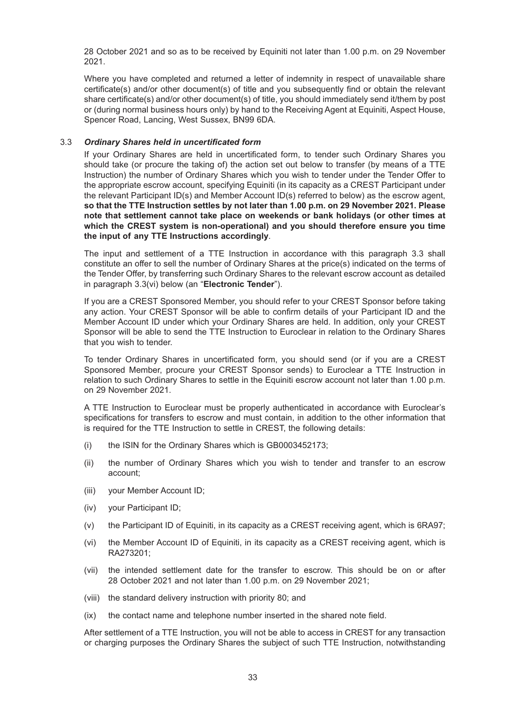28 October 2021 and so as to be received by Equiniti not later than 1.00 p.m. on 29 November 2021.

Where you have completed and returned a letter of indemnity in respect of unavailable share certificate(s) and/or other document(s) of title and you subsequently find or obtain the relevant share certificate(s) and/or other document(s) of title, you should immediately send it/them by post or (during normal business hours only) by hand to the Receiving Agent at Equiniti, Aspect House, Spencer Road, Lancing, West Sussex, BN99 6DA.

#### 3.3 *Ordinary Shares held in uncertificated form*

If your Ordinary Shares are held in uncertificated form, to tender such Ordinary Shares you should take (or procure the taking of) the action set out below to transfer (by means of a TTE Instruction) the number of Ordinary Shares which you wish to tender under the Tender Offer to the appropriate escrow account, specifying Equiniti (in its capacity as a CREST Participant under the relevant Participant ID(s) and Member Account ID(s) referred to below) as the escrow agent, **so that the TTE Instruction settles by not later than 1.00 p.m. on 29 November 2021. Please note that settlement cannot take place on weekends or bank holidays (or other times at which the CREST system is non-operational) and you should therefore ensure you time the input of any TTE Instructions accordingly**.

The input and settlement of a TTE Instruction in accordance with this paragraph 3.3 shall constitute an offer to sell the number of Ordinary Shares at the price(s) indicated on the terms of the Tender Offer, by transferring such Ordinary Shares to the relevant escrow account as detailed in paragraph 3.3(vi) below (an "**Electronic Tender**").

If you are a CREST Sponsored Member, you should refer to your CREST Sponsor before taking any action. Your CREST Sponsor will be able to confirm details of your Participant ID and the Member Account ID under which your Ordinary Shares are held. In addition, only your CREST Sponsor will be able to send the TTE Instruction to Euroclear in relation to the Ordinary Shares that you wish to tender.

To tender Ordinary Shares in uncertificated form, you should send (or if you are a CREST Sponsored Member, procure your CREST Sponsor sends) to Euroclear a TTE Instruction in relation to such Ordinary Shares to settle in the Equiniti escrow account not later than 1.00 p.m. on 29 November 2021.

A TTE Instruction to Euroclear must be properly authenticated in accordance with Euroclear's specifications for transfers to escrow and must contain, in addition to the other information that is required for the TTE Instruction to settle in CREST, the following details:

- (i) the ISIN for the Ordinary Shares which is GB0003452173;
- (ii) the number of Ordinary Shares which you wish to tender and transfer to an escrow account;
- (iii) your Member Account ID;
- (iv) your Participant ID;
- (v) the Participant ID of Equiniti, in its capacity as a CREST receiving agent, which is 6RA97;
- (vi) the Member Account ID of Equiniti, in its capacity as a CREST receiving agent, which is RA273201;
- (vii) the intended settlement date for the transfer to escrow. This should be on or after 28 October 2021 and not later than 1.00 p.m. on 29 November 2021;
- (viii) the standard delivery instruction with priority 80; and
- (ix) the contact name and telephone number inserted in the shared note field.

After settlement of a TTE Instruction, you will not be able to access in CREST for any transaction or charging purposes the Ordinary Shares the subject of such TTE Instruction, notwithstanding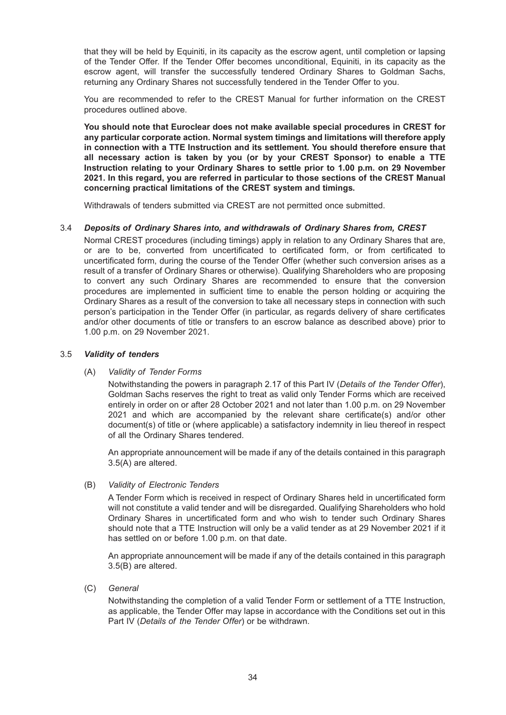that they will be held by Equiniti, in its capacity as the escrow agent, until completion or lapsing of the Tender Offer. If the Tender Offer becomes unconditional, Equiniti, in its capacity as the escrow agent, will transfer the successfully tendered Ordinary Shares to Goldman Sachs, returning any Ordinary Shares not successfully tendered in the Tender Offer to you.

You are recommended to refer to the CREST Manual for further information on the CREST procedures outlined above.

**You should note that Euroclear does not make available special procedures in CREST for any particular corporate action. Normal system timings and limitations will therefore apply in connection with a TTE Instruction and its settlement. You should therefore ensure that all necessary action is taken by you (or by your CREST Sponsor) to enable a TTE Instruction relating to your Ordinary Shares to settle prior to 1.00 p.m. on 29 November 2021. In this regard, you are referred in particular to those sections of the CREST Manual concerning practical limitations of the CREST system and timings.**

Withdrawals of tenders submitted via CREST are not permitted once submitted.

#### 3.4 *Deposits of Ordinary Shares into, and withdrawals of Ordinary Shares from, CREST*

Normal CREST procedures (including timings) apply in relation to any Ordinary Shares that are, or are to be, converted from uncertificated to certificated form, or from certificated to uncertificated form, during the course of the Tender Offer (whether such conversion arises as a result of a transfer of Ordinary Shares or otherwise). Qualifying Shareholders who are proposing to convert any such Ordinary Shares are recommended to ensure that the conversion procedures are implemented in sufficient time to enable the person holding or acquiring the Ordinary Shares as a result of the conversion to take all necessary steps in connection with such person's participation in the Tender Offer (in particular, as regards delivery of share certificates and/or other documents of title or transfers to an escrow balance as described above) prior to 1.00 p.m. on 29 November 2021.

#### 3.5 *Validity of tenders*

(A) *Validity of Tender Forms*

Notwithstanding the powers in paragraph 2.17 of this Part IV (*Details of the Tender Offer*), Goldman Sachs reserves the right to treat as valid only Tender Forms which are received entirely in order on or after 28 October 2021 and not later than 1.00 p.m. on 29 November 2021 and which are accompanied by the relevant share certificate(s) and/or other document(s) of title or (where applicable) a satisfactory indemnity in lieu thereof in respect of all the Ordinary Shares tendered.

An appropriate announcement will be made if any of the details contained in this paragraph 3.5(A) are altered.

#### (B) *Validity of Electronic Tenders*

A Tender Form which is received in respect of Ordinary Shares held in uncertificated form will not constitute a valid tender and will be disregarded. Qualifying Shareholders who hold Ordinary Shares in uncertificated form and who wish to tender such Ordinary Shares should note that a TTE Instruction will only be a valid tender as at 29 November 2021 if it has settled on or before 1.00 p.m. on that date.

An appropriate announcement will be made if any of the details contained in this paragraph 3.5(B) are altered.

(C) *General*

Notwithstanding the completion of a valid Tender Form or settlement of a TTE Instruction, as applicable, the Tender Offer may lapse in accordance with the Conditions set out in this Part IV (*Details of the Tender Offer*) or be withdrawn.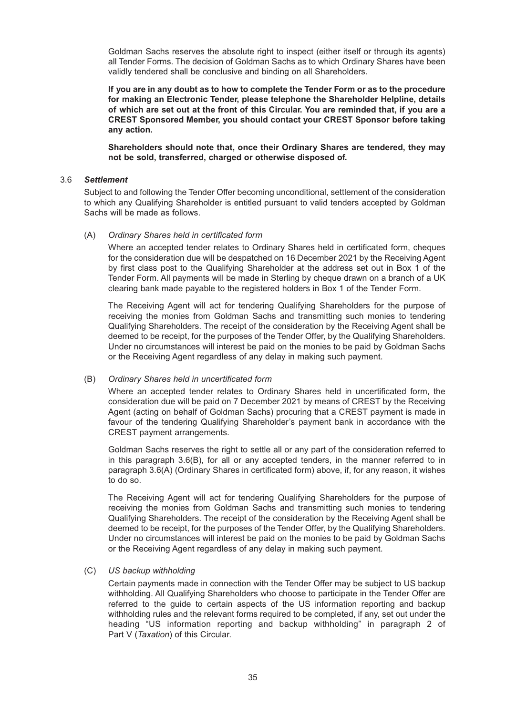Goldman Sachs reserves the absolute right to inspect (either itself or through its agents) all Tender Forms. The decision of Goldman Sachs as to which Ordinary Shares have been validly tendered shall be conclusive and binding on all Shareholders.

**If you are in any doubt as to how to complete the Tender Form or as to the procedure for making an Electronic Tender, please telephone the Shareholder Helpline, details of which are set out at the front of this Circular. You are reminded that, if you are a CREST Sponsored Member, you should contact your CREST Sponsor before taking any action.**

**Shareholders should note that, once their Ordinary Shares are tendered, they may not be sold, transferred, charged or otherwise disposed of.**

#### 3.6 *Settlement*

Subject to and following the Tender Offer becoming unconditional, settlement of the consideration to which any Qualifying Shareholder is entitled pursuant to valid tenders accepted by Goldman Sachs will be made as follows.

#### (A) *Ordinary Shares held in certificated form*

Where an accepted tender relates to Ordinary Shares held in certificated form, cheques for the consideration due will be despatched on 16 December 2021 by the Receiving Agent by first class post to the Qualifying Shareholder at the address set out in Box 1 of the Tender Form. All payments will be made in Sterling by cheque drawn on a branch of a UK clearing bank made payable to the registered holders in Box 1 of the Tender Form.

The Receiving Agent will act for tendering Qualifying Shareholders for the purpose of receiving the monies from Goldman Sachs and transmitting such monies to tendering Qualifying Shareholders. The receipt of the consideration by the Receiving Agent shall be deemed to be receipt, for the purposes of the Tender Offer, by the Qualifying Shareholders. Under no circumstances will interest be paid on the monies to be paid by Goldman Sachs or the Receiving Agent regardless of any delay in making such payment.

#### (B) *Ordinary Shares held in uncertificated form*

Where an accepted tender relates to Ordinary Shares held in uncertificated form, the consideration due will be paid on 7 December 2021 by means of CREST by the Receiving Agent (acting on behalf of Goldman Sachs) procuring that a CREST payment is made in favour of the tendering Qualifying Shareholder's payment bank in accordance with the CREST payment arrangements.

Goldman Sachs reserves the right to settle all or any part of the consideration referred to in this paragraph 3.6(B), for all or any accepted tenders, in the manner referred to in paragraph 3.6(A) (Ordinary Shares in certificated form) above, if, for any reason, it wishes to do so.

The Receiving Agent will act for tendering Qualifying Shareholders for the purpose of receiving the monies from Goldman Sachs and transmitting such monies to tendering Qualifying Shareholders. The receipt of the consideration by the Receiving Agent shall be deemed to be receipt, for the purposes of the Tender Offer, by the Qualifying Shareholders. Under no circumstances will interest be paid on the monies to be paid by Goldman Sachs or the Receiving Agent regardless of any delay in making such payment.

#### (C) *US backup withholding*

Certain payments made in connection with the Tender Offer may be subject to US backup withholding. All Qualifying Shareholders who choose to participate in the Tender Offer are referred to the guide to certain aspects of the US information reporting and backup withholding rules and the relevant forms required to be completed, if any, set out under the heading "US information reporting and backup withholding" in paragraph 2 of Part V (*Taxation*) of this Circular.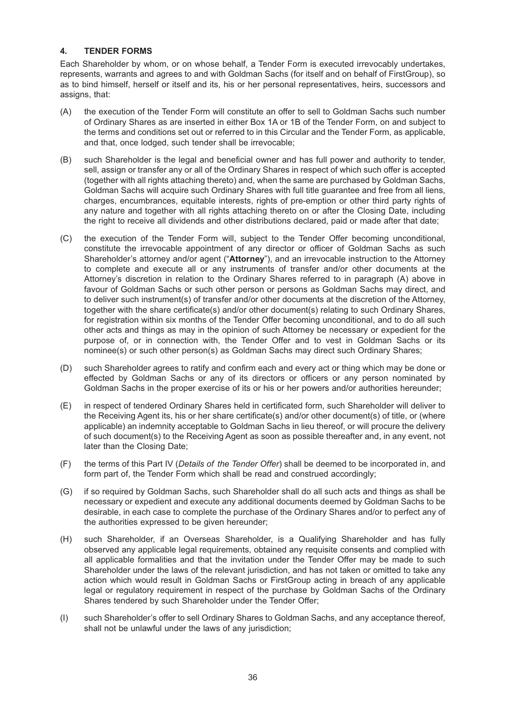#### **4. TENDER FORMS**

Each Shareholder by whom, or on whose behalf, a Tender Form is executed irrevocably undertakes, represents, warrants and agrees to and with Goldman Sachs (for itself and on behalf of FirstGroup), so as to bind himself, herself or itself and its, his or her personal representatives, heirs, successors and assigns, that:

- (A) the execution of the Tender Form will constitute an offer to sell to Goldman Sachs such number of Ordinary Shares as are inserted in either Box 1A or 1B of the Tender Form, on and subject to the terms and conditions set out or referred to in this Circular and the Tender Form, as applicable, and that, once lodged, such tender shall be irrevocable;
- (B) such Shareholder is the legal and beneficial owner and has full power and authority to tender, sell, assign or transfer any or all of the Ordinary Shares in respect of which such offer is accepted (together with all rights attaching thereto) and, when the same are purchased by Goldman Sachs, Goldman Sachs will acquire such Ordinary Shares with full title guarantee and free from all liens, charges, encumbrances, equitable interests, rights of pre-emption or other third party rights of any nature and together with all rights attaching thereto on or after the Closing Date, including the right to receive all dividends and other distributions declared, paid or made after that date;
- (C) the execution of the Tender Form will, subject to the Tender Offer becoming unconditional, constitute the irrevocable appointment of any director or officer of Goldman Sachs as such Shareholder's attorney and/or agent ("**Attorney**"), and an irrevocable instruction to the Attorney to complete and execute all or any instruments of transfer and/or other documents at the Attorney's discretion in relation to the Ordinary Shares referred to in paragraph (A) above in favour of Goldman Sachs or such other person or persons as Goldman Sachs may direct, and to deliver such instrument(s) of transfer and/or other documents at the discretion of the Attorney, together with the share certificate(s) and/or other document(s) relating to such Ordinary Shares, for registration within six months of the Tender Offer becoming unconditional, and to do all such other acts and things as may in the opinion of such Attorney be necessary or expedient for the purpose of, or in connection with, the Tender Offer and to vest in Goldman Sachs or its nominee(s) or such other person(s) as Goldman Sachs may direct such Ordinary Shares;
- (D) such Shareholder agrees to ratify and confirm each and every act or thing which may be done or effected by Goldman Sachs or any of its directors or officers or any person nominated by Goldman Sachs in the proper exercise of its or his or her powers and/or authorities hereunder;
- (E) in respect of tendered Ordinary Shares held in certificated form, such Shareholder will deliver to the Receiving Agent its, his or her share certificate(s) and/or other document(s) of title, or (where applicable) an indemnity acceptable to Goldman Sachs in lieu thereof, or will procure the delivery of such document(s) to the Receiving Agent as soon as possible thereafter and, in any event, not later than the Closing Date;
- (F) the terms of this Part IV (*Details of the Tender Offer*) shall be deemed to be incorporated in, and form part of, the Tender Form which shall be read and construed accordingly;
- (G) if so required by Goldman Sachs, such Shareholder shall do all such acts and things as shall be necessary or expedient and execute any additional documents deemed by Goldman Sachs to be desirable, in each case to complete the purchase of the Ordinary Shares and/or to perfect any of the authorities expressed to be given hereunder;
- (H) such Shareholder, if an Overseas Shareholder, is a Qualifying Shareholder and has fully observed any applicable legal requirements, obtained any requisite consents and complied with all applicable formalities and that the invitation under the Tender Offer may be made to such Shareholder under the laws of the relevant jurisdiction, and has not taken or omitted to take any action which would result in Goldman Sachs or FirstGroup acting in breach of any applicable legal or regulatory requirement in respect of the purchase by Goldman Sachs of the Ordinary Shares tendered by such Shareholder under the Tender Offer;
- (I) such Shareholder's offer to sell Ordinary Shares to Goldman Sachs, and any acceptance thereof, shall not be unlawful under the laws of any jurisdiction;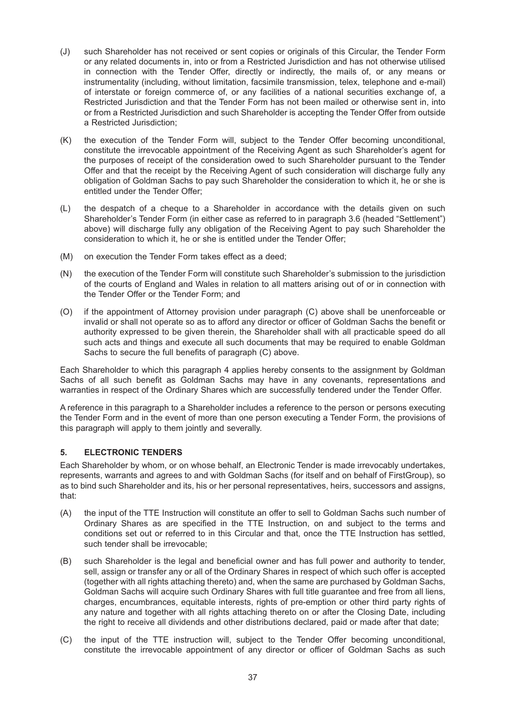- (J) such Shareholder has not received or sent copies or originals of this Circular, the Tender Form or any related documents in, into or from a Restricted Jurisdiction and has not otherwise utilised in connection with the Tender Offer, directly or indirectly, the mails of, or any means or instrumentality (including, without limitation, facsimile transmission, telex, telephone and e-mail) of interstate or foreign commerce of, or any facilities of a national securities exchange of, a Restricted Jurisdiction and that the Tender Form has not been mailed or otherwise sent in, into or from a Restricted Jurisdiction and such Shareholder is accepting the Tender Offer from outside a Restricted Jurisdiction;
- (K) the execution of the Tender Form will, subject to the Tender Offer becoming unconditional, constitute the irrevocable appointment of the Receiving Agent as such Shareholder's agent for the purposes of receipt of the consideration owed to such Shareholder pursuant to the Tender Offer and that the receipt by the Receiving Agent of such consideration will discharge fully any obligation of Goldman Sachs to pay such Shareholder the consideration to which it, he or she is entitled under the Tender Offer;
- (L) the despatch of a cheque to a Shareholder in accordance with the details given on such Shareholder's Tender Form (in either case as referred to in paragraph 3.6 (headed "Settlement") above) will discharge fully any obligation of the Receiving Agent to pay such Shareholder the consideration to which it, he or she is entitled under the Tender Offer;
- (M) on execution the Tender Form takes effect as a deed;
- (N) the execution of the Tender Form will constitute such Shareholder's submission to the jurisdiction of the courts of England and Wales in relation to all matters arising out of or in connection with the Tender Offer or the Tender Form; and
- (O) if the appointment of Attorney provision under paragraph (C) above shall be unenforceable or invalid or shall not operate so as to afford any director or officer of Goldman Sachs the benefit or authority expressed to be given therein, the Shareholder shall with all practicable speed do all such acts and things and execute all such documents that may be required to enable Goldman Sachs to secure the full benefits of paragraph (C) above.

Each Shareholder to which this paragraph 4 applies hereby consents to the assignment by Goldman Sachs of all such benefit as Goldman Sachs may have in any covenants, representations and warranties in respect of the Ordinary Shares which are successfully tendered under the Tender Offer.

A reference in this paragraph to a Shareholder includes a reference to the person or persons executing the Tender Form and in the event of more than one person executing a Tender Form, the provisions of this paragraph will apply to them jointly and severally.

#### **5. ELECTRONIC TENDERS**

Each Shareholder by whom, or on whose behalf, an Electronic Tender is made irrevocably undertakes, represents, warrants and agrees to and with Goldman Sachs (for itself and on behalf of FirstGroup), so as to bind such Shareholder and its, his or her personal representatives, heirs, successors and assigns, that:

- (A) the input of the TTE Instruction will constitute an offer to sell to Goldman Sachs such number of Ordinary Shares as are specified in the TTE Instruction, on and subject to the terms and conditions set out or referred to in this Circular and that, once the TTE Instruction has settled, such tender shall be irrevocable;
- (B) such Shareholder is the legal and beneficial owner and has full power and authority to tender, sell, assign or transfer any or all of the Ordinary Shares in respect of which such offer is accepted (together with all rights attaching thereto) and, when the same are purchased by Goldman Sachs, Goldman Sachs will acquire such Ordinary Shares with full title guarantee and free from all liens, charges, encumbrances, equitable interests, rights of pre-emption or other third party rights of any nature and together with all rights attaching thereto on or after the Closing Date, including the right to receive all dividends and other distributions declared, paid or made after that date;
- (C) the input of the TTE instruction will, subject to the Tender Offer becoming unconditional, constitute the irrevocable appointment of any director or officer of Goldman Sachs as such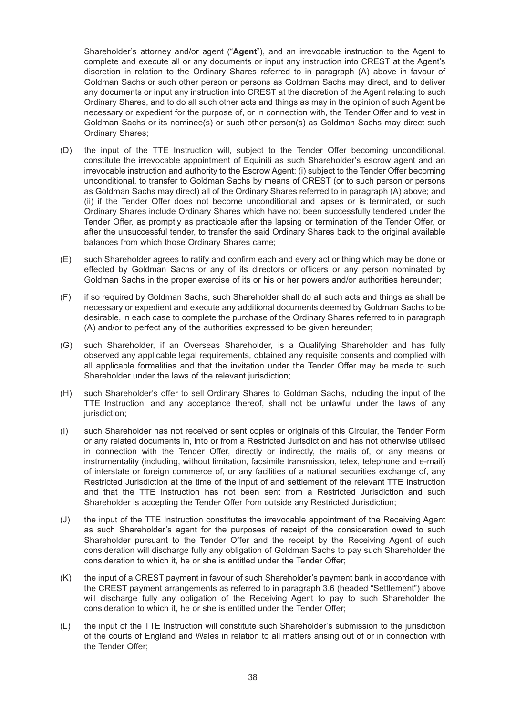Shareholder's attorney and/or agent ("**Agent**"), and an irrevocable instruction to the Agent to complete and execute all or any documents or input any instruction into CREST at the Agent's discretion in relation to the Ordinary Shares referred to in paragraph (A) above in favour of Goldman Sachs or such other person or persons as Goldman Sachs may direct, and to deliver any documents or input any instruction into CREST at the discretion of the Agent relating to such Ordinary Shares, and to do all such other acts and things as may in the opinion of such Agent be necessary or expedient for the purpose of, or in connection with, the Tender Offer and to vest in Goldman Sachs or its nominee(s) or such other person(s) as Goldman Sachs may direct such Ordinary Shares;

- (D) the input of the TTE Instruction will, subject to the Tender Offer becoming unconditional, constitute the irrevocable appointment of Equiniti as such Shareholder's escrow agent and an irrevocable instruction and authority to the Escrow Agent: (i) subject to the Tender Offer becoming unconditional, to transfer to Goldman Sachs by means of CREST (or to such person or persons as Goldman Sachs may direct) all of the Ordinary Shares referred to in paragraph (A) above; and (ii) if the Tender Offer does not become unconditional and lapses or is terminated, or such Ordinary Shares include Ordinary Shares which have not been successfully tendered under the Tender Offer, as promptly as practicable after the lapsing or termination of the Tender Offer, or after the unsuccessful tender, to transfer the said Ordinary Shares back to the original available balances from which those Ordinary Shares came;
- (E) such Shareholder agrees to ratify and confirm each and every act or thing which may be done or effected by Goldman Sachs or any of its directors or officers or any person nominated by Goldman Sachs in the proper exercise of its or his or her powers and/or authorities hereunder;
- (F) if so required by Goldman Sachs, such Shareholder shall do all such acts and things as shall be necessary or expedient and execute any additional documents deemed by Goldman Sachs to be desirable, in each case to complete the purchase of the Ordinary Shares referred to in paragraph (A) and/or to perfect any of the authorities expressed to be given hereunder;
- (G) such Shareholder, if an Overseas Shareholder, is a Qualifying Shareholder and has fully observed any applicable legal requirements, obtained any requisite consents and complied with all applicable formalities and that the invitation under the Tender Offer may be made to such Shareholder under the laws of the relevant jurisdiction;
- (H) such Shareholder's offer to sell Ordinary Shares to Goldman Sachs, including the input of the TTE Instruction, and any acceptance thereof, shall not be unlawful under the laws of any jurisdiction;
- (I) such Shareholder has not received or sent copies or originals of this Circular, the Tender Form or any related documents in, into or from a Restricted Jurisdiction and has not otherwise utilised in connection with the Tender Offer, directly or indirectly, the mails of, or any means or instrumentality (including, without limitation, facsimile transmission, telex, telephone and e-mail) of interstate or foreign commerce of, or any facilities of a national securities exchange of, any Restricted Jurisdiction at the time of the input of and settlement of the relevant TTE Instruction and that the TTE Instruction has not been sent from a Restricted Jurisdiction and such Shareholder is accepting the Tender Offer from outside any Restricted Jurisdiction;
- (J) the input of the TTE Instruction constitutes the irrevocable appointment of the Receiving Agent as such Shareholder's agent for the purposes of receipt of the consideration owed to such Shareholder pursuant to the Tender Offer and the receipt by the Receiving Agent of such consideration will discharge fully any obligation of Goldman Sachs to pay such Shareholder the consideration to which it, he or she is entitled under the Tender Offer;
- (K) the input of a CREST payment in favour of such Shareholder's payment bank in accordance with the CREST payment arrangements as referred to in paragraph 3.6 (headed "Settlement") above will discharge fully any obligation of the Receiving Agent to pay to such Shareholder the consideration to which it, he or she is entitled under the Tender Offer;
- (L) the input of the TTE Instruction will constitute such Shareholder's submission to the jurisdiction of the courts of England and Wales in relation to all matters arising out of or in connection with the Tender Offer;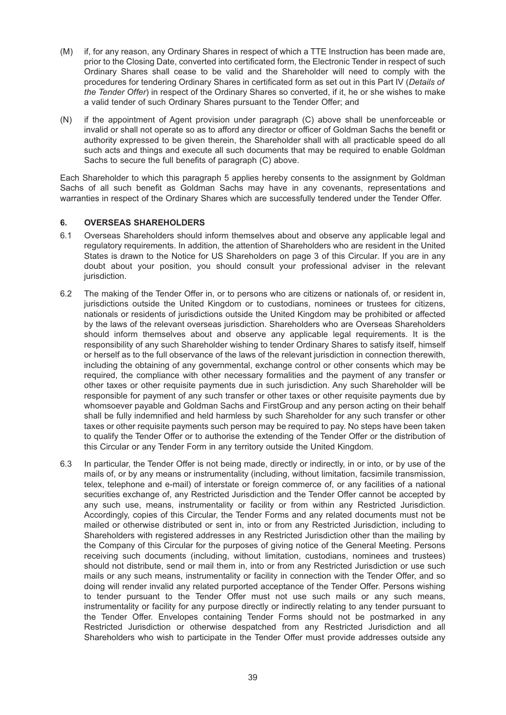- (M) if, for any reason, any Ordinary Shares in respect of which a TTE Instruction has been made are, prior to the Closing Date, converted into certificated form, the Electronic Tender in respect of such Ordinary Shares shall cease to be valid and the Shareholder will need to comply with the procedures for tendering Ordinary Shares in certificated form as set out in this Part IV (*Details of the Tender Offer*) in respect of the Ordinary Shares so converted, if it, he or she wishes to make a valid tender of such Ordinary Shares pursuant to the Tender Offer; and
- (N) if the appointment of Agent provision under paragraph (C) above shall be unenforceable or invalid or shall not operate so as to afford any director or officer of Goldman Sachs the benefit or authority expressed to be given therein, the Shareholder shall with all practicable speed do all such acts and things and execute all such documents that may be required to enable Goldman Sachs to secure the full benefits of paragraph (C) above.

Each Shareholder to which this paragraph 5 applies hereby consents to the assignment by Goldman Sachs of all such benefit as Goldman Sachs may have in any covenants, representations and warranties in respect of the Ordinary Shares which are successfully tendered under the Tender Offer.

#### **6. OVERSEAS SHAREHOLDERS**

- 6.1 Overseas Shareholders should inform themselves about and observe any applicable legal and regulatory requirements. In addition, the attention of Shareholders who are resident in the United States is drawn to the Notice for US Shareholders on page 3 of this Circular. If you are in any doubt about your position, you should consult your professional adviser in the relevant jurisdiction.
- 6.2 The making of the Tender Offer in, or to persons who are citizens or nationals of, or resident in, jurisdictions outside the United Kingdom or to custodians, nominees or trustees for citizens, nationals or residents of jurisdictions outside the United Kingdom may be prohibited or affected by the laws of the relevant overseas jurisdiction. Shareholders who are Overseas Shareholders should inform themselves about and observe any applicable legal requirements. It is the responsibility of any such Shareholder wishing to tender Ordinary Shares to satisfy itself, himself or herself as to the full observance of the laws of the relevant jurisdiction in connection therewith, including the obtaining of any governmental, exchange control or other consents which may be required, the compliance with other necessary formalities and the payment of any transfer or other taxes or other requisite payments due in such jurisdiction. Any such Shareholder will be responsible for payment of any such transfer or other taxes or other requisite payments due by whomsoever payable and Goldman Sachs and FirstGroup and any person acting on their behalf shall be fully indemnified and held harmless by such Shareholder for any such transfer or other taxes or other requisite payments such person may be required to pay. No steps have been taken to qualify the Tender Offer or to authorise the extending of the Tender Offer or the distribution of this Circular or any Tender Form in any territory outside the United Kingdom.
- 6.3 In particular, the Tender Offer is not being made, directly or indirectly, in or into, or by use of the mails of, or by any means or instrumentality (including, without limitation, facsimile transmission, telex, telephone and e-mail) of interstate or foreign commerce of, or any facilities of a national securities exchange of, any Restricted Jurisdiction and the Tender Offer cannot be accepted by any such use, means, instrumentality or facility or from within any Restricted Jurisdiction. Accordingly, copies of this Circular, the Tender Forms and any related documents must not be mailed or otherwise distributed or sent in, into or from any Restricted Jurisdiction, including to Shareholders with registered addresses in any Restricted Jurisdiction other than the mailing by the Company of this Circular for the purposes of giving notice of the General Meeting. Persons receiving such documents (including, without limitation, custodians, nominees and trustees) should not distribute, send or mail them in, into or from any Restricted Jurisdiction or use such mails or any such means, instrumentality or facility in connection with the Tender Offer, and so doing will render invalid any related purported acceptance of the Tender Offer. Persons wishing to tender pursuant to the Tender Offer must not use such mails or any such means, instrumentality or facility for any purpose directly or indirectly relating to any tender pursuant to the Tender Offer. Envelopes containing Tender Forms should not be postmarked in any Restricted Jurisdiction or otherwise despatched from any Restricted Jurisdiction and all Shareholders who wish to participate in the Tender Offer must provide addresses outside any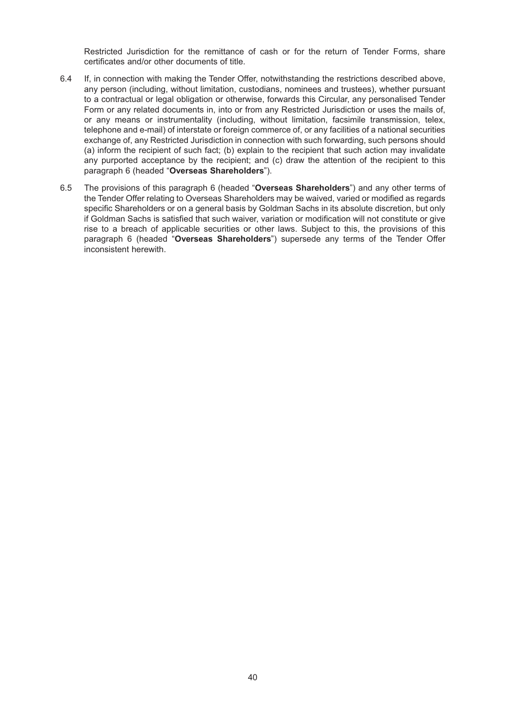Restricted Jurisdiction for the remittance of cash or for the return of Tender Forms, share certificates and/or other documents of title.

- 6.4 If, in connection with making the Tender Offer, notwithstanding the restrictions described above, any person (including, without limitation, custodians, nominees and trustees), whether pursuant to a contractual or legal obligation or otherwise, forwards this Circular, any personalised Tender Form or any related documents in, into or from any Restricted Jurisdiction or uses the mails of, or any means or instrumentality (including, without limitation, facsimile transmission, telex, telephone and e-mail) of interstate or foreign commerce of, or any facilities of a national securities exchange of, any Restricted Jurisdiction in connection with such forwarding, such persons should (a) inform the recipient of such fact; (b) explain to the recipient that such action may invalidate any purported acceptance by the recipient; and (c) draw the attention of the recipient to this paragraph 6 (headed "**Overseas Shareholders**").
- 6.5 The provisions of this paragraph 6 (headed "**Overseas Shareholders**") and any other terms of the Tender Offer relating to Overseas Shareholders may be waived, varied or modified as regards specific Shareholders or on a general basis by Goldman Sachs in its absolute discretion, but only if Goldman Sachs is satisfied that such waiver, variation or modification will not constitute or give rise to a breach of applicable securities or other laws. Subject to this, the provisions of this paragraph 6 (headed "**Overseas Shareholders**") supersede any terms of the Tender Offer inconsistent herewith.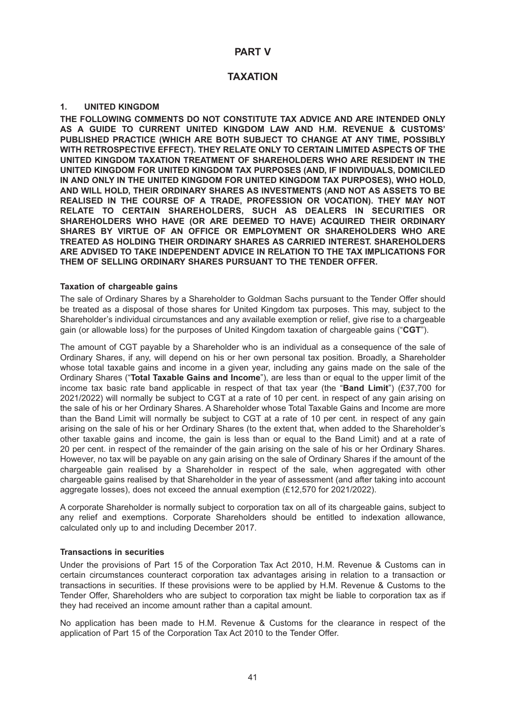#### **PART V**

#### **TAXATION**

#### **1. UNITED KINGDOM**

**THE FOLLOWING COMMENTS DO NOT CONSTITUTE TAX ADVICE AND ARE INTENDED ONLY AS A GUIDE TO CURRENT UNITED KINGDOM LAW AND H.M. REVENUE & CUSTOMS' PUBLISHED PRACTICE (WHICH ARE BOTH SUBJECT TO CHANGE AT ANY TIME, POSSIBLY WITH RETROSPECTIVE EFFECT). THEY RELATE ONLY TO CERTAIN LIMITED ASPECTS OF THE UNITED KINGDOM TAXATION TREATMENT OF SHAREHOLDERS WHO ARE RESIDENT IN THE UNITED KINGDOM FOR UNITED KINGDOM TAX PURPOSES (AND, IF INDIVIDUALS, DOMICILED IN AND ONLY IN THE UNITED KINGDOM FOR UNITED KINGDOM TAX PURPOSES), WHO HOLD, AND WILL HOLD, THEIR ORDINARY SHARES AS INVESTMENTS (AND NOT AS ASSETS TO BE REALISED IN THE COURSE OF A TRADE, PROFESSION OR VOCATION). THEY MAY NOT RELATE TO CERTAIN SHAREHOLDERS, SUCH AS DEALERS IN SECURITIES OR SHAREHOLDERS WHO HAVE (OR ARE DEEMED TO HAVE) ACQUIRED THEIR ORDINARY SHARES BY VIRTUE OF AN OFFICE OR EMPLOYMENT OR SHAREHOLDERS WHO ARE TREATED AS HOLDING THEIR ORDINARY SHARES AS CARRIED INTEREST. SHAREHOLDERS ARE ADVISED TO TAKE INDEPENDENT ADVICE IN RELATION TO THE TAX IMPLICATIONS FOR THEM OF SELLING ORDINARY SHARES PURSUANT TO THE TENDER OFFER.**

#### **Taxation of chargeable gains**

The sale of Ordinary Shares by a Shareholder to Goldman Sachs pursuant to the Tender Offer should be treated as a disposal of those shares for United Kingdom tax purposes. This may, subject to the Shareholder's individual circumstances and any available exemption or relief, give rise to a chargeable gain (or allowable loss) for the purposes of United Kingdom taxation of chargeable gains ("**CGT**").

The amount of CGT payable by a Shareholder who is an individual as a consequence of the sale of Ordinary Shares, if any, will depend on his or her own personal tax position. Broadly, a Shareholder whose total taxable gains and income in a given year, including any gains made on the sale of the Ordinary Shares ("**Total Taxable Gains and Income**"), are less than or equal to the upper limit of the income tax basic rate band applicable in respect of that tax year (the "**Band Limit**") (£37,700 for 2021/2022) will normally be subject to CGT at a rate of 10 per cent. in respect of any gain arising on the sale of his or her Ordinary Shares. A Shareholder whose Total Taxable Gains and Income are more than the Band Limit will normally be subject to CGT at a rate of 10 per cent. in respect of any gain arising on the sale of his or her Ordinary Shares (to the extent that, when added to the Shareholder's other taxable gains and income, the gain is less than or equal to the Band Limit) and at a rate of 20 per cent. in respect of the remainder of the gain arising on the sale of his or her Ordinary Shares. However, no tax will be payable on any gain arising on the sale of Ordinary Shares if the amount of the chargeable gain realised by a Shareholder in respect of the sale, when aggregated with other chargeable gains realised by that Shareholder in the year of assessment (and after taking into account aggregate losses), does not exceed the annual exemption (£12,570 for 2021/2022).

A corporate Shareholder is normally subject to corporation tax on all of its chargeable gains, subject to any relief and exemptions. Corporate Shareholders should be entitled to indexation allowance, calculated only up to and including December 2017.

#### **Transactions in securities**

Under the provisions of Part 15 of the Corporation Tax Act 2010, H.M. Revenue & Customs can in certain circumstances counteract corporation tax advantages arising in relation to a transaction or transactions in securities. If these provisions were to be applied by H.M. Revenue & Customs to the Tender Offer, Shareholders who are subject to corporation tax might be liable to corporation tax as if they had received an income amount rather than a capital amount.

No application has been made to H.M. Revenue & Customs for the clearance in respect of the application of Part 15 of the Corporation Tax Act 2010 to the Tender Offer.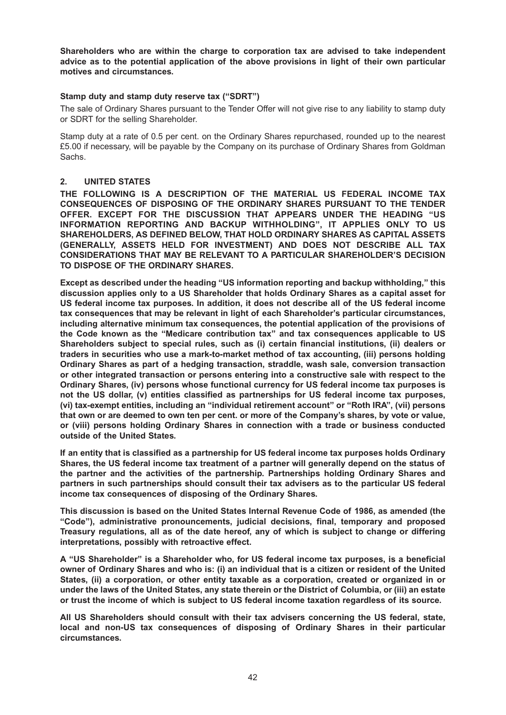**Shareholders who are within the charge to corporation tax are advised to take independent advice as to the potential application of the above provisions in light of their own particular motives and circumstances.**

#### **Stamp duty and stamp duty reserve tax ("SDRT")**

The sale of Ordinary Shares pursuant to the Tender Offer will not give rise to any liability to stamp duty or SDRT for the selling Shareholder.

Stamp duty at a rate of 0.5 per cent. on the Ordinary Shares repurchased, rounded up to the nearest £5.00 if necessary, will be payable by the Company on its purchase of Ordinary Shares from Goldman Sachs.

#### **2. UNITED STATES**

**THE FOLLOWING IS A DESCRIPTION OF THE MATERIAL US FEDERAL INCOME TAX CONSEQUENCES OF DISPOSING OF THE ORDINARY SHARES PURSUANT TO THE TENDER OFFER. EXCEPT FOR THE DISCUSSION THAT APPEARS UNDER THE HEADING "US INFORMATION REPORTING AND BACKUP WITHHOLDING", IT APPLIES ONLY TO US SHAREHOLDERS, AS DEFINED BELOW, THAT HOLD ORDINARY SHARES AS CAPITAL ASSETS (GENERALLY, ASSETS HELD FOR INVESTMENT) AND DOES NOT DESCRIBE ALL TAX CONSIDERATIONS THAT MAY BE RELEVANT TO A PARTICULAR SHAREHOLDER'S DECISION TO DISPOSE OF THE ORDINARY SHARES.**

**Except as described under the heading "US information reporting and backup withholding," this discussion applies only to a US Shareholder that holds Ordinary Shares as a capital asset for US federal income tax purposes. In addition, it does not describe all of the US federal income tax consequences that may be relevant in light of each Shareholder's particular circumstances, including alternative minimum tax consequences, the potential application of the provisions of the Code known as the "Medicare contribution tax" and tax consequences applicable to US Shareholders subject to special rules, such as (i) certain financial institutions, (ii) dealers or traders in securities who use a mark-to-market method of tax accounting, (iii) persons holding Ordinary Shares as part of a hedging transaction, straddle, wash sale, conversion transaction or other integrated transaction or persons entering into a constructive sale with respect to the Ordinary Shares, (iv) persons whose functional currency for US federal income tax purposes is not the US dollar, (v) entities classified as partnerships for US federal income tax purposes, (vi) tax-exempt entities, including an "individual retirement account" or "Roth IRA", (vii) persons that own or are deemed to own ten per cent. or more of the Company's shares, by vote or value, or (viii) persons holding Ordinary Shares in connection with a trade or business conducted outside of the United States.**

**If an entity that is classified as a partnership for US federal income tax purposes holds Ordinary Shares, the US federal income tax treatment of a partner will generally depend on the status of the partner and the activities of the partnership. Partnerships holding Ordinary Shares and partners in such partnerships should consult their tax advisers as to the particular US federal income tax consequences of disposing of the Ordinary Shares.**

**This discussion is based on the United States Internal Revenue Code of 1986, as amended (the "Code"), administrative pronouncements, judicial decisions, final, temporary and proposed Treasury regulations, all as of the date hereof, any of which is subject to change or differing interpretations, possibly with retroactive effect.**

**A "US Shareholder" is a Shareholder who, for US federal income tax purposes, is a beneficial owner of Ordinary Shares and who is: (i) an individual that is a citizen or resident of the United States, (ii) a corporation, or other entity taxable as a corporation, created or organized in or under the laws of the United States, any state therein or the District of Columbia, or (iii) an estate or trust the income of which is subject to US federal income taxation regardless of its source.**

**All US Shareholders should consult with their tax advisers concerning the US federal, state, local and non-US tax consequences of disposing of Ordinary Shares in their particular circumstances.**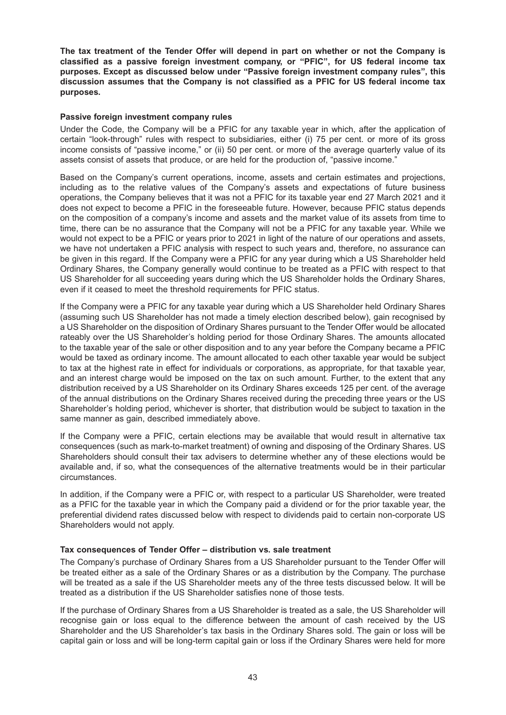**The tax treatment of the Tender Offer will depend in part on whether or not the Company is classified as a passive foreign investment company, or "PFIC", for US federal income tax purposes. Except as discussed below under "Passive foreign investment company rules", this discussion assumes that the Company is not classified as a PFIC for US federal income tax purposes.**

#### **Passive foreign investment company rules**

Under the Code, the Company will be a PFIC for any taxable year in which, after the application of certain "look-through" rules with respect to subsidiaries, either (i) 75 per cent. or more of its gross income consists of "passive income," or (ii) 50 per cent. or more of the average quarterly value of its assets consist of assets that produce, or are held for the production of, "passive income."

Based on the Company's current operations, income, assets and certain estimates and projections, including as to the relative values of the Company's assets and expectations of future business operations, the Company believes that it was not a PFIC for its taxable year end 27 March 2021 and it does not expect to become a PFIC in the foreseeable future. However, because PFIC status depends on the composition of a company's income and assets and the market value of its assets from time to time, there can be no assurance that the Company will not be a PFIC for any taxable year. While we would not expect to be a PFIC or years prior to 2021 in light of the nature of our operations and assets, we have not undertaken a PFIC analysis with respect to such years and, therefore, no assurance can be given in this regard. If the Company were a PFIC for any year during which a US Shareholder held Ordinary Shares, the Company generally would continue to be treated as a PFIC with respect to that US Shareholder for all succeeding years during which the US Shareholder holds the Ordinary Shares, even if it ceased to meet the threshold requirements for PFIC status.

If the Company were a PFIC for any taxable year during which a US Shareholder held Ordinary Shares (assuming such US Shareholder has not made a timely election described below), gain recognised by a US Shareholder on the disposition of Ordinary Shares pursuant to the Tender Offer would be allocated rateably over the US Shareholder's holding period for those Ordinary Shares. The amounts allocated to the taxable year of the sale or other disposition and to any year before the Company became a PFIC would be taxed as ordinary income. The amount allocated to each other taxable year would be subject to tax at the highest rate in effect for individuals or corporations, as appropriate, for that taxable year, and an interest charge would be imposed on the tax on such amount. Further, to the extent that any distribution received by a US Shareholder on its Ordinary Shares exceeds 125 per cent. of the average of the annual distributions on the Ordinary Shares received during the preceding three years or the US Shareholder's holding period, whichever is shorter, that distribution would be subject to taxation in the same manner as gain, described immediately above.

If the Company were a PFIC, certain elections may be available that would result in alternative tax consequences (such as mark-to-market treatment) of owning and disposing of the Ordinary Shares. US Shareholders should consult their tax advisers to determine whether any of these elections would be available and, if so, what the consequences of the alternative treatments would be in their particular circumstances.

In addition, if the Company were a PFIC or, with respect to a particular US Shareholder, were treated as a PFIC for the taxable year in which the Company paid a dividend or for the prior taxable year, the preferential dividend rates discussed below with respect to dividends paid to certain non-corporate US Shareholders would not apply.

#### **Tax consequences of Tender Offer – distribution vs. sale treatment**

The Company's purchase of Ordinary Shares from a US Shareholder pursuant to the Tender Offer will be treated either as a sale of the Ordinary Shares or as a distribution by the Company. The purchase will be treated as a sale if the US Shareholder meets any of the three tests discussed below. It will be treated as a distribution if the US Shareholder satisfies none of those tests.

If the purchase of Ordinary Shares from a US Shareholder is treated as a sale, the US Shareholder will recognise gain or loss equal to the difference between the amount of cash received by the US Shareholder and the US Shareholder's tax basis in the Ordinary Shares sold. The gain or loss will be capital gain or loss and will be long-term capital gain or loss if the Ordinary Shares were held for more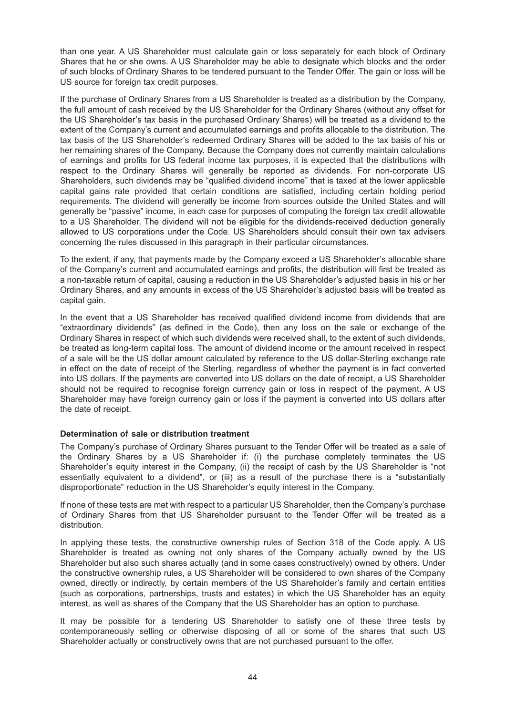than one year. A US Shareholder must calculate gain or loss separately for each block of Ordinary Shares that he or she owns. A US Shareholder may be able to designate which blocks and the order of such blocks of Ordinary Shares to be tendered pursuant to the Tender Offer. The gain or loss will be US source for foreign tax credit purposes.

If the purchase of Ordinary Shares from a US Shareholder is treated as a distribution by the Company, the full amount of cash received by the US Shareholder for the Ordinary Shares (without any offset for the US Shareholder's tax basis in the purchased Ordinary Shares) will be treated as a dividend to the extent of the Company's current and accumulated earnings and profits allocable to the distribution. The tax basis of the US Shareholder's redeemed Ordinary Shares will be added to the tax basis of his or her remaining shares of the Company. Because the Company does not currently maintain calculations of earnings and profits for US federal income tax purposes, it is expected that the distributions with respect to the Ordinary Shares will generally be reported as dividends. For non-corporate US Shareholders, such dividends may be "qualified dividend income" that is taxed at the lower applicable capital gains rate provided that certain conditions are satisfied, including certain holding period requirements. The dividend will generally be income from sources outside the United States and will generally be "passive" income, in each case for purposes of computing the foreign tax credit allowable to a US Shareholder. The dividend will not be eligible for the dividends-received deduction generally allowed to US corporations under the Code. US Shareholders should consult their own tax advisers concerning the rules discussed in this paragraph in their particular circumstances.

To the extent, if any, that payments made by the Company exceed a US Shareholder's allocable share of the Company's current and accumulated earnings and profits, the distribution will first be treated as a non-taxable return of capital, causing a reduction in the US Shareholder's adjusted basis in his or her Ordinary Shares, and any amounts in excess of the US Shareholder's adjusted basis will be treated as capital gain.

In the event that a US Shareholder has received qualified dividend income from dividends that are "extraordinary dividends" (as defined in the Code), then any loss on the sale or exchange of the Ordinary Shares in respect of which such dividends were received shall, to the extent of such dividends, be treated as long-term capital loss. The amount of dividend income or the amount received in respect of a sale will be the US dollar amount calculated by reference to the US dollar-Sterling exchange rate in effect on the date of receipt of the Sterling, regardless of whether the payment is in fact converted into US dollars. If the payments are converted into US dollars on the date of receipt, a US Shareholder should not be required to recognise foreign currency gain or loss in respect of the payment. A US Shareholder may have foreign currency gain or loss if the payment is converted into US dollars after the date of receipt.

#### **Determination of sale or distribution treatment**

The Company's purchase of Ordinary Shares pursuant to the Tender Offer will be treated as a sale of the Ordinary Shares by a US Shareholder if: (i) the purchase completely terminates the US Shareholder's equity interest in the Company, (ii) the receipt of cash by the US Shareholder is "not essentially equivalent to a dividend", or (iii) as a result of the purchase there is a "substantially disproportionate" reduction in the US Shareholder's equity interest in the Company.

If none of these tests are met with respect to a particular US Shareholder, then the Company's purchase of Ordinary Shares from that US Shareholder pursuant to the Tender Offer will be treated as a distribution.

In applying these tests, the constructive ownership rules of Section 318 of the Code apply. A US Shareholder is treated as owning not only shares of the Company actually owned by the US Shareholder but also such shares actually (and in some cases constructively) owned by others. Under the constructive ownership rules, a US Shareholder will be considered to own shares of the Company owned, directly or indirectly, by certain members of the US Shareholder's family and certain entities (such as corporations, partnerships, trusts and estates) in which the US Shareholder has an equity interest, as well as shares of the Company that the US Shareholder has an option to purchase.

It may be possible for a tendering US Shareholder to satisfy one of these three tests by contemporaneously selling or otherwise disposing of all or some of the shares that such US Shareholder actually or constructively owns that are not purchased pursuant to the offer.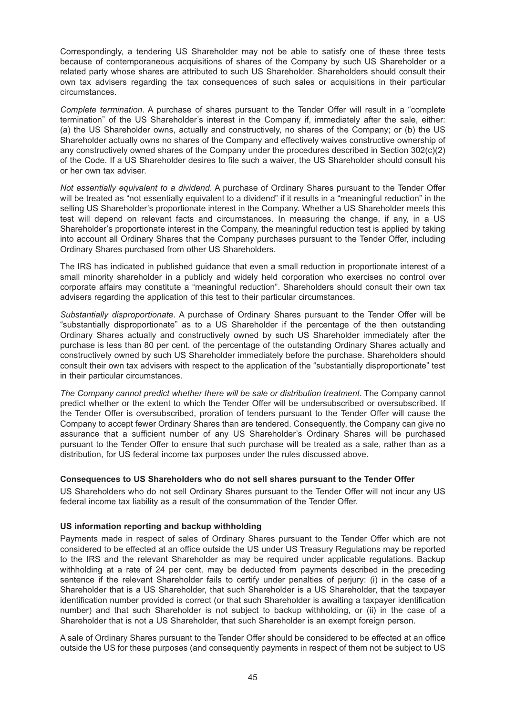Correspondingly, a tendering US Shareholder may not be able to satisfy one of these three tests because of contemporaneous acquisitions of shares of the Company by such US Shareholder or a related party whose shares are attributed to such US Shareholder. Shareholders should consult their own tax advisers regarding the tax consequences of such sales or acquisitions in their particular circumstances.

*Complete termination*. A purchase of shares pursuant to the Tender Offer will result in a "complete termination" of the US Shareholder's interest in the Company if, immediately after the sale, either: (a) the US Shareholder owns, actually and constructively, no shares of the Company; or (b) the US Shareholder actually owns no shares of the Company and effectively waives constructive ownership of any constructively owned shares of the Company under the procedures described in Section 302(c)(2) of the Code. If a US Shareholder desires to file such a waiver, the US Shareholder should consult his or her own tax adviser.

*Not essentially equivalent to a dividend*. A purchase of Ordinary Shares pursuant to the Tender Offer will be treated as "not essentially equivalent to a dividend" if it results in a "meaningful reduction" in the selling US Shareholder's proportionate interest in the Company. Whether a US Shareholder meets this test will depend on relevant facts and circumstances. In measuring the change, if any, in a US Shareholder's proportionate interest in the Company, the meaningful reduction test is applied by taking into account all Ordinary Shares that the Company purchases pursuant to the Tender Offer, including Ordinary Shares purchased from other US Shareholders.

The IRS has indicated in published guidance that even a small reduction in proportionate interest of a small minority shareholder in a publicly and widely held corporation who exercises no control over corporate affairs may constitute a "meaningful reduction". Shareholders should consult their own tax advisers regarding the application of this test to their particular circumstances.

*Substantially disproportionate*. A purchase of Ordinary Shares pursuant to the Tender Offer will be "substantially disproportionate" as to a US Shareholder if the percentage of the then outstanding Ordinary Shares actually and constructively owned by such US Shareholder immediately after the purchase is less than 80 per cent. of the percentage of the outstanding Ordinary Shares actually and constructively owned by such US Shareholder immediately before the purchase. Shareholders should consult their own tax advisers with respect to the application of the "substantially disproportionate" test in their particular circumstances.

*The Company cannot predict whether there will be sale or distribution treatment*. The Company cannot predict whether or the extent to which the Tender Offer will be undersubscribed or oversubscribed. If the Tender Offer is oversubscribed, proration of tenders pursuant to the Tender Offer will cause the Company to accept fewer Ordinary Shares than are tendered. Consequently, the Company can give no assurance that a sufficient number of any US Shareholder's Ordinary Shares will be purchased pursuant to the Tender Offer to ensure that such purchase will be treated as a sale, rather than as a distribution, for US federal income tax purposes under the rules discussed above.

#### **Consequences to US Shareholders who do not sell shares pursuant to the Tender Offer**

US Shareholders who do not sell Ordinary Shares pursuant to the Tender Offer will not incur any US federal income tax liability as a result of the consummation of the Tender Offer.

#### **US information reporting and backup withholding**

Payments made in respect of sales of Ordinary Shares pursuant to the Tender Offer which are not considered to be effected at an office outside the US under US Treasury Regulations may be reported to the IRS and the relevant Shareholder as may be required under applicable regulations. Backup withholding at a rate of 24 per cent. may be deducted from payments described in the preceding sentence if the relevant Shareholder fails to certify under penalties of perjury: (i) in the case of a Shareholder that is a US Shareholder, that such Shareholder is a US Shareholder, that the taxpayer identification number provided is correct (or that such Shareholder is awaiting a taxpayer identification number) and that such Shareholder is not subject to backup withholding, or (ii) in the case of a Shareholder that is not a US Shareholder, that such Shareholder is an exempt foreign person.

A sale of Ordinary Shares pursuant to the Tender Offer should be considered to be effected at an office outside the US for these purposes (and consequently payments in respect of them not be subject to US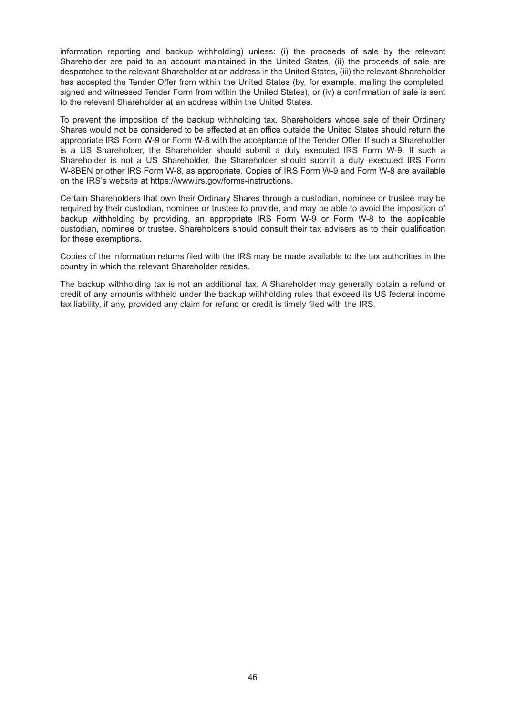information reporting and backup withholding) unless: (i) the proceeds of sale by the relevant Shareholder are paid to an account maintained in the United States, (ii) the proceeds of sale are despatched to the relevant Shareholder at an address in the United States, (iii) the relevant Shareholder has accepted the Tender Offer from within the United States (by, for example, mailing the completed, signed and witnessed Tender Form from within the United States), or (iv) a confirmation of sale is sent to the relevant Shareholder at an address within the United States.

To prevent the imposition of the backup withholding tax, Shareholders whose sale of their Ordinary Shares would not be considered to be effected at an office outside the United States should return the appropriate IRS Form W-9 or Form W-8 with the acceptance of the Tender Offer. If such a Shareholder is a US Shareholder, the Shareholder should submit a duly executed IRS Form W-9. If such a Shareholder is not a US Shareholder, the Shareholder should submit a duly executed IRS Form W-8BEN or other IRS Form W-8, as appropriate. Copies of IRS Form W-9 and Form W-8 are available on the IRS's website at https://www.irs.gov/forms-instructions.

Certain Shareholders that own their Ordinary Shares through a custodian, nominee or trustee may be required by their custodian, nominee or trustee to provide, and may be able to avoid the imposition of backup withholding by providing, an appropriate IRS Form W-9 or Form W-8 to the applicable custodian, nominee or trustee. Shareholders should consult their tax advisers as to their qualification for these exemptions.

Copies of the information returns filed with the IRS may be made available to the tax authorities in the country in which the relevant Shareholder resides.

The backup withholding tax is not an additional tax. A Shareholder may generally obtain a refund or credit of any amounts withheld under the backup withholding rules that exceed its US federal income tax liability, if any, provided any claim for refund or credit is timely filed with the IRS.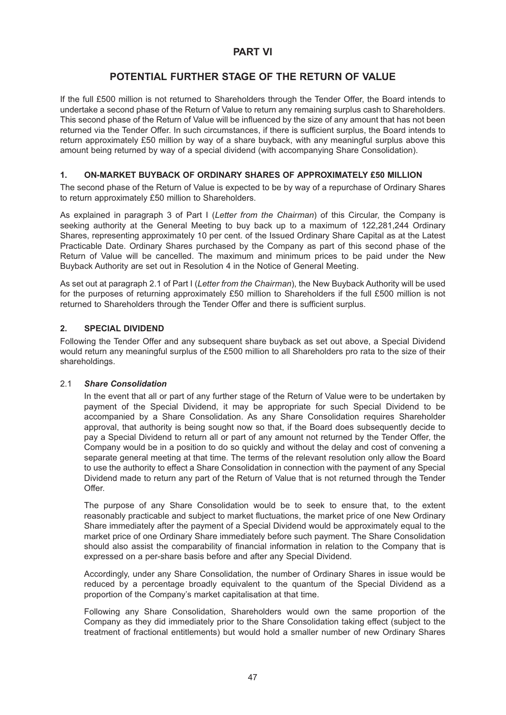### **PART VI**

### **POTENTIAL FURTHER STAGE OF THE RETURN OF VALUE**

If the full £500 million is not returned to Shareholders through the Tender Offer, the Board intends to undertake a second phase of the Return of Value to return any remaining surplus cash to Shareholders. This second phase of the Return of Value will be influenced by the size of any amount that has not been returned via the Tender Offer. In such circumstances, if there is sufficient surplus, the Board intends to return approximately £50 million by way of a share buyback, with any meaningful surplus above this amount being returned by way of a special dividend (with accompanying Share Consolidation).

#### **1. ON-MARKET BUYBACK OF ORDINARY SHARES OF APPROXIMATELY £50 MILLION**

The second phase of the Return of Value is expected to be by way of a repurchase of Ordinary Shares to return approximately £50 million to Shareholders.

As explained in paragraph 3 of Part I (*Letter from the Chairman*) of this Circular, the Company is seeking authority at the General Meeting to buy back up to a maximum of 122,281,244 Ordinary Shares, representing approximately 10 per cent. of the Issued Ordinary Share Capital as at the Latest Practicable Date. Ordinary Shares purchased by the Company as part of this second phase of the Return of Value will be cancelled. The maximum and minimum prices to be paid under the New Buyback Authority are set out in Resolution 4 in the Notice of General Meeting.

As set out at paragraph 2.1 of Part I (*Letter from the Chairman*), the New Buyback Authority will be used for the purposes of returning approximately £50 million to Shareholders if the full £500 million is not returned to Shareholders through the Tender Offer and there is sufficient surplus.

#### **2. SPECIAL DIVIDEND**

Following the Tender Offer and any subsequent share buyback as set out above, a Special Dividend would return any meaningful surplus of the £500 million to all Shareholders pro rata to the size of their shareholdings.

#### 2.1 *Share Consolidation*

In the event that all or part of any further stage of the Return of Value were to be undertaken by payment of the Special Dividend, it may be appropriate for such Special Dividend to be accompanied by a Share Consolidation. As any Share Consolidation requires Shareholder approval, that authority is being sought now so that, if the Board does subsequently decide to pay a Special Dividend to return all or part of any amount not returned by the Tender Offer, the Company would be in a position to do so quickly and without the delay and cost of convening a separate general meeting at that time. The terms of the relevant resolution only allow the Board to use the authority to effect a Share Consolidation in connection with the payment of any Special Dividend made to return any part of the Return of Value that is not returned through the Tender Offer.

The purpose of any Share Consolidation would be to seek to ensure that, to the extent reasonably practicable and subject to market fluctuations, the market price of one New Ordinary Share immediately after the payment of a Special Dividend would be approximately equal to the market price of one Ordinary Share immediately before such payment. The Share Consolidation should also assist the comparability of financial information in relation to the Company that is expressed on a per-share basis before and after any Special Dividend.

Accordingly, under any Share Consolidation, the number of Ordinary Shares in issue would be reduced by a percentage broadly equivalent to the quantum of the Special Dividend as a proportion of the Company's market capitalisation at that time.

Following any Share Consolidation, Shareholders would own the same proportion of the Company as they did immediately prior to the Share Consolidation taking effect (subject to the treatment of fractional entitlements) but would hold a smaller number of new Ordinary Shares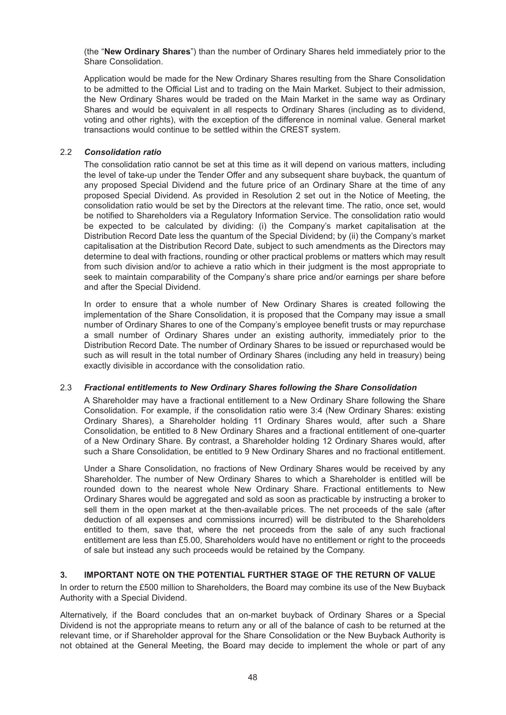(the "**New Ordinary Shares**") than the number of Ordinary Shares held immediately prior to the Share Consolidation.

Application would be made for the New Ordinary Shares resulting from the Share Consolidation to be admitted to the Official List and to trading on the Main Market. Subject to their admission, the New Ordinary Shares would be traded on the Main Market in the same way as Ordinary Shares and would be equivalent in all respects to Ordinary Shares (including as to dividend, voting and other rights), with the exception of the difference in nominal value. General market transactions would continue to be settled within the CREST system.

#### 2.2 *Consolidation ratio*

The consolidation ratio cannot be set at this time as it will depend on various matters, including the level of take-up under the Tender Offer and any subsequent share buyback, the quantum of any proposed Special Dividend and the future price of an Ordinary Share at the time of any proposed Special Dividend. As provided in Resolution 2 set out in the Notice of Meeting, the consolidation ratio would be set by the Directors at the relevant time. The ratio, once set, would be notified to Shareholders via a Regulatory Information Service. The consolidation ratio would be expected to be calculated by dividing: (i) the Company's market capitalisation at the Distribution Record Date less the quantum of the Special Dividend; by (ii) the Company's market capitalisation at the Distribution Record Date, subject to such amendments as the Directors may determine to deal with fractions, rounding or other practical problems or matters which may result from such division and/or to achieve a ratio which in their judgment is the most appropriate to seek to maintain comparability of the Company's share price and/or earnings per share before and after the Special Dividend.

In order to ensure that a whole number of New Ordinary Shares is created following the implementation of the Share Consolidation, it is proposed that the Company may issue a small number of Ordinary Shares to one of the Company's employee benefit trusts or may repurchase a small number of Ordinary Shares under an existing authority, immediately prior to the Distribution Record Date. The number of Ordinary Shares to be issued or repurchased would be such as will result in the total number of Ordinary Shares (including any held in treasury) being exactly divisible in accordance with the consolidation ratio.

#### 2.3 *Fractional entitlements to New Ordinary Shares following the Share Consolidation*

A Shareholder may have a fractional entitlement to a New Ordinary Share following the Share Consolidation. For example, if the consolidation ratio were 3:4 (New Ordinary Shares: existing Ordinary Shares), a Shareholder holding 11 Ordinary Shares would, after such a Share Consolidation, be entitled to 8 New Ordinary Shares and a fractional entitlement of one-quarter of a New Ordinary Share. By contrast, a Shareholder holding 12 Ordinary Shares would, after such a Share Consolidation, be entitled to 9 New Ordinary Shares and no fractional entitlement.

Under a Share Consolidation, no fractions of New Ordinary Shares would be received by any Shareholder. The number of New Ordinary Shares to which a Shareholder is entitled will be rounded down to the nearest whole New Ordinary Share. Fractional entitlements to New Ordinary Shares would be aggregated and sold as soon as practicable by instructing a broker to sell them in the open market at the then-available prices. The net proceeds of the sale (after deduction of all expenses and commissions incurred) will be distributed to the Shareholders entitled to them, save that, where the net proceeds from the sale of any such fractional entitlement are less than £5.00, Shareholders would have no entitlement or right to the proceeds of sale but instead any such proceeds would be retained by the Company.

#### **3. IMPORTANT NOTE ON THE POTENTIAL FURTHER STAGE OF THE RETURN OF VALUE**

In order to return the £500 million to Shareholders, the Board may combine its use of the New Buyback Authority with a Special Dividend.

Alternatively, if the Board concludes that an on-market buyback of Ordinary Shares or a Special Dividend is not the appropriate means to return any or all of the balance of cash to be returned at the relevant time, or if Shareholder approval for the Share Consolidation or the New Buyback Authority is not obtained at the General Meeting, the Board may decide to implement the whole or part of any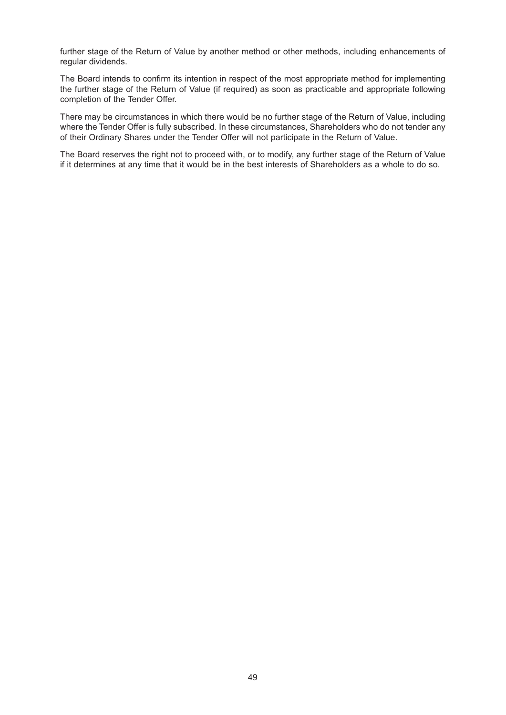further stage of the Return of Value by another method or other methods, including enhancements of regular dividends.

The Board intends to confirm its intention in respect of the most appropriate method for implementing the further stage of the Return of Value (if required) as soon as practicable and appropriate following completion of the Tender Offer.

There may be circumstances in which there would be no further stage of the Return of Value, including where the Tender Offer is fully subscribed. In these circumstances, Shareholders who do not tender any of their Ordinary Shares under the Tender Offer will not participate in the Return of Value.

The Board reserves the right not to proceed with, or to modify, any further stage of the Return of Value if it determines at any time that it would be in the best interests of Shareholders as a whole to do so.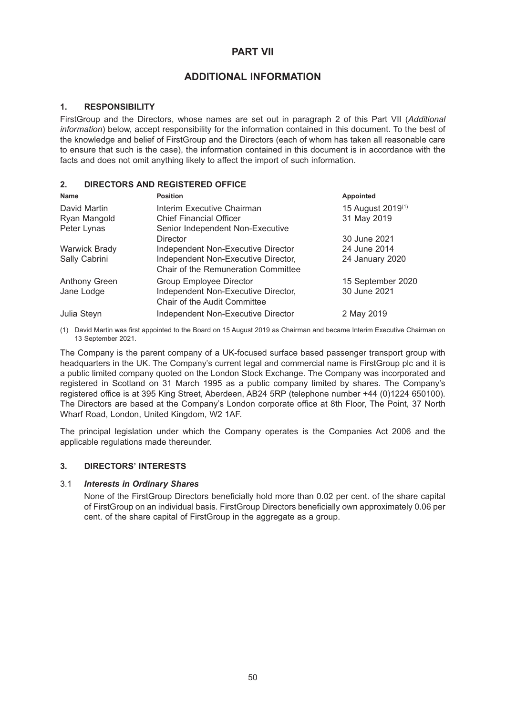#### **PART VII**

#### **ADDITIONAL INFORMATION**

#### **1. RESPONSIBILITY**

FirstGroup and the Directors, whose names are set out in paragraph 2 of this Part VII (*Additional information*) below, accept responsibility for the information contained in this document. To the best of the knowledge and belief of FirstGroup and the Directors (each of whom has taken all reasonable care to ensure that such is the case), the information contained in this document is in accordance with the facts and does not omit anything likely to affect the import of such information.

#### **2. DIRECTORS AND REGISTERED OFFICE**

| <b>Name</b>          | <b>Position</b>                                                            | Appointed                     |
|----------------------|----------------------------------------------------------------------------|-------------------------------|
| David Martin         | Interim Executive Chairman                                                 | 15 August 2019 <sup>(1)</sup> |
| Ryan Mangold         | <b>Chief Financial Officer</b>                                             | 31 May 2019                   |
| Peter Lynas          | Senior Independent Non-Executive                                           |                               |
|                      | <b>Director</b>                                                            | 30 June 2021                  |
| <b>Warwick Brady</b> | Independent Non-Executive Director                                         | 24 June 2014                  |
| Sally Cabrini        | Independent Non-Executive Director,<br>Chair of the Remuneration Committee | 24 January 2020               |
| Anthony Green        | Group Employee Director                                                    | 15 September 2020             |
| Jane Lodge           | Independent Non-Executive Director,                                        | 30 June 2021                  |
|                      | Chair of the Audit Committee                                               |                               |
| Julia Steyn          | Independent Non-Executive Director                                         | 2 May 2019                    |

(1) David Martin was first appointed to the Board on 15 August 2019 as Chairman and became Interim Executive Chairman on 13 September 2021.

The Company is the parent company of a UK-focused surface based passenger transport group with headquarters in the UK. The Company's current legal and commercial name is FirstGroup plc and it is a public limited company quoted on the London Stock Exchange. The Company was incorporated and registered in Scotland on 31 March 1995 as a public company limited by shares. The Company's registered office is at 395 King Street, Aberdeen, AB24 5RP (telephone number +44 (0)1224 650100). The Directors are based at the Company's London corporate office at 8th Floor, The Point, 37 North Wharf Road, London, United Kingdom, W2 1AF.

The principal legislation under which the Company operates is the Companies Act 2006 and the applicable regulations made thereunder.

#### **3. DIRECTORS' INTERESTS**

#### 3.1 *Interests in Ordinary Shares*

None of the FirstGroup Directors beneficially hold more than 0.02 per cent. of the share capital of FirstGroup on an individual basis. FirstGroup Directors beneficially own approximately 0.06 per cent. of the share capital of FirstGroup in the aggregate as a group.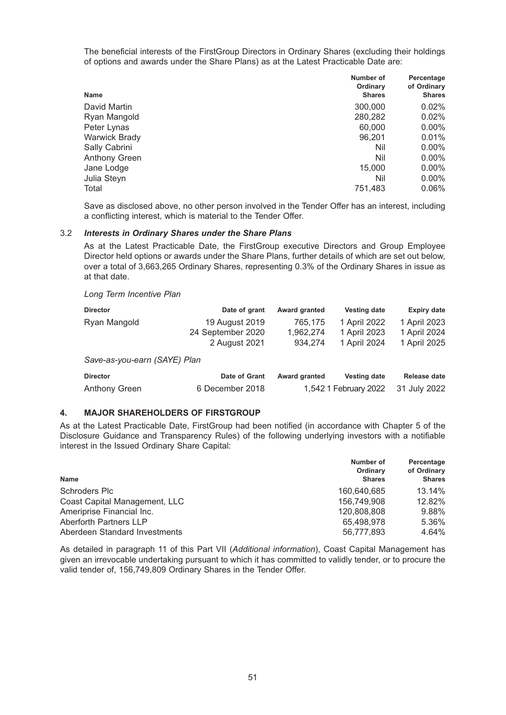The beneficial interests of the FirstGroup Directors in Ordinary Shares (excluding their holdings of options and awards under the Share Plans) as at the Latest Practicable Date are:

|                      | Number of<br>Ordinary | Percentage<br>of Ordinary |
|----------------------|-----------------------|---------------------------|
| <b>Name</b>          | <b>Shares</b>         | <b>Shares</b>             |
| David Martin         | 300,000               | 0.02%                     |
| Ryan Mangold         | 280,282               | 0.02%                     |
| Peter Lynas          | 60,000                | $0.00\%$                  |
| <b>Warwick Brady</b> | 96.201                | 0.01%                     |
| Sally Cabrini        | Nil                   | $0.00\%$                  |
| <b>Anthony Green</b> | Nil                   | $0.00\%$                  |
| Jane Lodge           | 15,000                | $0.00\%$                  |
| Julia Steyn          | Nil                   | $0.00\%$                  |
| Total                | 751,483               | 0.06%                     |

Save as disclosed above, no other person involved in the Tender Offer has an interest, including a conflicting interest, which is material to the Tender Offer.

#### 3.2 *Interests in Ordinary Shares under the Share Plans*

As at the Latest Practicable Date, the FirstGroup executive Directors and Group Employee Director held options or awards under the Share Plans, further details of which are set out below, over a total of 3,663,265 Ordinary Shares, representing 0.3% of the Ordinary Shares in issue as at that date.

*Long Term Incentive Plan*

| <b>Director</b>              | Date of grant     | Award granted | <b>Vesting date</b>   | <b>Expiry date</b> |
|------------------------------|-------------------|---------------|-----------------------|--------------------|
| Ryan Mangold                 | 19 August 2019    | 765.175       | 1 April 2022          | 1 April 2023       |
|                              | 24 September 2020 | 1,962,274     | 1 April 2023          | 1 April 2024       |
|                              | 2 August 2021     | 934.274       | 1 April 2024          | 1 April 2025       |
| Save-as-you-earn (SAYE) Plan |                   |               |                       |                    |
| <b>Director</b>              | Date of Grant     | Award granted | <b>Vesting date</b>   | Release date       |
| <b>Anthony Green</b>         | 6 December 2018   |               | 1,542 1 February 2022 | 31 July 2022       |

#### **4. MAJOR SHAREHOLDERS OF FIRSTGROUP**

As at the Latest Practicable Date, FirstGroup had been notified (in accordance with Chapter 5 of the Disclosure Guidance and Transparency Rules) of the following underlying investors with a notifiable interest in the Issued Ordinary Share Capital:

|                               | Number of<br>Ordinary | Percentage<br>of Ordinary |
|-------------------------------|-----------------------|---------------------------|
| <b>Name</b>                   | <b>Shares</b>         | <b>Shares</b>             |
| Schroders Plc                 | 160.640.685           | 13.14%                    |
| Coast Capital Management, LLC | 156,749,908           | 12.82%                    |
| Ameriprise Financial Inc.     | 120,808,808           | 9.88%                     |
| Aberforth Partners LLP        | 65.498.978            | 5.36%                     |
| Aberdeen Standard Investments | 56.777.893            | 4.64%                     |

As detailed in paragraph 11 of this Part VII (*Additional information*), Coast Capital Management has given an irrevocable undertaking pursuant to which it has committed to validly tender, or to procure the valid tender of, 156,749,809 Ordinary Shares in the Tender Offer.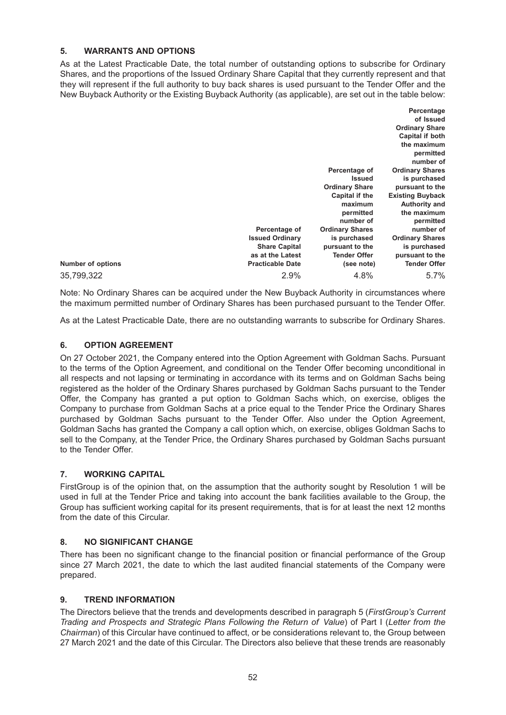#### **5. WARRANTS AND OPTIONS**

As at the Latest Practicable Date, the total number of outstanding options to subscribe for Ordinary Shares, and the proportions of the Issued Ordinary Share Capital that they currently represent and that they will represent if the full authority to buy back shares is used pursuant to the Tender Offer and the New Buyback Authority or the Existing Buyback Authority (as applicable), are set out in the table below:

|                          |                         |                        | Percentage              |
|--------------------------|-------------------------|------------------------|-------------------------|
|                          |                         |                        | of Issued               |
|                          |                         |                        | <b>Ordinary Share</b>   |
|                          |                         |                        | Capital if both         |
|                          |                         |                        | the maximum             |
|                          |                         |                        | permitted               |
|                          |                         |                        | number of               |
|                          |                         | Percentage of          | <b>Ordinary Shares</b>  |
|                          |                         | <b>Issued</b>          | is purchased            |
|                          |                         | <b>Ordinary Share</b>  | pursuant to the         |
|                          |                         | Capital if the         | <b>Existing Buyback</b> |
|                          |                         | maximum                | <b>Authority and</b>    |
|                          |                         | permitted              | the maximum             |
|                          |                         | number of              | permitted               |
|                          | Percentage of           | <b>Ordinary Shares</b> | number of               |
|                          | <b>Issued Ordinary</b>  | is purchased           | <b>Ordinary Shares</b>  |
|                          | <b>Share Capital</b>    | pursuant to the        | is purchased            |
|                          | as at the Latest        | Tender Offer           | pursuant to the         |
| <b>Number of options</b> | <b>Practicable Date</b> | (see note)             | <b>Tender Offer</b>     |
| 35,799,322               | 2.9%                    | 4.8%                   | $5.7\%$                 |
|                          |                         |                        |                         |

Note: No Ordinary Shares can be acquired under the New Buyback Authority in circumstances where the maximum permitted number of Ordinary Shares has been purchased pursuant to the Tender Offer.

As at the Latest Practicable Date, there are no outstanding warrants to subscribe for Ordinary Shares.

#### **6. OPTION AGREEMENT**

On 27 October 2021, the Company entered into the Option Agreement with Goldman Sachs. Pursuant to the terms of the Option Agreement, and conditional on the Tender Offer becoming unconditional in all respects and not lapsing or terminating in accordance with its terms and on Goldman Sachs being registered as the holder of the Ordinary Shares purchased by Goldman Sachs pursuant to the Tender Offer, the Company has granted a put option to Goldman Sachs which, on exercise, obliges the Company to purchase from Goldman Sachs at a price equal to the Tender Price the Ordinary Shares purchased by Goldman Sachs pursuant to the Tender Offer. Also under the Option Agreement, Goldman Sachs has granted the Company a call option which, on exercise, obliges Goldman Sachs to sell to the Company, at the Tender Price, the Ordinary Shares purchased by Goldman Sachs pursuant to the Tender Offer.

#### **7. WORKING CAPITAL**

FirstGroup is of the opinion that, on the assumption that the authority sought by Resolution 1 will be used in full at the Tender Price and taking into account the bank facilities available to the Group, the Group has sufficient working capital for its present requirements, that is for at least the next 12 months from the date of this Circular.

#### **8. NO SIGNIFICANT CHANGE**

There has been no significant change to the financial position or financial performance of the Group since 27 March 2021, the date to which the last audited financial statements of the Company were prepared.

#### **9. TREND INFORMATION**

The Directors believe that the trends and developments described in paragraph 5 (*FirstGroup's Current Trading and Prospects and Strategic Plans Following the Return of Value*) of Part I (*Letter from the Chairman*) of this Circular have continued to affect, or be considerations relevant to, the Group between 27 March 2021 and the date of this Circular. The Directors also believe that these trends are reasonably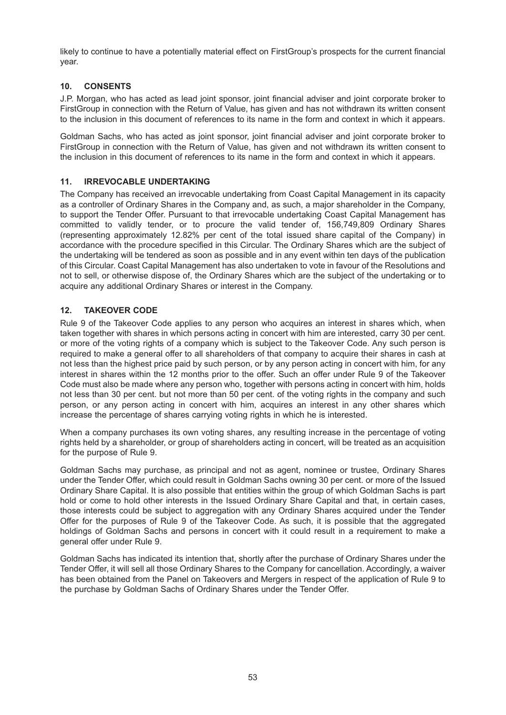likely to continue to have a potentially material effect on FirstGroup's prospects for the current financial year.

#### **10. CONSENTS**

J.P. Morgan, who has acted as lead joint sponsor, joint financial adviser and joint corporate broker to FirstGroup in connection with the Return of Value, has given and has not withdrawn its written consent to the inclusion in this document of references to its name in the form and context in which it appears.

Goldman Sachs, who has acted as joint sponsor, joint financial adviser and joint corporate broker to FirstGroup in connection with the Return of Value, has given and not withdrawn its written consent to the inclusion in this document of references to its name in the form and context in which it appears.

#### **11. IRREVOCABLE UNDERTAKING**

The Company has received an irrevocable undertaking from Coast Capital Management in its capacity as a controller of Ordinary Shares in the Company and, as such, a major shareholder in the Company, to support the Tender Offer. Pursuant to that irrevocable undertaking Coast Capital Management has committed to validly tender, or to procure the valid tender of, 156,749,809 Ordinary Shares (representing approximately 12.82% per cent of the total issued share capital of the Company) in accordance with the procedure specified in this Circular. The Ordinary Shares which are the subject of the undertaking will be tendered as soon as possible and in any event within ten days of the publication of this Circular. Coast Capital Management has also undertaken to vote in favour of the Resolutions and not to sell, or otherwise dispose of, the Ordinary Shares which are the subject of the undertaking or to acquire any additional Ordinary Shares or interest in the Company.

#### **12. TAKEOVER CODE**

Rule 9 of the Takeover Code applies to any person who acquires an interest in shares which, when taken together with shares in which persons acting in concert with him are interested, carry 30 per cent. or more of the voting rights of a company which is subject to the Takeover Code. Any such person is required to make a general offer to all shareholders of that company to acquire their shares in cash at not less than the highest price paid by such person, or by any person acting in concert with him, for any interest in shares within the 12 months prior to the offer. Such an offer under Rule 9 of the Takeover Code must also be made where any person who, together with persons acting in concert with him, holds not less than 30 per cent. but not more than 50 per cent. of the voting rights in the company and such person, or any person acting in concert with him, acquires an interest in any other shares which increase the percentage of shares carrying voting rights in which he is interested.

When a company purchases its own voting shares, any resulting increase in the percentage of voting rights held by a shareholder, or group of shareholders acting in concert, will be treated as an acquisition for the purpose of Rule 9.

Goldman Sachs may purchase, as principal and not as agent, nominee or trustee, Ordinary Shares under the Tender Offer, which could result in Goldman Sachs owning 30 per cent. or more of the Issued Ordinary Share Capital. It is also possible that entities within the group of which Goldman Sachs is part hold or come to hold other interests in the Issued Ordinary Share Capital and that, in certain cases, those interests could be subject to aggregation with any Ordinary Shares acquired under the Tender Offer for the purposes of Rule 9 of the Takeover Code. As such, it is possible that the aggregated holdings of Goldman Sachs and persons in concert with it could result in a requirement to make a general offer under Rule 9.

Goldman Sachs has indicated its intention that, shortly after the purchase of Ordinary Shares under the Tender Offer, it will sell all those Ordinary Shares to the Company for cancellation. Accordingly, a waiver has been obtained from the Panel on Takeovers and Mergers in respect of the application of Rule 9 to the purchase by Goldman Sachs of Ordinary Shares under the Tender Offer.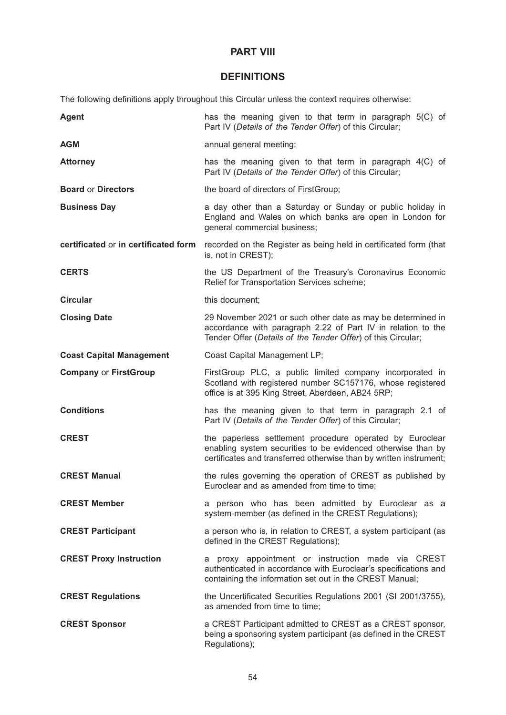## **PART VIII**

## **DEFINITIONS**

The following definitions apply throughout this Circular unless the context requires otherwise:

| <b>Agent</b>                         | has the meaning given to that term in paragraph 5(C) of<br>Part IV (Details of the Tender Offer) of this Circular;                                                                             |
|--------------------------------------|------------------------------------------------------------------------------------------------------------------------------------------------------------------------------------------------|
| <b>AGM</b>                           | annual general meeting;                                                                                                                                                                        |
| <b>Attorney</b>                      | has the meaning given to that term in paragraph 4(C) of<br>Part IV (Details of the Tender Offer) of this Circular;                                                                             |
| <b>Board or Directors</b>            | the board of directors of FirstGroup;                                                                                                                                                          |
| <b>Business Day</b>                  | a day other than a Saturday or Sunday or public holiday in<br>England and Wales on which banks are open in London for<br>general commercial business;                                          |
| certificated or in certificated form | recorded on the Register as being held in certificated form (that<br>is, not in CREST);                                                                                                        |
| <b>CERTS</b>                         | the US Department of the Treasury's Coronavirus Economic<br>Relief for Transportation Services scheme;                                                                                         |
| <b>Circular</b>                      | this document;                                                                                                                                                                                 |
| <b>Closing Date</b>                  | 29 November 2021 or such other date as may be determined in<br>accordance with paragraph 2.22 of Part IV in relation to the<br>Tender Offer (Details of the Tender Offer) of this Circular;    |
| <b>Coast Capital Management</b>      | Coast Capital Management LP;                                                                                                                                                                   |
| <b>Company or FirstGroup</b>         | FirstGroup PLC, a public limited company incorporated in<br>Scotland with registered number SC157176, whose registered<br>office is at 395 King Street, Aberdeen, AB24 5RP;                    |
| <b>Conditions</b>                    | has the meaning given to that term in paragraph 2.1 of<br>Part IV (Details of the Tender Offer) of this Circular;                                                                              |
| <b>CREST</b>                         | the paperless settlement procedure operated by Euroclear<br>enabling system securities to be evidenced otherwise than by<br>certificates and transferred otherwise than by written instrument; |
| <b>CREST Manual</b>                  | the rules governing the operation of CREST as published by<br>Euroclear and as amended from time to time;                                                                                      |
| <b>CREST Member</b>                  | a person who has been admitted by Euroclear as a<br>system-member (as defined in the CREST Regulations);                                                                                       |
| <b>CREST Participant</b>             | a person who is, in relation to CREST, a system participant (as<br>defined in the CREST Regulations);                                                                                          |
| <b>CREST Proxy Instruction</b>       | a proxy appointment or instruction made via CREST<br>authenticated in accordance with Euroclear's specifications and<br>containing the information set out in the CREST Manual;                |
| <b>CREST Regulations</b>             | the Uncertificated Securities Regulations 2001 (SI 2001/3755),<br>as amended from time to time;                                                                                                |
| <b>CREST Sponsor</b>                 | a CREST Participant admitted to CREST as a CREST sponsor,<br>being a sponsoring system participant (as defined in the CREST<br>Regulations);                                                   |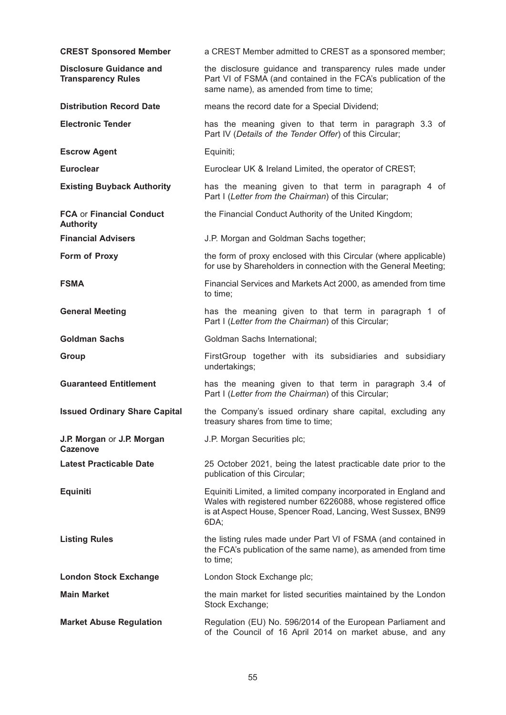| <b>CREST Sponsored Member</b>                               | a CREST Member admitted to CREST as a sponsored member;                                                                                                                                                  |
|-------------------------------------------------------------|----------------------------------------------------------------------------------------------------------------------------------------------------------------------------------------------------------|
| <b>Disclosure Guidance and</b><br><b>Transparency Rules</b> | the disclosure guidance and transparency rules made under<br>Part VI of FSMA (and contained in the FCA's publication of the<br>same name), as amended from time to time;                                 |
| <b>Distribution Record Date</b>                             | means the record date for a Special Dividend;                                                                                                                                                            |
| <b>Electronic Tender</b>                                    | has the meaning given to that term in paragraph 3.3 of<br>Part IV (Details of the Tender Offer) of this Circular;                                                                                        |
| <b>Escrow Agent</b>                                         | Equiniti;                                                                                                                                                                                                |
| <b>Euroclear</b>                                            | Euroclear UK & Ireland Limited, the operator of CREST;                                                                                                                                                   |
| <b>Existing Buyback Authority</b>                           | has the meaning given to that term in paragraph 4 of<br>Part I (Letter from the Chairman) of this Circular;                                                                                              |
| <b>FCA or Financial Conduct</b><br><b>Authority</b>         | the Financial Conduct Authority of the United Kingdom;                                                                                                                                                   |
| <b>Financial Advisers</b>                                   | J.P. Morgan and Goldman Sachs together;                                                                                                                                                                  |
| Form of Proxy                                               | the form of proxy enclosed with this Circular (where applicable)<br>for use by Shareholders in connection with the General Meeting;                                                                      |
| <b>FSMA</b>                                                 | Financial Services and Markets Act 2000, as amended from time<br>to time;                                                                                                                                |
| <b>General Meeting</b>                                      | has the meaning given to that term in paragraph 1 of<br>Part I (Letter from the Chairman) of this Circular;                                                                                              |
| <b>Goldman Sachs</b>                                        | <b>Goldman Sachs International;</b>                                                                                                                                                                      |
| Group                                                       | FirstGroup together with its subsidiaries and subsidiary<br>undertakings;                                                                                                                                |
| <b>Guaranteed Entitlement</b>                               | has the meaning given to that term in paragraph 3.4 of<br>Part I (Letter from the Chairman) of this Circular;                                                                                            |
| <b>Issued Ordinary Share Capital</b>                        | the Company's issued ordinary share capital, excluding any<br>treasury shares from time to time;                                                                                                         |
| J.P. Morgan or J.P. Morgan<br>Cazenove                      | J.P. Morgan Securities plc;                                                                                                                                                                              |
| <b>Latest Practicable Date</b>                              | 25 October 2021, being the latest practicable date prior to the<br>publication of this Circular;                                                                                                         |
| <b>Equiniti</b>                                             | Equiniti Limited, a limited company incorporated in England and<br>Wales with registered number 6226088, whose registered office<br>is at Aspect House, Spencer Road, Lancing, West Sussex, BN99<br>6DA; |
| <b>Listing Rules</b>                                        | the listing rules made under Part VI of FSMA (and contained in<br>the FCA's publication of the same name), as amended from time<br>to time;                                                              |
| <b>London Stock Exchange</b>                                | London Stock Exchange plc;                                                                                                                                                                               |
| <b>Main Market</b>                                          | the main market for listed securities maintained by the London<br>Stock Exchange;                                                                                                                        |
| <b>Market Abuse Regulation</b>                              | Regulation (EU) No. 596/2014 of the European Parliament and<br>of the Council of 16 April 2014 on market abuse, and any                                                                                  |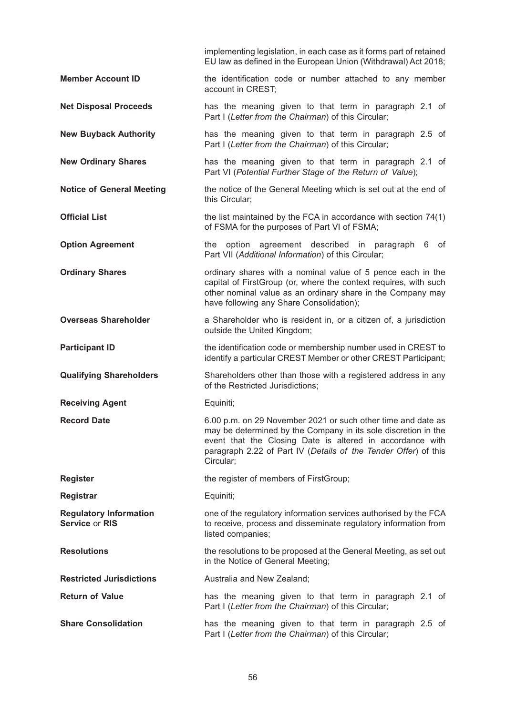|                                                        | implementing legislation, in each case as it forms part of retained<br>EU law as defined in the European Union (Withdrawal) Act 2018;                                                                                                                                       |
|--------------------------------------------------------|-----------------------------------------------------------------------------------------------------------------------------------------------------------------------------------------------------------------------------------------------------------------------------|
| <b>Member Account ID</b>                               | the identification code or number attached to any member<br>account in CREST;                                                                                                                                                                                               |
| <b>Net Disposal Proceeds</b>                           | has the meaning given to that term in paragraph 2.1 of<br>Part I (Letter from the Chairman) of this Circular;                                                                                                                                                               |
| <b>New Buyback Authority</b>                           | has the meaning given to that term in paragraph 2.5 of<br>Part I (Letter from the Chairman) of this Circular;                                                                                                                                                               |
| <b>New Ordinary Shares</b>                             | has the meaning given to that term in paragraph 2.1 of<br>Part VI (Potential Further Stage of the Return of Value);                                                                                                                                                         |
| <b>Notice of General Meeting</b>                       | the notice of the General Meeting which is set out at the end of<br>this Circular;                                                                                                                                                                                          |
| <b>Official List</b>                                   | the list maintained by the FCA in accordance with section 74(1)<br>of FSMA for the purposes of Part VI of FSMA;                                                                                                                                                             |
| <b>Option Agreement</b>                                | the option agreement described in paragraph 6<br>of<br>Part VII (Additional Information) of this Circular;                                                                                                                                                                  |
| <b>Ordinary Shares</b>                                 | ordinary shares with a nominal value of 5 pence each in the<br>capital of FirstGroup (or, where the context requires, with such<br>other nominal value as an ordinary share in the Company may<br>have following any Share Consolidation);                                  |
| <b>Overseas Shareholder</b>                            | a Shareholder who is resident in, or a citizen of, a jurisdiction<br>outside the United Kingdom;                                                                                                                                                                            |
| <b>Participant ID</b>                                  | the identification code or membership number used in CREST to<br>identify a particular CREST Member or other CREST Participant;                                                                                                                                             |
| <b>Qualifying Shareholders</b>                         | Shareholders other than those with a registered address in any<br>of the Restricted Jurisdictions;                                                                                                                                                                          |
| <b>Receiving Agent</b>                                 | Equiniti;                                                                                                                                                                                                                                                                   |
| <b>Record Date</b>                                     | 6.00 p.m. on 29 November 2021 or such other time and date as<br>may be determined by the Company in its sole discretion in the<br>event that the Closing Date is altered in accordance with<br>paragraph 2.22 of Part IV (Details of the Tender Offer) of this<br>Circular; |
| <b>Register</b>                                        | the register of members of FirstGroup;                                                                                                                                                                                                                                      |
| Registrar                                              | Equiniti;                                                                                                                                                                                                                                                                   |
| <b>Regulatory Information</b><br><b>Service or RIS</b> | one of the regulatory information services authorised by the FCA<br>to receive, process and disseminate regulatory information from<br>listed companies;                                                                                                                    |
| <b>Resolutions</b>                                     | the resolutions to be proposed at the General Meeting, as set out<br>in the Notice of General Meeting;                                                                                                                                                                      |
| <b>Restricted Jurisdictions</b>                        | Australia and New Zealand;                                                                                                                                                                                                                                                  |
| <b>Return of Value</b>                                 | has the meaning given to that term in paragraph 2.1 of<br>Part I (Letter from the Chairman) of this Circular;                                                                                                                                                               |
| <b>Share Consolidation</b>                             | has the meaning given to that term in paragraph 2.5 of<br>Part I (Letter from the Chairman) of this Circular;                                                                                                                                                               |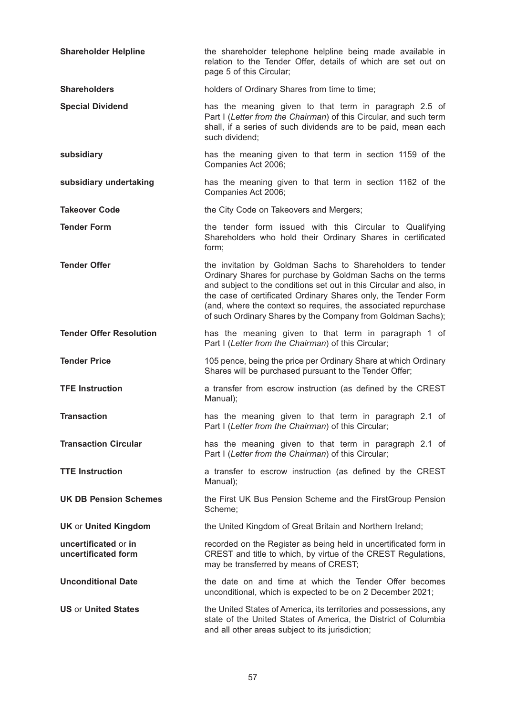| <b>Shareholder Helpline</b>                 | the shareholder telephone helpline being made available in<br>relation to the Tender Offer, details of which are set out on<br>page 5 of this Circular;                                                                                                                                                                                                                                           |
|---------------------------------------------|---------------------------------------------------------------------------------------------------------------------------------------------------------------------------------------------------------------------------------------------------------------------------------------------------------------------------------------------------------------------------------------------------|
| <b>Shareholders</b>                         | holders of Ordinary Shares from time to time;                                                                                                                                                                                                                                                                                                                                                     |
| <b>Special Dividend</b>                     | has the meaning given to that term in paragraph 2.5 of<br>Part I (Letter from the Chairman) of this Circular, and such term<br>shall, if a series of such dividends are to be paid, mean each<br>such dividend;                                                                                                                                                                                   |
| subsidiary                                  | has the meaning given to that term in section 1159 of the<br>Companies Act 2006;                                                                                                                                                                                                                                                                                                                  |
| subsidiary undertaking                      | has the meaning given to that term in section 1162 of the<br>Companies Act 2006;                                                                                                                                                                                                                                                                                                                  |
| <b>Takeover Code</b>                        | the City Code on Takeovers and Mergers;                                                                                                                                                                                                                                                                                                                                                           |
| <b>Tender Form</b>                          | the tender form issued with this Circular to Qualifying<br>Shareholders who hold their Ordinary Shares in certificated<br>form;                                                                                                                                                                                                                                                                   |
| <b>Tender Offer</b>                         | the invitation by Goldman Sachs to Shareholders to tender<br>Ordinary Shares for purchase by Goldman Sachs on the terms<br>and subject to the conditions set out in this Circular and also, in<br>the case of certificated Ordinary Shares only, the Tender Form<br>(and, where the context so requires, the associated repurchase<br>of such Ordinary Shares by the Company from Goldman Sachs); |
| <b>Tender Offer Resolution</b>              | has the meaning given to that term in paragraph 1 of<br>Part I (Letter from the Chairman) of this Circular;                                                                                                                                                                                                                                                                                       |
| <b>Tender Price</b>                         | 105 pence, being the price per Ordinary Share at which Ordinary<br>Shares will be purchased pursuant to the Tender Offer;                                                                                                                                                                                                                                                                         |
| <b>TFE Instruction</b>                      | a transfer from escrow instruction (as defined by the CREST<br>Manual);                                                                                                                                                                                                                                                                                                                           |
| <b>Transaction</b>                          | has the meaning given to that term in paragraph 2.1 of<br>Part I (Letter from the Chairman) of this Circular;                                                                                                                                                                                                                                                                                     |
| <b>Transaction Circular</b>                 | has the meaning given to that term in paragraph 2.1 of<br>Part I (Letter from the Chairman) of this Circular;                                                                                                                                                                                                                                                                                     |
| <b>TTE Instruction</b>                      | a transfer to escrow instruction (as defined by the CREST<br>Manual);                                                                                                                                                                                                                                                                                                                             |
| <b>UK DB Pension Schemes</b>                | the First UK Bus Pension Scheme and the FirstGroup Pension<br>Scheme;                                                                                                                                                                                                                                                                                                                             |
| <b>UK or United Kingdom</b>                 | the United Kingdom of Great Britain and Northern Ireland;                                                                                                                                                                                                                                                                                                                                         |
| uncertificated or in<br>uncertificated form | recorded on the Register as being held in uncertificated form in<br>CREST and title to which, by virtue of the CREST Regulations,<br>may be transferred by means of CREST;                                                                                                                                                                                                                        |
| <b>Unconditional Date</b>                   | the date on and time at which the Tender Offer becomes<br>unconditional, which is expected to be on 2 December 2021;                                                                                                                                                                                                                                                                              |
| <b>US or United States</b>                  | the United States of America, its territories and possessions, any<br>state of the United States of America, the District of Columbia<br>and all other areas subject to its jurisdiction;                                                                                                                                                                                                         |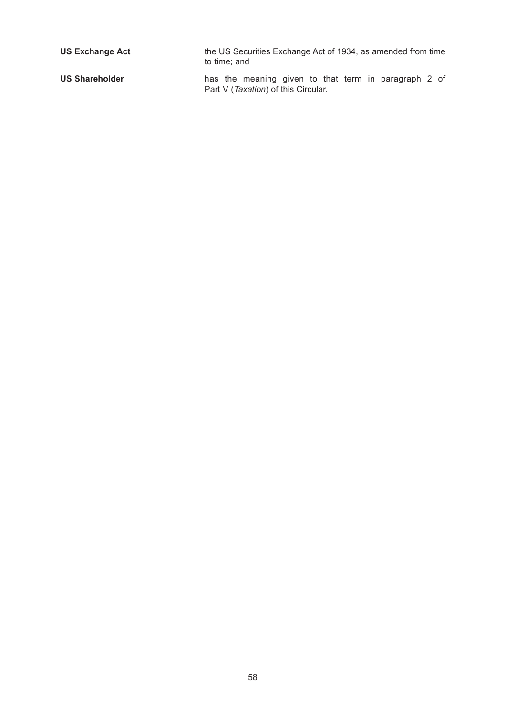| <b>US Exchange Act</b> | the US Securities Exchange Act of 1934, as amended from time<br>to time: and                         |
|------------------------|------------------------------------------------------------------------------------------------------|
| <b>US Shareholder</b>  | has the meaning given to that term in paragraph 2 of<br>Part V ( <i>Taxation</i> ) of this Circular. |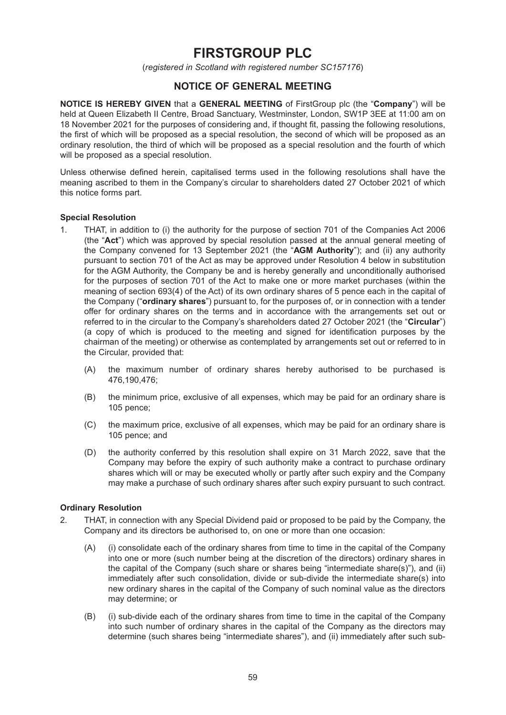## **FIRSTGROUP PLC**

(*registered in Scotland with registered number SC157176*)

#### **NOTICE OF GENERAL MEETING**

**NOTICE IS HEREBY GIVEN** that a **GENERAL MEETING** of FirstGroup plc (the "**Company**") will be held at Queen Elizabeth II Centre, Broad Sanctuary, Westminster, London, SW1P 3EE at 11:00 am on 18 November 2021 for the purposes of considering and, if thought fit, passing the following resolutions, the first of which will be proposed as a special resolution, the second of which will be proposed as an ordinary resolution, the third of which will be proposed as a special resolution and the fourth of which will be proposed as a special resolution.

Unless otherwise defined herein, capitalised terms used in the following resolutions shall have the meaning ascribed to them in the Company's circular to shareholders dated 27 October 2021 of which this notice forms part.

#### **Special Resolution**

- 1. THAT, in addition to (i) the authority for the purpose of section 701 of the Companies Act 2006 (the "**Act**") which was approved by special resolution passed at the annual general meeting of the Company convened for 13 September 2021 (the "**AGM Authority**"); and (ii) any authority pursuant to section 701 of the Act as may be approved under Resolution 4 below in substitution for the AGM Authority, the Company be and is hereby generally and unconditionally authorised for the purposes of section 701 of the Act to make one or more market purchases (within the meaning of section 693(4) of the Act) of its own ordinary shares of 5 pence each in the capital of the Company ("**ordinary shares**") pursuant to, for the purposes of, or in connection with a tender offer for ordinary shares on the terms and in accordance with the arrangements set out or referred to in the circular to the Company's shareholders dated 27 October 2021 (the "**Circular**") (a copy of which is produced to the meeting and signed for identification purposes by the chairman of the meeting) or otherwise as contemplated by arrangements set out or referred to in the Circular, provided that:
	- (A) the maximum number of ordinary shares hereby authorised to be purchased is 476,190,476;
	- (B) the minimum price, exclusive of all expenses, which may be paid for an ordinary share is 105 pence;
	- (C) the maximum price, exclusive of all expenses, which may be paid for an ordinary share is 105 pence; and
	- (D) the authority conferred by this resolution shall expire on 31 March 2022, save that the Company may before the expiry of such authority make a contract to purchase ordinary shares which will or may be executed wholly or partly after such expiry and the Company may make a purchase of such ordinary shares after such expiry pursuant to such contract.

#### **Ordinary Resolution**

- 2. THAT, in connection with any Special Dividend paid or proposed to be paid by the Company, the Company and its directors be authorised to, on one or more than one occasion:
	- (A) (i) consolidate each of the ordinary shares from time to time in the capital of the Company into one or more (such number being at the discretion of the directors) ordinary shares in the capital of the Company (such share or shares being "intermediate share(s)"), and (ii) immediately after such consolidation, divide or sub-divide the intermediate share(s) into new ordinary shares in the capital of the Company of such nominal value as the directors may determine; or
	- (B) (i) sub-divide each of the ordinary shares from time to time in the capital of the Company into such number of ordinary shares in the capital of the Company as the directors may determine (such shares being "intermediate shares"), and (ii) immediately after such sub-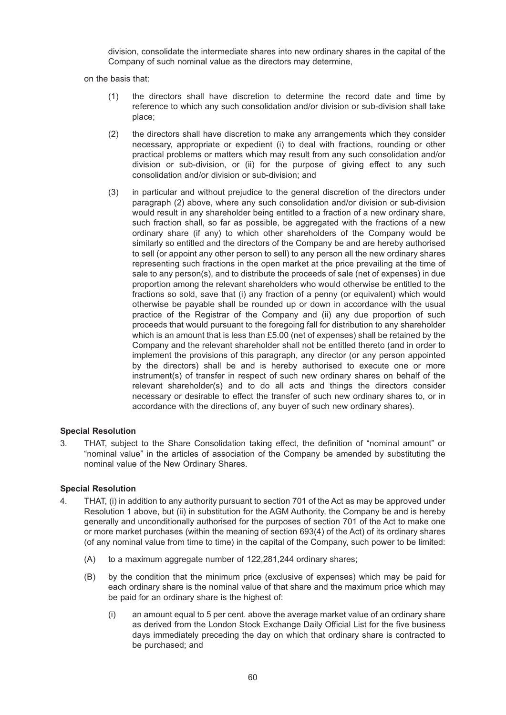division, consolidate the intermediate shares into new ordinary shares in the capital of the Company of such nominal value as the directors may determine,

on the basis that:

- (1) the directors shall have discretion to determine the record date and time by reference to which any such consolidation and/or division or sub-division shall take place;
- (2) the directors shall have discretion to make any arrangements which they consider necessary, appropriate or expedient (i) to deal with fractions, rounding or other practical problems or matters which may result from any such consolidation and/or division or sub-division, or (ii) for the purpose of giving effect to any such consolidation and/or division or sub-division; and
- (3) in particular and without prejudice to the general discretion of the directors under paragraph (2) above, where any such consolidation and/or division or sub-division would result in any shareholder being entitled to a fraction of a new ordinary share, such fraction shall, so far as possible, be aggregated with the fractions of a new ordinary share (if any) to which other shareholders of the Company would be similarly so entitled and the directors of the Company be and are hereby authorised to sell (or appoint any other person to sell) to any person all the new ordinary shares representing such fractions in the open market at the price prevailing at the time of sale to any person(s), and to distribute the proceeds of sale (net of expenses) in due proportion among the relevant shareholders who would otherwise be entitled to the fractions so sold, save that (i) any fraction of a penny (or equivalent) which would otherwise be payable shall be rounded up or down in accordance with the usual practice of the Registrar of the Company and (ii) any due proportion of such proceeds that would pursuant to the foregoing fall for distribution to any shareholder which is an amount that is less than £5.00 (net of expenses) shall be retained by the Company and the relevant shareholder shall not be entitled thereto (and in order to implement the provisions of this paragraph, any director (or any person appointed by the directors) shall be and is hereby authorised to execute one or more instrument(s) of transfer in respect of such new ordinary shares on behalf of the relevant shareholder(s) and to do all acts and things the directors consider necessary or desirable to effect the transfer of such new ordinary shares to, or in accordance with the directions of, any buyer of such new ordinary shares).

#### **Special Resolution**

3. THAT, subject to the Share Consolidation taking effect, the definition of "nominal amount" or "nominal value" in the articles of association of the Company be amended by substituting the nominal value of the New Ordinary Shares.

#### **Special Resolution**

- 4. THAT, (i) in addition to any authority pursuant to section 701 of the Act as may be approved under Resolution 1 above, but (ii) in substitution for the AGM Authority, the Company be and is hereby generally and unconditionally authorised for the purposes of section 701 of the Act to make one or more market purchases (within the meaning of section 693(4) of the Act) of its ordinary shares (of any nominal value from time to time) in the capital of the Company, such power to be limited:
	- (A) to a maximum aggregate number of 122,281,244 ordinary shares;
	- (B) by the condition that the minimum price (exclusive of expenses) which may be paid for each ordinary share is the nominal value of that share and the maximum price which may be paid for an ordinary share is the highest of:
		- (i) an amount equal to 5 per cent. above the average market value of an ordinary share as derived from the London Stock Exchange Daily Official List for the five business days immediately preceding the day on which that ordinary share is contracted to be purchased; and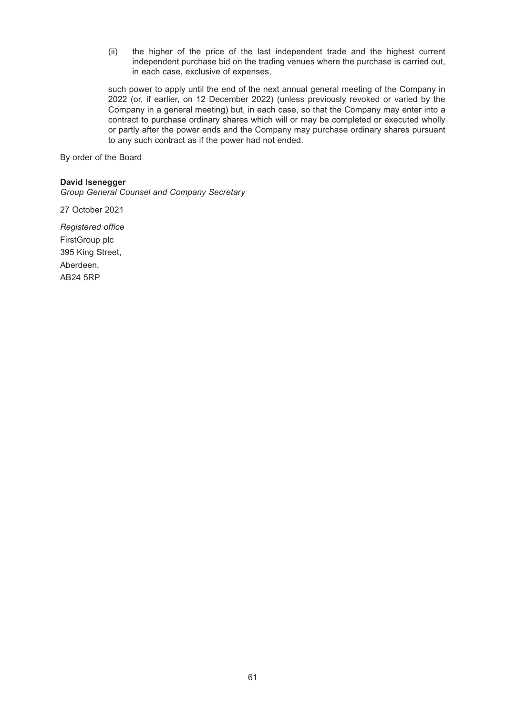(ii) the higher of the price of the last independent trade and the highest current independent purchase bid on the trading venues where the purchase is carried out, in each case, exclusive of expenses,

such power to apply until the end of the next annual general meeting of the Company in 2022 (or, if earlier, on 12 December 2022) (unless previously revoked or varied by the Company in a general meeting) but, in each case, so that the Company may enter into a contract to purchase ordinary shares which will or may be completed or executed wholly or partly after the power ends and the Company may purchase ordinary shares pursuant to any such contract as if the power had not ended.

By order of the Board

#### **David Isenegger**

*Group General Counsel and Company Secretary*

27 October 2021 *Registered office* FirstGroup plc

395 King Street, Aberdeen,

AB24 5RP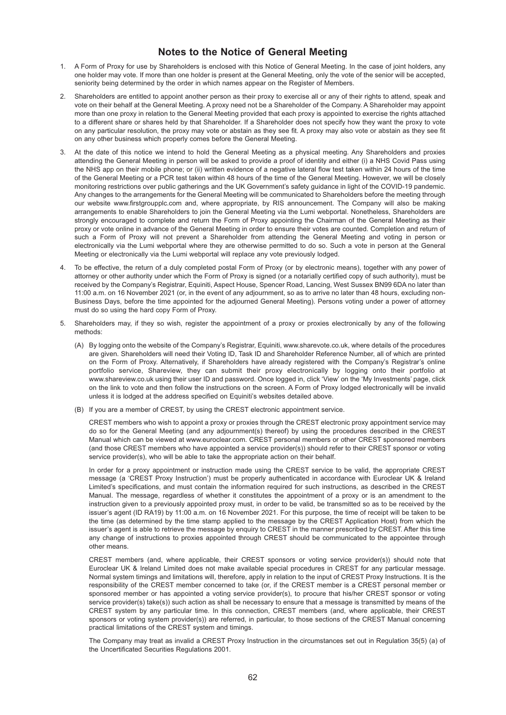#### **Notes to the Notice of General Meeting**

- 1. A Form of Proxy for use by Shareholders is enclosed with this Notice of General Meeting. In the case of joint holders, any one holder may vote. If more than one holder is present at the General Meeting, only the vote of the senior will be accepted, seniority being determined by the order in which names appear on the Register of Members.
- 2. Shareholders are entitled to appoint another person as their proxy to exercise all or any of their rights to attend, speak and vote on their behalf at the General Meeting. A proxy need not be a Shareholder of the Company. A Shareholder may appoint more than one proxy in relation to the General Meeting provided that each proxy is appointed to exercise the rights attached to a different share or shares held by that Shareholder. If a Shareholder does not specify how they want the proxy to vote on any particular resolution, the proxy may vote or abstain as they see fit. A proxy may also vote or abstain as they see fit on any other business which properly comes before the General Meeting.
- 3. At the date of this notice we intend to hold the General Meeting as a physical meeting. Any Shareholders and proxies attending the General Meeting in person will be asked to provide a proof of identity and either (i) a NHS Covid Pass using the NHS app on their mobile phone; or (ii) written evidence of a negative lateral flow test taken within 24 hours of the time of the General Meeting or a PCR test taken within 48 hours of the time of the General Meeting. However, we will be closely monitoring restrictions over public gatherings and the UK Government's safety guidance in light of the COVID-19 pandemic. Any changes to the arrangements for the General Meeting will be communicated to Shareholders before the meeting through our website www.firstgroupplc.com and, where appropriate, by RIS announcement. The Company will also be making arrangements to enable Shareholders to join the General Meeting via the Lumi webportal. Nonetheless, Shareholders are strongly encouraged to complete and return the Form of Proxy appointing the Chairman of the General Meeting as their proxy or vote online in advance of the General Meeting in order to ensure their votes are counted. Completion and return of such a Form of Proxy will not prevent a Shareholder from attending the General Meeting and voting in person or electronically via the Lumi webportal where they are otherwise permitted to do so. Such a vote in person at the General Meeting or electronically via the Lumi webportal will replace any vote previously lodged.
- 4. To be effective, the return of a duly completed postal Form of Proxy (or by electronic means), together with any power of attorney or other authority under which the Form of Proxy is signed (or a notarially certified copy of such authority), must be received by the Company's Registrar, Equiniti, Aspect House, Spencer Road, Lancing, West Sussex BN99 6DA no later than 11:00 a.m. on 16 November 2021 (or, in the event of any adjournment, so as to arrive no later than 48 hours, excluding non-Business Days, before the time appointed for the adjourned General Meeting). Persons voting under a power of attorney must do so using the hard copy Form of Proxy.
- 5. Shareholders may, if they so wish, register the appointment of a proxy or proxies electronically by any of the following methods:
	- (A) By logging onto the website of the Company's Registrar, Equiniti, www.sharevote.co.uk, where details of the procedures are given. Shareholders will need their Voting ID, Task ID and Shareholder Reference Number, all of which are printed on the Form of Proxy. Alternatively, if Shareholders have already registered with the Company's Registrar's online portfolio service, Shareview, they can submit their proxy electronically by logging onto their portfolio at www.shareview.co.uk using their user ID and password. Once logged in, click 'View' on the 'My Investments' page, click on the link to vote and then follow the instructions on the screen. A Form of Proxy lodged electronically will be invalid unless it is lodged at the address specified on Equiniti's websites detailed above.
	- (B) If you are a member of CREST, by using the CREST electronic appointment service.

CREST members who wish to appoint a proxy or proxies through the CREST electronic proxy appointment service may do so for the General Meeting (and any adjournment(s) thereof) by using the procedures described in the CREST Manual which can be viewed at www.euroclear.com. CREST personal members or other CREST sponsored members (and those CREST members who have appointed a service provider(s)) should refer to their CREST sponsor or voting service provider(s), who will be able to take the appropriate action on their behalf.

In order for a proxy appointment or instruction made using the CREST service to be valid, the appropriate CREST message (a 'CREST Proxy Instruction') must be properly authenticated in accordance with Euroclear UK & Ireland Limited's specifications, and must contain the information required for such instructions, as described in the CREST Manual. The message, regardless of whether it constitutes the appointment of a proxy or is an amendment to the instruction given to a previously appointed proxy must, in order to be valid, be transmitted so as to be received by the issuer's agent (ID RA19) by 11:00 a.m. on 16 November 2021. For this purpose, the time of receipt will be taken to be the time (as determined by the time stamp applied to the message by the CREST Application Host) from which the issuer's agent is able to retrieve the message by enquiry to CREST in the manner prescribed by CREST. After this time any change of instructions to proxies appointed through CREST should be communicated to the appointee through other means.

CREST members (and, where applicable, their CREST sponsors or voting service provider(s)) should note that Euroclear UK & Ireland Limited does not make available special procedures in CREST for any particular message. Normal system timings and limitations will, therefore, apply in relation to the input of CREST Proxy Instructions. It is the responsibility of the CREST member concerned to take (or, if the CREST member is a CREST personal member or sponsored member or has appointed a voting service provider(s), to procure that his/her CREST sponsor or voting service provider(s) take(s)) such action as shall be necessary to ensure that a message is transmitted by means of the CREST system by any particular time. In this connection, CREST members (and, where applicable, their CREST sponsors or voting system provider(s)) are referred, in particular, to those sections of the CREST Manual concerning practical limitations of the CREST system and timings.

The Company may treat as invalid a CREST Proxy Instruction in the circumstances set out in Regulation 35(5) (a) of the Uncertificated Securities Regulations 2001.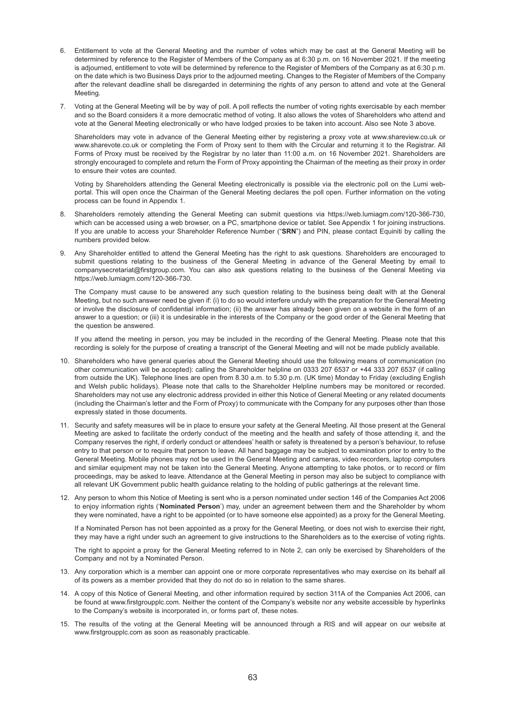- 6. Entitlement to vote at the General Meeting and the number of votes which may be cast at the General Meeting will be determined by reference to the Register of Members of the Company as at 6:30 p.m. on 16 November 2021. If the meeting is adjourned, entitlement to vote will be determined by reference to the Register of Members of the Company as at 6:30 p.m. on the date which is two Business Days prior to the adjourned meeting. Changes to the Register of Members of the Company after the relevant deadline shall be disregarded in determining the rights of any person to attend and vote at the General Meeting.
- 7. Voting at the General Meeting will be by way of poll. A poll reflects the number of voting rights exercisable by each member and so the Board considers it a more democratic method of voting. It also allows the votes of Shareholders who attend and vote at the General Meeting electronically or who have lodged proxies to be taken into account. Also see Note 3 above.

Shareholders may vote in advance of the General Meeting either by registering a proxy vote at www.shareview.co.uk or www.sharevote.co.uk or completing the Form of Proxy sent to them with the Circular and returning it to the Registrar. All Forms of Proxy must be received by the Registrar by no later than 11:00 a.m. on 16 November 2021. Shareholders are strongly encouraged to complete and return the Form of Proxy appointing the Chairman of the meeting as their proxy in order to ensure their votes are counted.

Voting by Shareholders attending the General Meeting electronically is possible via the electronic poll on the Lumi webportal. This will open once the Chairman of the General Meeting declares the poll open. Further information on the voting process can be found in Appendix 1.

- 8. Shareholders remotely attending the General Meeting can submit questions via https://web.lumiagm.com/120-366-730, which can be accessed using a web browser, on a PC, smartphone device or tablet. See Appendix 1 for joining instructions. If you are unable to access your Shareholder Reference Number ("**SRN**") and PIN, please contact Equiniti by calling the numbers provided below.
- 9. Any Shareholder entitled to attend the General Meeting has the right to ask questions. Shareholders are encouraged to submit questions relating to the business of the General Meeting in advance of the General Meeting by email to companysecretariat@firstgroup.com. You can also ask questions relating to the business of the General Meeting via https://web.lumiagm.com/120-366-730.

The Company must cause to be answered any such question relating to the business being dealt with at the General Meeting, but no such answer need be given if: (i) to do so would interfere unduly with the preparation for the General Meeting or involve the disclosure of confidential information; (ii) the answer has already been given on a website in the form of an answer to a question; or (iii) it is undesirable in the interests of the Company or the good order of the General Meeting that the question be answered.

If you attend the meeting in person, you may be included in the recording of the General Meeting. Please note that this recording is solely for the purpose of creating a transcript of the General Meeting and will not be made publicly available.

- 10. Shareholders who have general queries about the General Meeting should use the following means of communication (no other communication will be accepted): calling the Shareholder helpline on 0333 207 6537 or +44 333 207 6537 (if calling from outside the UK). Telephone lines are open from 8.30 a.m. to 5.30 p.m. (UK time) Monday to Friday (excluding English and Welsh public holidays). Please note that calls to the Shareholder Helpline numbers may be monitored or recorded. Shareholders may not use any electronic address provided in either this Notice of General Meeting or any related documents (including the Chairman's letter and the Form of Proxy) to communicate with the Company for any purposes other than those expressly stated in those documents.
- 11. Security and safety measures will be in place to ensure your safety at the General Meeting. All those present at the General Meeting are asked to facilitate the orderly conduct of the meeting and the health and safety of those attending it, and the Company reserves the right, if orderly conduct or attendees' health or safety is threatened by a person's behaviour, to refuse entry to that person or to require that person to leave. All hand baggage may be subject to examination prior to entry to the General Meeting. Mobile phones may not be used in the General Meeting and cameras, video recorders, laptop computers and similar equipment may not be taken into the General Meeting. Anyone attempting to take photos, or to record or film proceedings, may be asked to leave. Attendance at the General Meeting in person may also be subject to compliance with all relevant UK Government public health guidance relating to the holding of public gatherings at the relevant time.
- 12. Any person to whom this Notice of Meeting is sent who is a person nominated under section 146 of the Companies Act 2006 to enjoy information rights ('**Nominated Person**') may, under an agreement between them and the Shareholder by whom they were nominated, have a right to be appointed (or to have someone else appointed) as a proxy for the General Meeting.

If a Nominated Person has not been appointed as a proxy for the General Meeting, or does not wish to exercise their right, they may have a right under such an agreement to give instructions to the Shareholders as to the exercise of voting rights.

The right to appoint a proxy for the General Meeting referred to in Note 2, can only be exercised by Shareholders of the Company and not by a Nominated Person.

- 13. Any corporation which is a member can appoint one or more corporate representatives who may exercise on its behalf all of its powers as a member provided that they do not do so in relation to the same shares.
- 14. A copy of this Notice of General Meeting, and other information required by section 311A of the Companies Act 2006, can be found at www.firstgroupplc.com. Neither the content of the Company's website nor any website accessible by hyperlinks to the Company's website is incorporated in, or forms part of, these notes.
- 15. The results of the voting at the General Meeting will be announced through a RIS and will appear on our website at www.firstgroupplc.com as soon as reasonably practicable.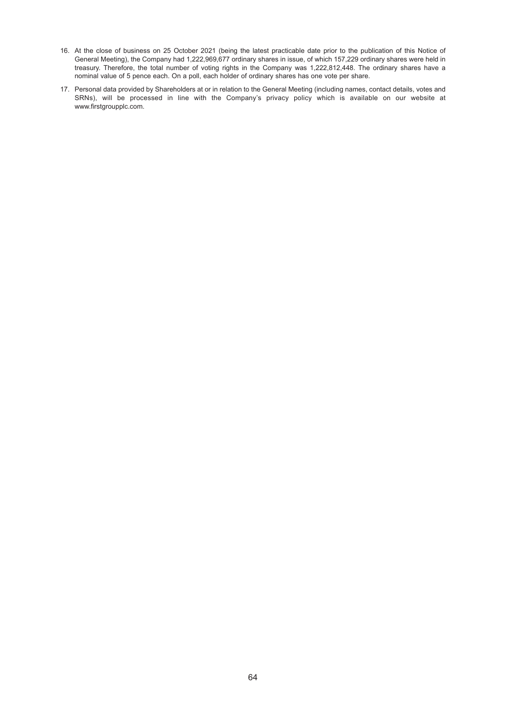- 16. At the close of business on 25 October 2021 (being the latest practicable date prior to the publication of this Notice of General Meeting), the Company had 1,222,969,677 ordinary shares in issue, of which 157,229 ordinary shares were held in treasury. Therefore, the total number of voting rights in the Company was 1,222,812,448. The ordinary shares have a nominal value of 5 pence each. On a poll, each holder of ordinary shares has one vote per share.
- 17. Personal data provided by Shareholders at or in relation to the General Meeting (including names, contact details, votes and SRNs), will be processed in line with the Company's privacy policy which is available on our website at www.firstgroupplc.com.